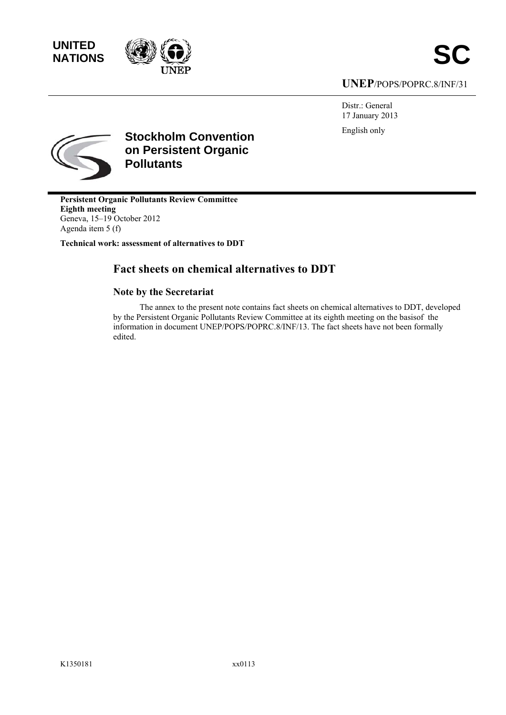



# **UNEP**/POPS/POPRC.8/INF/31

Distr.: General 17 January 2013 English only



**Stockholm Convention on Persistent Organic Pollutants** 

**Persistent Organic Pollutants Review Committee Eighth meeting**  Geneva, 15–19 October 2012 Agenda item 5 (f)

**Technical work: assessment of alternatives to DDT** 

# **Fact sheets on chemical alternatives to DDT**

# **Note by the Secretariat**

The annex to the present note contains fact sheets on chemical alternatives to DDT, developed by the Persistent Organic Pollutants Review Committee at its eighth meeting on the basisof the information in document UNEP/POPS/POPRC.8/INF/13. The fact sheets have not been formally edited.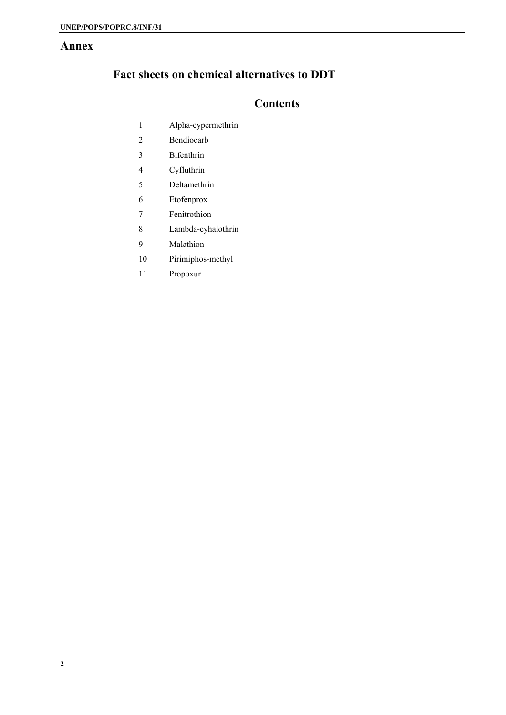# **Annex**

# **Fact sheets on chemical alternatives to DDT**

# **Contents**

- 1 Alpha-cypermethrin
- 2 Bendiocarb
- 3 Bifenthrin
- 4 Cyfluthrin
- 5 Deltamethrin
- 6 Etofenprox
- 7 Fenitrothion
- 8 Lambda-cyhalothrin
- 9 Malathion
- 10 Pirimiphos-methyl
- 11 Propoxur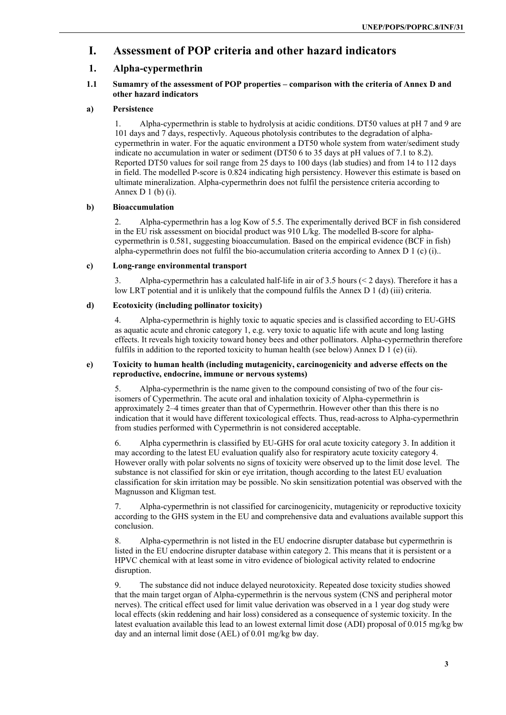# **I. Assessment of POP criteria and other hazard indicators**

# **1. Alpha-cypermethrin**

# **1.1 Sumamry of the assessment of POP properties – comparison with the criteria of Annex D and other hazard indicators**

# **a) Persistence**

1. Alpha-cypermethrin is stable to hydrolysis at acidic conditions. DT50 values at pH 7 and 9 are 101 days and 7 days, respectivly. Aqueous photolysis contributes to the degradation of alphacypermethrin in water. For the aquatic environment a DT50 whole system from water/sediment study indicate no accumulation in water or sediment (DT50 6 to 35 days at pH values of 7.1 to 8.2). Reported DT50 values for soil range from 25 days to 100 days (lab studies) and from 14 to 112 days in field. The modelled P-score is 0.824 indicating high persistency. However this estimate is based on ultimate mineralization. Alpha-cypermethrin does not fulfil the persistence criteria according to Annex  $D_1(b)$  (i).

# **b) Bioaccumulation**

2. Alpha-cypermethrin has a log Kow of 5.5. The experimentally derived BCF in fish considered in the EU risk assessment on biocidal product was 910 L/kg. The modelled B-score for alphacypermethrin is 0.581, suggesting bioaccumulation. Based on the empirical evidence (BCF in fish) alpha-cypermethrin does not fulfil the bio-accumulation criteria according to Annex D  $1$  (c) (i)...

# **c) Long-range environmental transport**

3. Alpha-cypermethrin has a calculated half-life in air of 3.5 hours (< 2 days). Therefore it has a low LRT potential and it is unlikely that the compound fulfils the Annex D 1 (d) (iii) criteria.

# **d) Ecotoxicity (including pollinator toxicity)**

4. Alpha-cypermethrin is highly toxic to aquatic species and is classified according to EU-GHS as aquatic acute and chronic category 1, e.g. very toxic to aquatic life with acute and long lasting effects. It reveals high toxicity toward honey bees and other pollinators. Alpha-cypermethrin therefore fulfils in addition to the reported toxicity to human health (see below) Annex D 1 (e) (ii).

# **e) Toxicity to human health (including mutagenicity, carcinogenicity and adverse effects on the reproductive, endocrine, immune or nervous systems)**

5. Alpha-cypermethrin is the name given to the compound consisting of two of the four cisisomers of Cypermethrin. The acute oral and inhalation toxicity of Alpha-cypermethrin is approximately 2–4 times greater than that of Cypermethrin. However other than this there is no indication that it would have different toxicological effects. Thus, read-across to Alpha-cypermethrin from studies performed with Cypermethrin is not considered acceptable.

6. Alpha cypermethrin is classified by EU-GHS for oral acute toxicity category 3. In addition it may according to the latest EU evaluation qualify also for respiratory acute toxicity category 4. However orally with polar solvents no signs of toxicity were observed up to the limit dose level. The substance is not classified for skin or eye irritation, though according to the latest EU evaluation classification for skin irritation may be possible. No skin sensitization potential was observed with the Magnusson and Kligman test.

7. Alpha-cypermethrin is not classified for carcinogenicity, mutagenicity or reproductive toxicity according to the GHS system in the EU and comprehensive data and evaluations available support this conclusion.

8. Alpha-cypermethrin is not listed in the EU endocrine disrupter database but cypermethrin is listed in the EU endocrine disrupter database within category 2. This means that it is persistent or a HPVC chemical with at least some in vitro evidence of biological activity related to endocrine disruption.

9. The substance did not induce delayed neurotoxicity. Repeated dose toxicity studies showed that the main target organ of Alpha-cypermethrin is the nervous system (CNS and peripheral motor nerves). The critical effect used for limit value derivation was observed in a 1 year dog study were local effects (skin reddening and hair loss) considered as a consequence of systemic toxicity. In the latest evaluation available this lead to an lowest external limit dose (ADI) proposal of 0.015 mg/kg bw day and an internal limit dose (AEL) of 0.01 mg/kg bw day.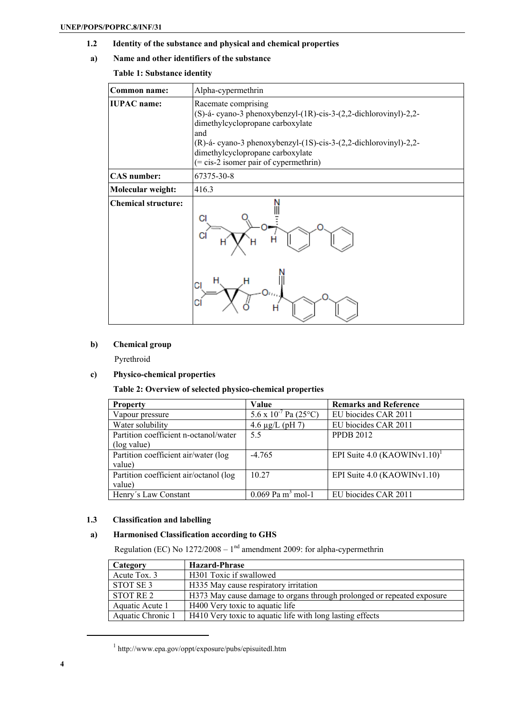**1.2 Identity of the substance and physical and chemical properties** 

# **a) Name and other identifiers of the substance**

# **Table 1: Substance identity**

| <b>Common name:</b>        | Alpha-cypermethrin                                                                                                                                                                                                                                                                          |  |  |
|----------------------------|---------------------------------------------------------------------------------------------------------------------------------------------------------------------------------------------------------------------------------------------------------------------------------------------|--|--|
| <b>IUPAC</b> name:         | Racemate comprising<br>(S)-á- cyano-3 phenoxybenzyl-(1R)-cis-3-(2,2-dichlorovinyl)-2,2-<br>dimethylcyclopropane carboxylate<br>and<br>(R)-á- cyano-3 phenoxybenzyl-(1S)-cis-3-(2,2-dichlorovinyl)-2,2-<br>dimethylcyclopropane carboxylate<br>$(=\text{cis-2}$ isomer pair of cypermethrin) |  |  |
| <b>CAS</b> number:         | 67375-30-8                                                                                                                                                                                                                                                                                  |  |  |
| Molecular weight:          | 416.3                                                                                                                                                                                                                                                                                       |  |  |
| <b>Chemical structure:</b> | СI<br>С<br>Н                                                                                                                                                                                                                                                                                |  |  |

# **b) Chemical group**

Pyrethroid

# **c) Physico-chemical properties**

# **Table 2: Overview of selected physico-chemical properties**

| <b>Property</b>                        | Value                           | <b>Remarks and Reference</b>    |
|----------------------------------------|---------------------------------|---------------------------------|
| Vapour pressure                        | $5.6 \times 10^{-7}$ Pa (25 °C) | EU biocides CAR 2011            |
| Water solubility                       | 4.6 $\mu$ g/L (pH 7)            | EU biocides CAR 2011            |
| Partition coefficient n-octanol/water  | 5.5                             | <b>PPDB 2012</b>                |
| (log value)                            |                                 |                                 |
| Partition coefficient air/water (log   | $-4.765$                        | EPI Suite 4.0 $(KAOWINV1.10)^T$ |
| value)                                 |                                 |                                 |
| Partition coefficient air/octanol (log | 10.27                           | EPI Suite 4.0 (KAOWINv1.10)     |
| value)                                 |                                 |                                 |
| Henry's Law Constant                   | $0.069$ Pa m <sup>3</sup> mol-1 | EU biocides CAR 2011            |

# **1.3 Classification and labelling**

# **a) Harmonised Classification according to GHS**

Regulation (EC) No  $1272/2008 - 1<sup>nd</sup>$  amendment 2009: for alpha-cypermethrin

| Category          | <b>Hazard-Phrase</b>                                                   |
|-------------------|------------------------------------------------------------------------|
| Acute Tox. 3      | H301 Toxic if swallowed                                                |
| STOT SE 3         | H335 May cause respiratory irritation                                  |
| STOT RE 2         | H373 May cause damage to organs through prolonged or repeated exposure |
| Aquatic Acute 1   | H <sub>400</sub> Very toxic to aquatic life                            |
| Aquatic Chronic 1 | H410 Very toxic to aquatic life with long lasting effects              |

<sup>1</sup> http://www.epa.gov/oppt/exposure/pubs/episuitedl.htm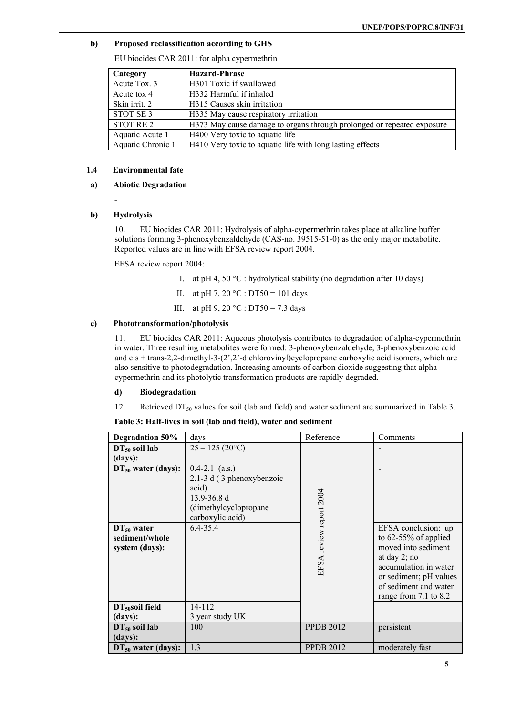# **b) Proposed reclassification according to GHS**

EU biocides CAR 2011: for alpha cypermethrin

| Category          | <b>Hazard-Phrase</b>                                                   |
|-------------------|------------------------------------------------------------------------|
| Acute Tox. 3      | H301 Toxic if swallowed                                                |
| Acute tox 4       | H332 Harmful if inhaled                                                |
| Skin irrit. 2     | H315 Causes skin irritation                                            |
| STOT SE 3         | H335 May cause respiratory irritation                                  |
| STOT RE 2         | H373 May cause damage to organs through prolonged or repeated exposure |
| Aquatic Acute 1   | H400 Very toxic to aquatic life                                        |
| Aquatic Chronic 1 | H410 Very toxic to aquatic life with long lasting effects              |

# **1.4 Environmental fate**

### **a) Abiotic Degradation**

### **b) Hydrolysis**

-

10. EU biocides CAR 2011: Hydrolysis of alpha-cypermethrin takes place at alkaline buffer solutions forming 3-phenoxybenzaldehyde (CAS-no. 39515-51-0) as the only major metabolite. Reported values are in line with EFSA review report 2004.

EFSA review report 2004:

- I. at pH 4, 50  $^{\circ}$ C : hydrolytical stability (no degradation after 10 days)
- II. at pH 7, 20 °C : DT50 = 101 days
- III. at pH 9, 20 °C : DT50 = 7.3 days

### **c) Phototransformation/photolysis**

11. EU biocides CAR 2011: Aqueous photolysis contributes to degradation of alpha-cypermethrin in water. Three resulting metabolites were formed: 3-phenoxybenzaldehyde, 3-phenoxybenzoic acid and cis + trans-2,2-dimethyl-3-(2',2'-dichlorovinyl)cyclopropane carboxylic acid isomers, which are also sensitive to photodegradation. Increasing amounts of carbon dioxide suggesting that alphacypermethrin and its photolytic transformation products are rapidly degraded.

#### **d) Biodegradation**

12. Retrieved  $DT_{50}$  values for soil (lab and field) and water sediment are summarized in Table 3.

**Table 3: Half-lives in soil (lab and field), water and sediment** 

| <b>Degradation 50%</b>                              | days                                                                                                                     | Reference               | Comments                                                                                                                                                                                      |
|-----------------------------------------------------|--------------------------------------------------------------------------------------------------------------------------|-------------------------|-----------------------------------------------------------------------------------------------------------------------------------------------------------------------------------------------|
| $DT_{50}$ soil lab                                  | $25 - 125 (20^{\circ}C)$                                                                                                 |                         |                                                                                                                                                                                               |
| (days):                                             |                                                                                                                          |                         |                                                                                                                                                                                               |
| $DT_{50}$ water (days):                             | $0.4 - 2.1$ (a.s.)<br>2.1-3 d (3 phenoxybenzoic<br>acid)<br>$13.9 - 36.8$ d<br>(dimethylcyclopropane<br>carboxylic acid) |                         |                                                                                                                                                                                               |
| $DT_{50}$ water<br>sediment/whole<br>system (days): | 6.4-35.4                                                                                                                 | EFSA review report 2004 | EFSA conclusion: up<br>to $62-55\%$ of applied<br>moved into sediment<br>at day $2$ ; no<br>accumulation in water<br>or sediment; pH values<br>of sediment and water<br>range from 7.1 to 8.2 |
| $DT50$ soil field                                   | 14-112                                                                                                                   |                         |                                                                                                                                                                                               |
| (days):                                             | 3 year study UK                                                                                                          |                         |                                                                                                                                                                                               |
| $DT_{50}$ soil lab                                  | 100                                                                                                                      | <b>PPDB 2012</b>        | persistent                                                                                                                                                                                    |
| (days):                                             |                                                                                                                          |                         |                                                                                                                                                                                               |
| $DT_{50}$ water (days):                             | 1.3                                                                                                                      | <b>PPDB 2012</b>        | moderately fast                                                                                                                                                                               |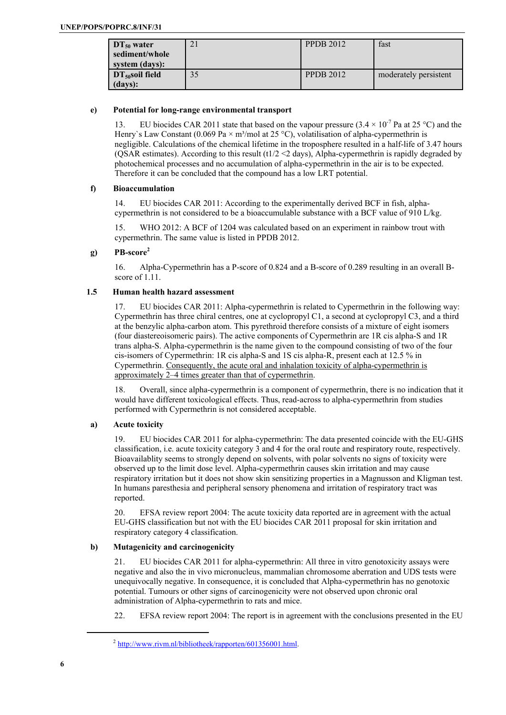| $DT_{50}$ water<br>sediment/whole<br>system (days): | $\angle$ 1 | <b>PPDB 2012</b> | fast                  |
|-----------------------------------------------------|------------|------------------|-----------------------|
| $DT_{50}$ soil field<br>(days):                     | 35         | <b>PPDB 2012</b> | moderately persistent |

### **e) Potential for long-range environmental transport**

13. EU biocides CAR 2011 state that based on the vapour pressure  $(3.4 \times 10^{-7}$  Pa at 25 °C) and the Henry's Law Constant (0.069 Pa  $\times$  m<sup>3</sup>/mol at 25 °C), volatilisation of alpha-cypermethrin is negligible. Calculations of the chemical lifetime in the troposphere resulted in a half-life of 3.47 hours (QSAR estimates). According to this result (t1/2 <2 days), Alpha-cypermethrin is rapidly degraded by photochemical processes and no accumulation of alpha-cypermethrin in the air is to be expected. Therefore it can be concluded that the compound has a low LRT potential.

#### **f) Bioaccumulation**

14. EU biocides CAR 2011: According to the experimentally derived BCF in fish, alphacypermethrin is not considered to be a bioaccumulable substance with a BCF value of 910 L/kg.

15. WHO 2012: A BCF of 1204 was calculated based on an experiment in rainbow trout with cypermethrin. The same value is listed in PPDB 2012.

# **g) PB-score2**

16. Alpha-Cypermethrin has a P-score of 0.824 and a B-score of 0.289 resulting in an overall Bscore of 1.11.

# **1.5 Human health hazard assessment**

17. EU biocides CAR 2011: Alpha-cypermethrin is related to Cypermethrin in the following way: Cypermethrin has three chiral centres, one at cyclopropyl C1, a second at cyclopropyl C3, and a third at the benzylic alpha-carbon atom. This pyrethroid therefore consists of a mixture of eight isomers (four diastereoisomeric pairs). The active components of Cypermethrin are 1R cis alpha-S and 1R trans alpha-S. Alpha-cypermethrin is the name given to the compound consisting of two of the four cis-isomers of Cypermethrin: 1R cis alpha-S and 1S cis alpha-R, present each at 12.5 % in Cypermethrin. Consequently, the acute oral and inhalation toxicity of alpha-cypermethrin is approximately 2–4 times greater than that of cypermethrin.

18. Overall, since alpha-cypermethrin is a component of cypermethrin, there is no indication that it would have different toxicological effects. Thus, read-across to alpha-cypermethrin from studies performed with Cypermethrin is not considered acceptable.

# **a) Acute toxicity**

19. EU biocides CAR 2011 for alpha-cypermethrin: The data presented coincide with the EU-GHS classification, i.e. acute toxicity category 3 and 4 for the oral route and respiratory route, respectively. Bioavailablity seems to strongly depend on solvents, with polar solvents no signs of toxicity were observed up to the limit dose level. Alpha-cypermethrin causes skin irritation and may cause respiratory irritation but it does not show skin sensitizing properties in a Magnusson and Kligman test. In humans paresthesia and peripheral sensory phenomena and irritation of respiratory tract was reported.

20. EFSA review report 2004: The acute toxicity data reported are in agreement with the actual EU-GHS classification but not with the EU biocides CAR 2011 proposal for skin irritation and respiratory category 4 classification.

# **b) Mutagenicity and carcinogenicity**

21. EU biocides CAR 2011 for alpha-cypermethrin: All three in vitro genotoxicity assays were negative and also the in vivo micronucleus, mammalian chromosome aberration and UDS tests were unequivocally negative. In consequence, it is concluded that Alpha-cypermethrin has no genotoxic potential. Tumours or other signs of carcinogenicity were not observed upon chronic oral administration of Alpha-cypermethrin to rats and mice.

22. EFSA review report 2004: The report is in agreement with the conclusions presented in the EU

 $^{2}$  http://www.rivm.nl/bibliotheek/rapporten/601356001.html.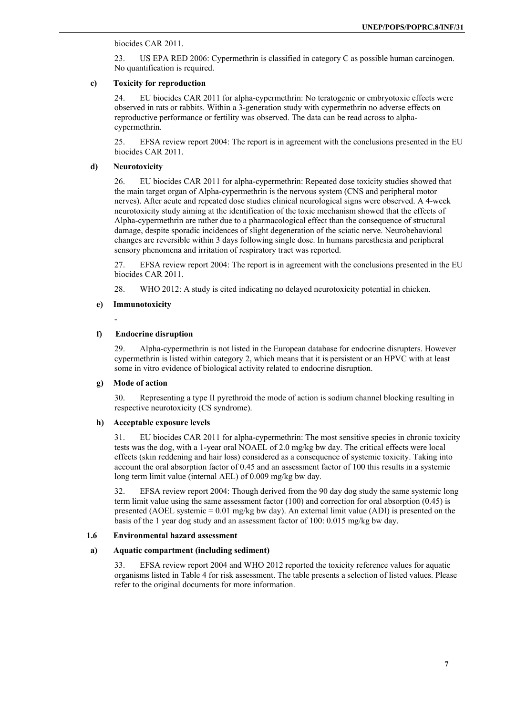#### biocides CAR 2011.

23. US EPA RED 2006: Cypermethrin is classified in category C as possible human carcinogen. No quantification is required.

# **c) Toxicity for reproduction**

24. EU biocides CAR 2011 for alpha-cypermethrin: No teratogenic or embryotoxic effects were observed in rats or rabbits. Within a 3-generation study with cypermethrin no adverse effects on reproductive performance or fertility was observed. The data can be read across to alphacypermethrin.

25. EFSA review report 2004: The report is in agreement with the conclusions presented in the EU biocides CAR 2011.

### **d) Neurotoxicity**

26. EU biocides CAR 2011 for alpha-cypermethrin: Repeated dose toxicity studies showed that the main target organ of Alpha-cypermethrin is the nervous system (CNS and peripheral motor nerves). After acute and repeated dose studies clinical neurological signs were observed. A 4-week neurotoxicity study aiming at the identification of the toxic mechanism showed that the effects of Alpha-cypermethrin are rather due to a pharmacological effect than the consequence of structural damage, despite sporadic incidences of slight degeneration of the sciatic nerve. Neurobehavioral changes are reversible within 3 days following single dose. In humans paresthesia and peripheral sensory phenomena and irritation of respiratory tract was reported.

27. EFSA review report 2004: The report is in agreement with the conclusions presented in the EU biocides CAR 2011.

28. WHO 2012: A study is cited indicating no delayed neurotoxicity potential in chicken.

#### **e) Immunotoxicity**

-

# **f) Endocrine disruption**

29. Alpha-cypermethrin is not listed in the European database for endocrine disrupters. However cypermethrin is listed within category 2, which means that it is persistent or an HPVC with at least some in vitro evidence of biological activity related to endocrine disruption.

#### **g) Mode of action**

30. Representing a type II pyrethroid the mode of action is sodium channel blocking resulting in respective neurotoxicity (CS syndrome).

# **h) Acceptable exposure levels**

31. EU biocides CAR 2011 for alpha-cypermethrin: The most sensitive species in chronic toxicity tests was the dog, with a 1-year oral NOAEL of 2.0 mg/kg bw day. The critical effects were local effects (skin reddening and hair loss) considered as a consequence of systemic toxicity. Taking into account the oral absorption factor of 0.45 and an assessment factor of 100 this results in a systemic long term limit value (internal AEL) of 0.009 mg/kg bw day.

32. EFSA review report 2004: Though derived from the 90 day dog study the same systemic long term limit value using the same assessment factor (100) and correction for oral absorption (0.45) is presented (AOEL systemic = 0.01 mg/kg bw day). An external limit value (ADI) is presented on the basis of the 1 year dog study and an assessment factor of 100: 0.015 mg/kg bw day.

#### **1.6 Environmental hazard assessment**

# **a) Aquatic compartment (including sediment)**

EFSA review report 2004 and WHO 2012 reported the toxicity reference values for aquatic organisms listed in Table 4 for risk assessment. The table presents a selection of listed values. Please refer to the original documents for more information.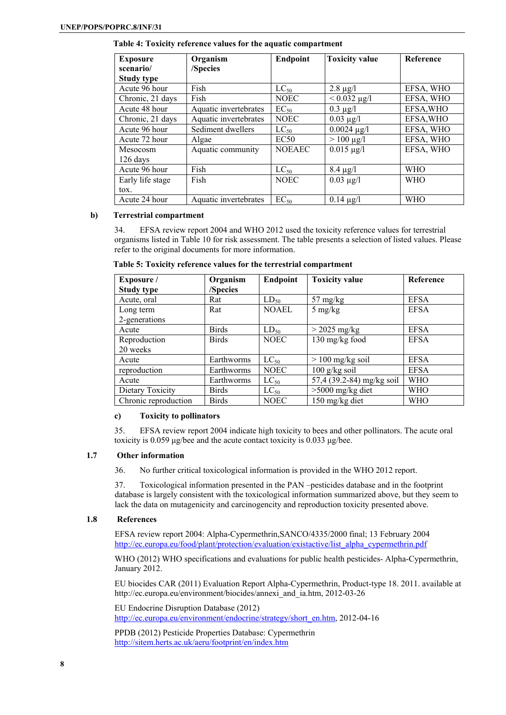| <b>Exposure</b>   | Organism              | Endpoint      | <b>Toxicity value</b> | Reference  |
|-------------------|-----------------------|---------------|-----------------------|------------|
| scenario/         | /Species              |               |                       |            |
| <b>Study type</b> |                       |               |                       |            |
| Acute 96 hour     | Fish                  | $LC_{50}$     | $2.8 \ \mu g/l$       | EFSA, WHO  |
| Chronic, 21 days  | Fish                  | <b>NOEC</b>   | $< 0.032 \mu g/l$     | EFSA, WHO  |
| Acute 48 hour     | Aquatic invertebrates | $EC_{50}$     | $0.3 \mu g/l$         | EFSA, WHO  |
| Chronic, 21 days  | Aquatic invertebrates | <b>NOEC</b>   | $0.03 \mu g/l$        | EFSA, WHO  |
| Acute 96 hour     | Sediment dwellers     | $LC_{50}$     | $0.0024 \mu g/l$      | EFSA, WHO  |
| Acute 72 hour     | Algae                 | EC50          | $> 100 \mu g/l$       | EFSA, WHO  |
| Mesocosm          | Aquatic community     | <b>NOEAEC</b> | $0.015 \mu g/l$       | EFSA, WHO  |
| 126 days          |                       |               |                       |            |
| Acute 96 hour     | Fish                  | $LC_{50}$     | $8.4 \mu g/l$         | <b>WHO</b> |
| Early life stage  | Fish                  | <b>NOEC</b>   | $0.03 \mu g/l$        | <b>WHO</b> |
| tox.              |                       |               |                       |            |
| Acute 24 hour     | Aquatic invertebrates | $EC_{50}$     | $0.14 \mu g/l$        | <b>WHO</b> |

**Table 4: Toxicity reference values for the aquatic compartment** 

#### **b) Terrestrial compartment**

34. EFSA review report 2004 and WHO 2012 used the toxicity reference values for terrestrial organisms listed in Table 10 for risk assessment. The table presents a selection of listed values. Please refer to the original documents for more information.

 **Table 5: Toxicity reference values for the terrestrial compartment** 

| Exposure /           | Organism     | <b>Endpoint</b> | <b>Toxicity value</b>     | <b>Reference</b> |
|----------------------|--------------|-----------------|---------------------------|------------------|
| <b>Study type</b>    | /Species     |                 |                           |                  |
| Acute, oral          | Rat          | $LD_{50}$       | $57 \text{ mg/kg}$        | <b>EFSA</b>      |
| Long term            | Rat          | <b>NOAEL</b>    | $5 \text{ mg/kg}$         | <b>EFSA</b>      |
| 2-generations        |              |                 |                           |                  |
| Acute                | <b>Birds</b> | $LD_{50}$       | $>$ 2025 mg/kg            | <b>EFSA</b>      |
| Reproduction         | <b>Birds</b> | <b>NOEC</b>     | 130 mg/kg food            | <b>EFSA</b>      |
| 20 weeks             |              |                 |                           |                  |
| Acute                | Earthworms   | $LC_{50}$       | $> 100$ mg/kg soil        | <b>EFSA</b>      |
| reproduction         | Earthworms   | <b>NOEC</b>     | $100$ g/kg soil           | <b>EFSA</b>      |
| Acute                | Earthworms   | $LC_{50}$       | 57,4 (39.2-84) mg/kg soil | <b>WHO</b>       |
| Dietary Toxicity     | <b>Birds</b> | $LC_{50}$       | $>5000$ mg/kg diet        | <b>WHO</b>       |
| Chronic reproduction | <b>Birds</b> | <b>NOEC</b>     | 150 mg/kg diet            | <b>WHO</b>       |

# **c) Toxicity to pollinators**

35. EFSA review report 2004 indicate high toxicity to bees and other pollinators. The acute oral toxicity is 0.059 μg/bee and the acute contact toxicity is 0.033 μg/bee.

# **1.7 Other information**

36. No further critical toxicological information is provided in the WHO 2012 report.

37. Toxicological information presented in the PAN –pesticides database and in the footprint database is largely consistent with the toxicological information summarized above, but they seem to lack the data on mutagenicity and carcinogencity and reproduction toxicity presented above.

# **1.8 References**

EFSA review report 2004: Alpha-Cypermethrin,SANCO/4335/2000 final; 13 February 2004 http://ec.europa.eu/food/plant/protection/evaluation/existactive/list\_alpha\_cypermethrin.pdf

WHO (2012) WHO specifications and evaluations for public health pesticides- Alpha-Cypermethrin, January 2012.

EU biocides CAR (2011) Evaluation Report Alpha-Cypermethrin, Product-type 18. 2011. available at http://ec.europa.eu/environment/biocides/annexi\_and\_ia.htm, 2012-03-26

EU Endocrine Disruption Database (2012) http://ec.europa.eu/environment/endocrine/strategy/short\_en.htm, 2012-04-16

PPDB (2012) Pesticide Properties Database: Cypermethrin http://sitem.herts.ac.uk/aeru/footprint/en/index.htm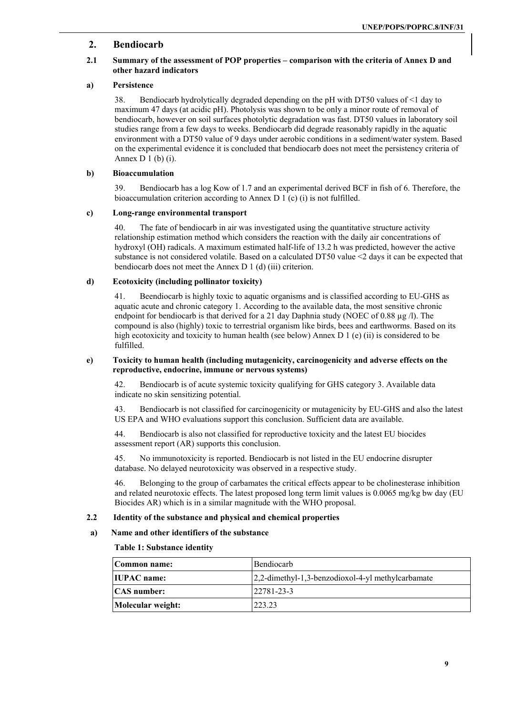# **2. Bendiocarb**

# **2.1 Summary of the assessment of POP properties – comparison with the criteria of Annex D and other hazard indicators**

# **a) Persistence**

38. Bendiocarb hydrolytically degraded depending on the pH with DT50 values of <1 day to maximum 47 days (at acidic pH). Photolysis was shown to be only a minor route of removal of bendiocarb, however on soil surfaces photolytic degradation was fast. DT50 values in laboratory soil studies range from a few days to weeks. Bendiocarb did degrade reasonably rapidly in the aquatic environment with a DT50 value of 9 days under aerobic conditions in a sediment/water system. Based on the experimental evidence it is concluded that bendiocarb does not meet the persistency criteria of Annex  $D_1$  (b) (i).

#### **b) Bioaccumulation**

39. Bendiocarb has a log Kow of 1.7 and an experimental derived BCF in fish of 6. Therefore, the bioaccumulation criterion according to Annex D 1 (c) (i) is not fulfilled.

# **c) Long-range environmental transport**

40. The fate of bendiocarb in air was investigated using the quantitative structure activity relationship estimation method which considers the reaction with the daily air concentrations of hydroxyl (OH) radicals. A maximum estimated half-life of 13.2 h was predicted, however the active substance is not considered volatile. Based on a calculated DT50 value <2 days it can be expected that bendiocarb does not meet the Annex D 1 (d) (iii) criterion.

#### **d) Ecotoxicity (including pollinator toxicity)**

41. Beendiocarb is highly toxic to aquatic organisms and is classified according to EU-GHS as aquatic acute and chronic category 1. According to the available data, the most sensitive chronic endpoint for bendiocarb is that derived for a 21 day Daphnia study (NOEC of 0.88  $\mu$ g /l). The compound is also (highly) toxic to terrestrial organism like birds, bees and earthworms. Based on its high ecotoxicity and toxicity to human health (see below) Annex D 1 (e) (ii) is considered to be fulfilled.

#### **e) Toxicity to human health (including mutagenicity, carcinogenicity and adverse effects on the reproductive, endocrine, immune or nervous systems)**

42. Bendiocarb is of acute systemic toxicity qualifying for GHS category 3. Available data indicate no skin sensitizing potential.

43. Bendiocarb is not classified for carcinogenicity or mutagenicity by EU-GHS and also the latest US EPA and WHO evaluations support this conclusion. Sufficient data are available.

44. Bendiocarb is also not classified for reproductive toxicity and the latest EU biocides assessment report (AR) supports this conclusion.

45. No immunotoxicity is reported. Bendiocarb is not listed in the EU endocrine disrupter database. No delayed neurotoxicity was observed in a respective study.

46. Belonging to the group of carbamates the critical effects appear to be cholinesterase inhibition and related neurotoxic effects. The latest proposed long term limit values is 0.0065 mg/kg bw day (EU Biocides AR) which is in a similar magnitude with the WHO proposal.

# **2.2 Identity of the substance and physical and chemical properties**

# **a) Name and other identifiers of the substance**

#### **Table 1: Substance identity**

| Bendiocarb<br>Common name: |                                                       |
|----------------------------|-------------------------------------------------------|
| <b>IIUPAC</b> name:        | $[2,2$ -dimethyl-1,3-benzodioxol-4-yl methylcarbamate |
| <b>CAS</b> number:         | $22781 - 23 - 3$                                      |
| Molecular weight:          | 223.23                                                |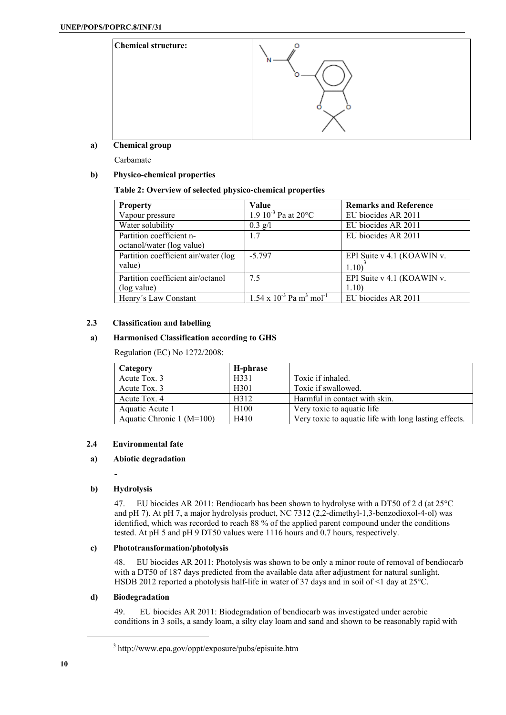

**a) Chemical group** 

Carbamate

# **b) Physico-chemical properties**

# **Table 2: Overview of selected physico-chemical properties**

| <b>Property</b>                      | Value                                                      | <b>Remarks and Reference</b> |
|--------------------------------------|------------------------------------------------------------|------------------------------|
| Vapour pressure                      | 1.9 $10^{-3}$ Pa at $20^{\circ}$ C                         | EU biocides AR 2011          |
| Water solubility                     | $0.3$ g/l                                                  | EU biocides AR 2011          |
| Partition coefficient n-             | 1.7                                                        | EU biocides AR 2011          |
| octanol/water (log value)            |                                                            |                              |
| Partition coefficient air/water (log | $-5.797$                                                   | EPI Suite v 4.1 (KOAWIN v.   |
| value)                               |                                                            | 1.10)                        |
| Partition coefficient air/octanol    | 7.5                                                        | EPI Suite v 4.1 (KOAWIN v.   |
| (log value)                          |                                                            | 1.10)                        |
| Henry's Law Constant                 | $1.54 \times 10^{-3}$ Pa $\overline{m^3 \text{ mol}^{-1}}$ | EU biocides AR 2011          |

# **2.3 Classification and labelling**

# **a) Harmonised Classification according to GHS**

Regulation (EC) No 1272/2008:

| Category                    | H-phrase         |                                                       |
|-----------------------------|------------------|-------------------------------------------------------|
| Acute Tox. 3                | H331             | Toxic if inhaled.                                     |
| Acute Tox. 3                | H <sub>301</sub> | Toxic if swallowed.                                   |
| Acute Tox. 4                | H312             | Harmful in contact with skin.                         |
| Aquatic Acute 1             | H <sub>100</sub> | Very toxic to aquatic life.                           |
| Aquatic Chronic $1 (M=100)$ | H410             | Very toxic to aquatic life with long lasting effects. |

# **2.4 Environmental fate**

# **a) Abiotic degradation**

# **b) Hydrolysis**

**-** 

47. EU biocides AR 2011: Bendiocarb has been shown to hydrolyse with a DT50 of 2 d (at 25°C and pH 7). At pH 7, a major hydrolysis product, NC 7312 (2,2-dimethyl-1,3-benzodioxol-4-ol) was identified, which was recorded to reach 88 % of the applied parent compound under the conditions tested. At pH 5 and pH 9 DT50 values were 1116 hours and 0.7 hours, respectively.

# **c) Phototransformation/photolysis**

48. EU biocides AR 2011: Photolysis was shown to be only a minor route of removal of bendiocarb with a DT50 of 187 days predicted from the available data after adjustment for natural sunlight. HSDB 2012 reported a photolysis half-life in water of 37 days and in soil of <1 day at 25°C.

# **d) Biodegradation**

49. EU biocides AR 2011: Biodegradation of bendiocarb was investigated under aerobic conditions in 3 soils, a sandy loam, a silty clay loam and sand and shown to be reasonably rapid with

<sup>3</sup> http://www.epa.gov/oppt/exposure/pubs/episuite.htm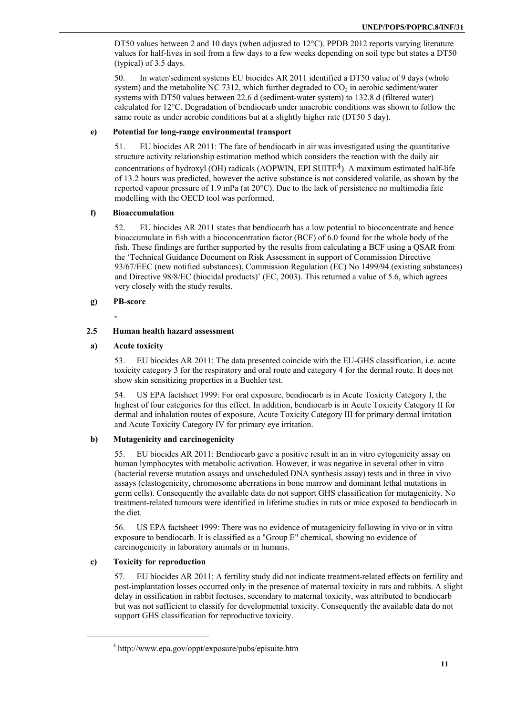DT50 values between 2 and 10 days (when adjusted to 12<sup>o</sup>C). PPDB 2012 reports varying literature values for half-lives in soil from a few days to a few weeks depending on soil type but states a DT50 (typical) of 3.5 days.

50. In water/sediment systems EU biocides AR 2011 identified a DT50 value of 9 days (whole system) and the metabolite NC 7312, which further degraded to  $CO<sub>2</sub>$  in aerobic sediment/water systems with DT50 values between 22.6 d (sediment-water system) to 132.8 d (filtered water) calculated for 12°C. Degradation of bendiocarb under anaerobic conditions was shown to follow the same route as under aerobic conditions but at a slightly higher rate (DT50 5 day).

# **e) Potential for long-range environmental transport**

51. EU biocides AR 2011: The fate of bendiocarb in air was investigated using the quantitative structure activity relationship estimation method which considers the reaction with the daily air concentrations of hydroxyl (OH) radicals (AOPWIN, EPI SUITE<sup>4</sup>). A maximum estimated half-life of 13.2 hours was predicted, however the active substance is not considered volatile, as shown by the reported vapour pressure of 1.9 mPa (at 20°C). Due to the lack of persistence no multimedia fate modelling with the OECD tool was performed.

# **f) Bioaccumulation**

52. EU biocides AR 2011 states that bendiocarb has a low potential to bioconcentrate and hence bioaccumulate in fish with a bioconcentration factor (BCF) of 6.0 found for the whole body of the fish. These findings are further supported by the results from calculating a BCF using a QSAR from the 'Technical Guidance Document on Risk Assessment in support of Commission Directive 93/67/EEC (new notified substances), Commission Regulation (EC) No 1499/94 (existing substances) and Directive 98/8/EC (biocidal products)' (EC, 2003). This returned a value of 5.6, which agrees very closely with the study results.

# **g) PB-score**

**-** 

# **2.5 Human health hazard assessment**

# **a) Acute toxicity**

53. EU biocides AR 2011: The data presented coincide with the EU-GHS classification, i.e. acute toxicity category 3 for the respiratory and oral route and category 4 for the dermal route. It does not show skin sensitizing properties in a Buehler test.

54. US EPA factsheet 1999: For oral exposure, bendiocarb is in Acute Toxicity Category I, the highest of four categories for this effect. In addition, bendiocarb is in Acute Toxicity Category II for dermal and inhalation routes of exposure, Acute Toxicity Category III for primary dermal irritation and Acute Toxicity Category IV for primary eye irritation.

# **b) Mutagenicity and carcinogenicity**

55. EU biocides AR 2011: Bendiocarb gave a positive result in an in vitro cytogenicity assay on human lymphocytes with metabolic activation. However, it was negative in several other in vitro (bacterial reverse mutation assays and unscheduled DNA synthesis assay) tests and in three in vivo assays (clastogenicity, chromosome aberrations in bone marrow and dominant lethal mutations in germ cells). Consequently the available data do not support GHS classification for mutagenicity. No treatment-related tumours were identified in lifetime studies in rats or mice exposed to bendiocarb in the diet.

56. US EPA factsheet 1999: There was no evidence of mutagenicity following in vivo or in vitro exposure to bendiocarb. It is classified as a "Group E" chemical, showing no evidence of carcinogenicity in laboratory animals or in humans.

# **c) Toxicity for reproduction**

57. EU biocides AR 2011: A fertility study did not indicate treatment-related effects on fertility and post-implantation losses occurred only in the presence of maternal toxicity in rats and rabbits. A slight delay in ossification in rabbit foetuses, secondary to maternal toxicity, was attributed to bendiocarb but was not sufficient to classify for developmental toxicity. Consequently the available data do not support GHS classification for reproductive toxicity.

<sup>4</sup> http://www.epa.gov/oppt/exposure/pubs/episuite.htm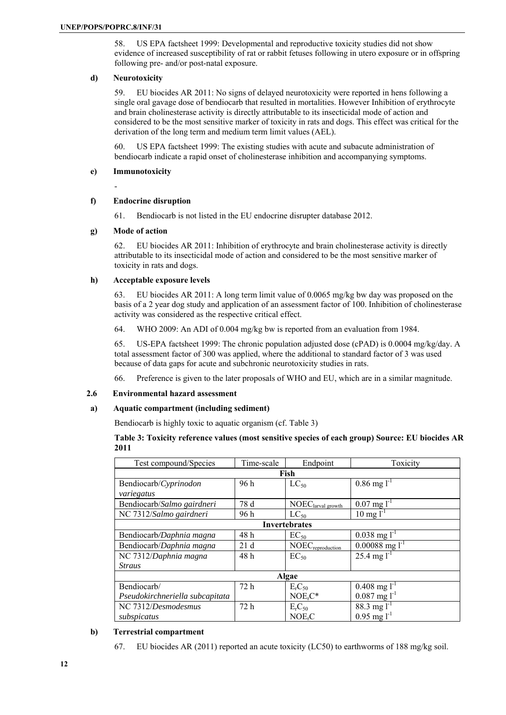58. US EPA factsheet 1999: Developmental and reproductive toxicity studies did not show evidence of increased susceptibility of rat or rabbit fetuses following in utero exposure or in offspring following pre- and/or post-natal exposure.

### **d) Neurotoxicity**

59. EU biocides AR 2011: No signs of delayed neurotoxicity were reported in hens following a single oral gavage dose of bendiocarb that resulted in mortalities. However Inhibition of erythrocyte and brain cholinesterase activity is directly attributable to its insecticidal mode of action and considered to be the most sensitive marker of toxicity in rats and dogs. This effect was critical for the derivation of the long term and medium term limit values (AEL).

60. US EPA factsheet 1999: The existing studies with acute and subacute administration of bendiocarb indicate a rapid onset of cholinesterase inhibition and accompanying symptoms.

### **e) Immunotoxicity**

-

# **f) Endocrine disruption**

61. Bendiocarb is not listed in the EU endocrine disrupter database 2012.

# **g) Mode of action**

62. EU biocides AR 2011: Inhibition of erythrocyte and brain cholinesterase activity is directly attributable to its insecticidal mode of action and considered to be the most sensitive marker of toxicity in rats and dogs.

# **h) Acceptable exposure levels**

63. EU biocides AR 2011: A long term limit value of 0.0065 mg/kg bw day was proposed on the basis of a 2 year dog study and application of an assessment factor of 100. Inhibition of cholinesterase activity was considered as the respective critical effect.

64. WHO 2009: An ADI of 0.004 mg/kg bw is reported from an evaluation from 1984.

65. US-EPA factsheet 1999: The chronic population adjusted dose (cPAD) is 0.0004 mg/kg/day. A total assessment factor of 300 was applied, where the additional to standard factor of 3 was used because of data gaps for acute and subchronic neurotoxicity studies in rats.

66. Preference is given to the later proposals of WHO and EU, which are in a similar magnitude.

# **2.6 Environmental hazard assessment**

# **a) Aquatic compartment (including sediment)**

Bendiocarb is highly toxic to aquatic organism (cf. Table 3)

# **Table 3: Toxicity reference values (most sensitive species of each group) Source: EU biocides AR 2011**

| Test compound/Species           | Time-scale | Endpoint                       | Toxicity                          |  |  |  |  |
|---------------------------------|------------|--------------------------------|-----------------------------------|--|--|--|--|
|                                 | Fish       |                                |                                   |  |  |  |  |
| Bendiocarb/Cyprinodon           | 96h        | $LC_{50}$                      | $0.86 \text{ mg}$ l <sup>-1</sup> |  |  |  |  |
| variegatus                      |            |                                |                                   |  |  |  |  |
| Bendiocarb/Salmo gairdneri      | 78 d       | NOEC <sub>larval</sub> growth  | $0.07 \text{ mg} l^{-1}$          |  |  |  |  |
| NC 7312/Salmo gairdneri         | 96 h       | $LC_{50}$                      | $10 \text{ mg} l^{-1}$            |  |  |  |  |
|                                 |            | <b>Invertebrates</b>           |                                   |  |  |  |  |
| Bendiocarb/Daphnia magna        | 48h        | $EC_{50}$                      | $0.038$ mg l <sup>-1</sup>        |  |  |  |  |
| Bendiocarb/Daphnia magna        | 21d        | NOEC <sub>reproduction</sub>   | $0.00088$ mg l <sup>-1</sup>      |  |  |  |  |
| NC 7312/Daphnia magna           | 48h        | $EC_{50}$                      | $25.4 \text{ mg}$ <sup>1-1</sup>  |  |  |  |  |
| <b>Straus</b>                   |            |                                |                                   |  |  |  |  |
| Algae                           |            |                                |                                   |  |  |  |  |
| Bendiocarb/                     | 72 h       | E <sub>r</sub> C <sub>50</sub> | $0.408$ mg l <sup>-1</sup>        |  |  |  |  |
| Pseudokirchneriella subcapitata |            | $NOErC*$                       | $0.087$ mg $l^{-1}$               |  |  |  |  |
| NC 7312/Desmodesmus             | 72 h       | E <sub>r</sub> C <sub>50</sub> | 88.3 mg $l^{-1}$                  |  |  |  |  |
| subspicatus                     |            | NOE <sub>r</sub> C             | $0.95$ mg $1^{-1}$                |  |  |  |  |

# **b) Terrestrial compartment**

67. EU biocides AR (2011) reported an acute toxicity (LC50) to earthworms of 188 mg/kg soil.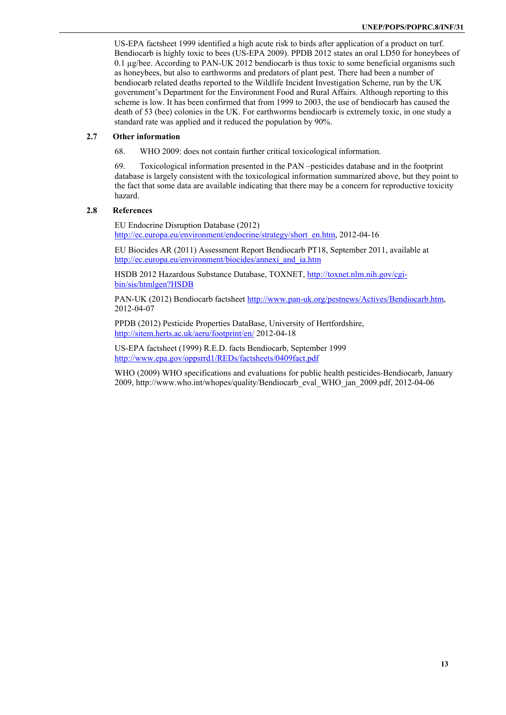US-EPA factsheet 1999 identified a high acute risk to birds after application of a product on turf. Bendiocarb is highly toxic to bees (US-EPA 2009). PPDB 2012 states an oral LD50 for honeybees of 0.1 µg/bee. According to PAN-UK 2012 bendiocarb is thus toxic to some beneficial organisms such as honeybees, but also to earthworms and predators of plant pest. There had been a number of bendiocarb related deaths reported to the Wildlife Incident Investigation Scheme, run by the UK government's Department for the Environment Food and Rural Affairs. Although reporting to this scheme is low. It has been confirmed that from 1999 to 2003, the use of bendiocarb has caused the death of 53 (bee) colonies in the UK. For earthworms bendiocarb is extremely toxic, in one study a standard rate was applied and it reduced the population by 90%.

# **2.7 Other information**

68. WHO 2009: does not contain further critical toxicological information.

69. Toxicological information presented in the PAN –pesticides database and in the footprint database is largely consistent with the toxicological information summarized above, but they point to the fact that some data are available indicating that there may be a concern for reproductive toxicity hazard.

### **2.8 References**

EU Endocrine Disruption Database (2012) http://ec.europa.eu/environment/endocrine/strategy/short\_en.htm, 2012-04-16

EU Biocides AR (2011) Assessment Report Bendiocarb PT18, September 2011, available at http://ec.europa.eu/environment/biocides/annexi\_and\_ia.htm

HSDB 2012 Hazardous Substance Database, TOXNET, http://toxnet.nlm.nih.gov/cgibin/sis/htmlgen?HSDB

PAN-UK (2012) Bendiocarb factsheet http://www.pan-uk.org/pestnews/Actives/Bendiocarb.htm, 2012-04-07

PPDB (2012) Pesticide Properties DataBase, University of Hertfordshire, http://sitem.herts.ac.uk/aeru/footprint/en/ 2012-04-18

US-EPA factsheet (1999) R.E.D. facts Bendiocarb, September 1999 http://www.epa.gov/oppsrrd1/REDs/factsheets/0409fact.pdf

WHO (2009) WHO specifications and evaluations for public health pesticides-Bendiocarb, January 2009, http://www.who.int/whopes/quality/Bendiocarb\_eval\_WHO\_jan\_2009.pdf, 2012-04-06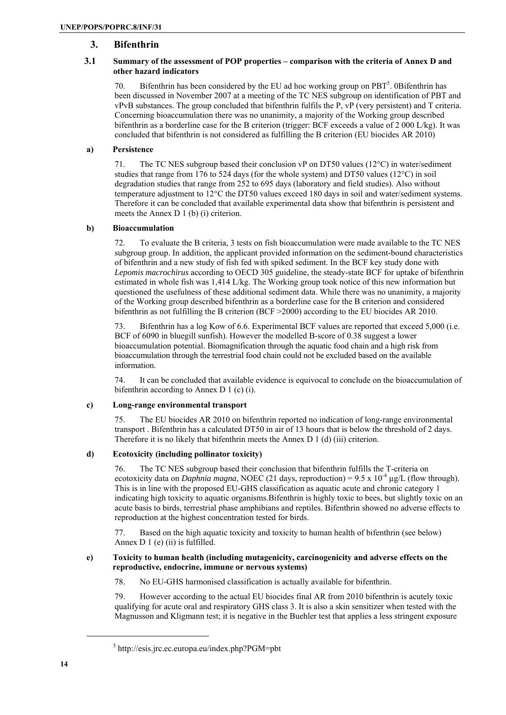# **3. Bifenthrin**

# **3.1 Summary of the assessment of POP properties – comparison with the criteria of Annex D and other hazard indicators**

70. Bifenthrin has been considered by the EU ad hoc working group on  $PBT<sup>5</sup>$ . 0Bifenthrin has been discussed in November 2007 at a meeting of the TC NES subgroup on identification of PBT and vPvB substances. The group concluded that bifenthrin fulfils the P, vP (very persistent) and T criteria. Concerning bioaccumulation there was no unanimity, a majority of the Working group described bifenthrin as a borderline case for the B criterion (trigger: BCF exceeds a value of 2 000 L/kg). It was concluded that bifenthrin is not considered as fulfilling the B criterion (EU biocides AR 2010)

# **a) Persistence**

71. The TC NES subgroup based their conclusion vP on DT50 values (12°C) in water/sediment studies that range from 176 to 524 days (for the whole system) and DT50 values (12°C) in soil degradation studies that range from 252 to 695 days (laboratory and field studies). Also without temperature adjustment to 12°C the DT50 values exceed 180 days in soil and water/sediment systems. Therefore it can be concluded that available experimental data show that bifenthrin is persistent and meets the Annex D 1 (b) (i) criterion.

# **b) Bioaccumulation**

72. To evaluate the B criteria, 3 tests on fish bioaccumulation were made available to the TC NES subgroup group. In addition, the applicant provided information on the sediment-bound characteristics of bifenthrin and a new study of fish fed with spiked sediment. In the BCF key study done with *Lepomis macrochirus* according to OECD 305 guideline, the steady-state BCF for uptake of bifenthrin estimated in whole fish was 1,414 L/kg. The Working group took notice of this new information but questioned the usefulness of these additional sediment data. While there was no unanimity, a majority of the Working group described bifenthrin as a borderline case for the B criterion and considered bifenthrin as not fulfilling the B criterion (BCF >2000) according to the EU biocides AR 2010.

73. Bifenthrin has a log Kow of 6.6. Experimental BCF values are reported that exceed 5,000 (i.e. BCF of 6090 in bluegill sunfish). However the modelled B-score of 0.38 suggest a lower bioaccumulation potential. Biomagnification through the aquatic food chain and a high risk from bioaccumulation through the terrestrial food chain could not be excluded based on the available information.

74. It can be concluded that available evidence is equivocal to conclude on the bioaccumulation of bifenthrin according to Annex D 1 (c) (i).

# **c) Long-range environmental transport**

75. The EU biocides AR 2010 on bifenthrin reported no indication of long-range environmental transport . Bifenthrin has a calculated DT50 in air of 13 hours that is below the threshold of 2 days. Therefore it is no likely that bifenthrin meets the Annex D 1 (d) (iii) criterion.

# **d) Ecotoxicity (including pollinator toxicity)**

76. The TC NES subgroup based their conclusion that bifenthrin fulfills the T-criteria on ecotoxicity data on *Daphnia magna*, NOEC (21 days, reproduction) =  $9.5 \times 10^{-4}$  µg/L (flow through). This is in line with the proposed EU-GHS classification as aquatic acute and chronic category 1 indicating high toxicity to aquatic organisms.Bifenthrin is highly toxic to bees, but slightly toxic on an acute basis to birds, terrestrial phase amphibians and reptiles. Bifenthrin showed no adverse effects to reproduction at the highest concentration tested for birds.

77. Based on the high aquatic toxicity and toxicity to human health of bifenthrin (see below) Annex D 1 (e) (ii) is fulfilled.

# **e) Toxicity to human health (including mutagenicity, carcinogenicity and adverse effects on the reproductive, endocrine, immune or nervous systems)**

78. No EU-GHS harmonised classification is actually available for bifenthrin.

79. However according to the actual EU biocides final AR from 2010 bifenthrin is acutely toxic qualifying for acute oral and respiratory GHS class 3. It is also a skin sensitizer when tested with the Magnusson and Kligmann test; it is negative in the Buehler test that applies a less stringent exposure

<sup>5</sup> http://esis.jrc.ec.europa.eu/index.php?PGM=pbt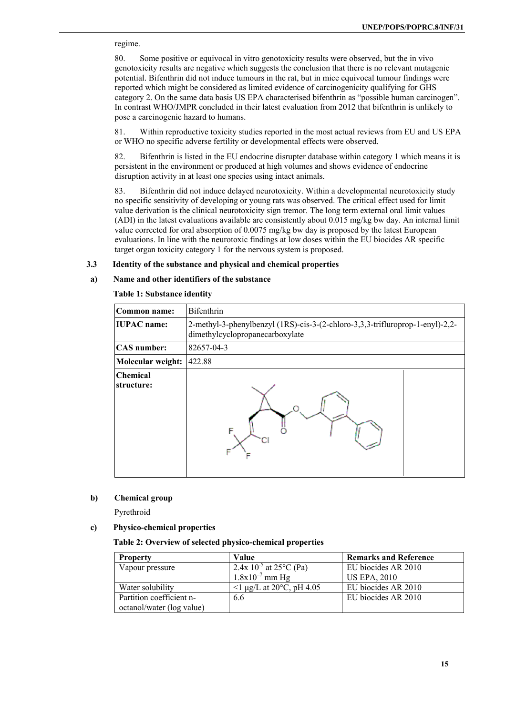regime.

80. Some positive or equivocal in vitro genotoxicity results were observed, but the in vivo genotoxicity results are negative which suggests the conclusion that there is no relevant mutagenic potential. Bifenthrin did not induce tumours in the rat, but in mice equivocal tumour findings were reported which might be considered as limited evidence of carcinogenicity qualifying for GHS category 2. On the same data basis US EPA characterised bifenthrin as "possible human carcinogen". In contrast WHO/JMPR concluded in their latest evaluation from 2012 that bifenthrin is unlikely to pose a carcinogenic hazard to humans.

81. Within reproductive toxicity studies reported in the most actual reviews from EU and US EPA or WHO no specific adverse fertility or developmental effects were observed.

82. Bifenthrin is listed in the EU endocrine disrupter database within category 1 which means it is persistent in the environment or produced at high volumes and shows evidence of endocrine disruption activity in at least one species using intact animals.

83. Bifenthrin did not induce delayed neurotoxicity. Within a developmental neurotoxicity study no specific sensitivity of developing or young rats was observed. The critical effect used for limit value derivation is the clinical neurotoxicity sign tremor. The long term external oral limit values (ADI) in the latest evaluations available are consistently about 0.015 mg/kg bw day. An internal limit value corrected for oral absorption of 0.0075 mg/kg bw day is proposed by the latest European evaluations. In line with the neurotoxic findings at low doses within the EU biocides AR specific target organ toxicity category 1 for the nervous system is proposed.

#### **3.3 Identity of the substance and physical and chemical properties**

### **a) Name and other identifiers of the substance**

# **Table 1: Substance identity**

| Common name:                  | <b>Bifenthrin</b>                                                                                                |  |  |
|-------------------------------|------------------------------------------------------------------------------------------------------------------|--|--|
| <b>IUPAC</b> name:            | 2-methyl-3-phenylbenzyl (1RS)-cis-3-(2-chloro-3,3,3-trifluroprop-1-enyl)-2,2-<br>dimethylcyclopropanecarboxylate |  |  |
| <b>CAS</b> number:            | 82657-04-3                                                                                                       |  |  |
| Molecular weight:             | 422.88                                                                                                           |  |  |
| <b>Chemical</b><br>structure: |                                                                                                                  |  |  |

#### **b) Chemical group**

Pyrethroid

# **c) Physico-chemical properties**

#### **Table 2: Overview of selected physico-chemical properties**

| <b>Property</b>           | Value                                    | <b>Remarks and Reference</b> |
|---------------------------|------------------------------------------|------------------------------|
| Vapour pressure           | 2.4x $10^{-5}$ at 25 <sup>o</sup> C (Pa) | EU biocides AR 2010          |
|                           | $1.8x10^{-7}$ mm Hg                      | <b>US EPA, 2010</b>          |
| Water solubility          | $\leq 1$ µg/L at 20 $\degree$ C, pH 4.05 | EU biocides AR 2010          |
| Partition coefficient n-  | 6.6                                      | EU biocides AR 2010          |
| octanol/water (log value) |                                          |                              |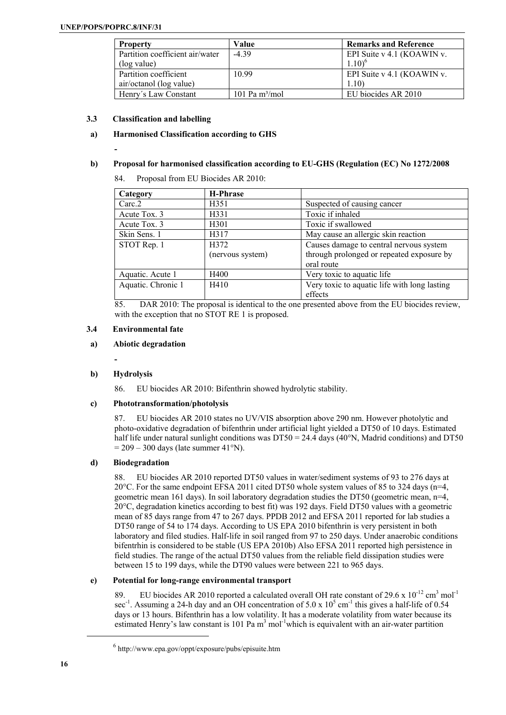**-** 

| <b>Property</b>                 | Value             | <b>Remarks and Reference</b> |
|---------------------------------|-------------------|------------------------------|
| Partition coefficient air/water | $-439$            | EPI Suite v 4.1 (KOAWIN v.   |
| (log value)                     |                   | $1.10$ <sup>6</sup>          |
| Partition coefficient           | 10.99             | EPI Suite v 4.1 (KOAWIN v.   |
| air/octanol (log value)         |                   | 1.10)                        |
| Henry's Law Constant            | 101 Pa $m^3$ /mol | EU biocides AR 2010          |

# **3.3 Classification and labelling**

# **a) Harmonised Classification according to GHS**

# **b) Proposal for harmonised classification according to EU-GHS (Regulation (EC) No 1272/2008**

84. Proposal from EU Biocides AR 2010:

| Category           | H-Phrase         |                                              |
|--------------------|------------------|----------------------------------------------|
| Carc.2             | H351             | Suspected of causing cancer                  |
| Acute Tox. 3       | H331             | Toxic if inhaled                             |
| Acute Tox. 3       | H301             | Toxic if swallowed                           |
| Skin Sens. 1       | H317             | May cause an allergic skin reaction          |
| STOT Rep. 1        | H372             | Causes damage to central nervous system      |
|                    | (nervous system) | through prolonged or repeated exposure by    |
|                    |                  | oral route                                   |
| Aquatic. Acute 1   | H400             | Very toxic to aquatic life                   |
| Aquatic. Chronic 1 | H410             | Very toxic to aquatic life with long lasting |
|                    |                  | effects                                      |

85. DAR 2010: The proposal is identical to the one presented above from the EU biocides review, with the exception that no STOT RE 1 is proposed.

# **3.4 Environmental fate**

# **a) Abiotic degradation**

**-** 

# **b) Hydrolysis**

86. EU biocides AR 2010: Bifenthrin showed hydrolytic stability.

# **c) Phototransformation/photolysis**

87. EU biocides AR 2010 states no UV/VIS absorption above 290 nm. However photolytic and photo-oxidative degradation of bifenthrin under artificial light yielded a DT50 of 10 days. Estimated half life under natural sunlight conditions was  $DT50 = 24.4$  days (40°N, Madrid conditions) and DT50  $= 209 - 300$  days (late summer 41°N).

# **d) Biodegradation**

88. EU biocides AR 2010 reported DT50 values in water/sediment systems of 93 to 276 days at 20°C. For the same endpoint EFSA 2011 cited DT50 whole system values of 85 to 324 days (n=4, geometric mean 161 days). In soil laboratory degradation studies the DT50 (geometric mean, n=4, 20°C, degradation kinetics according to best fit) was 192 days. Field DT50 values with a geometric mean of 85 days range from 47 to 267 days. PPDB 2012 and EFSA 2011 reported for lab studies a DT50 range of 54 to 174 days. According to US EPA 2010 bifenthrin is very persistent in both laboratory and filed studies. Half-life in soil ranged from 97 to 250 days. Under anaerobic conditions bifentrhin is considered to be stable (US EPA 2010b) Also EFSA 2011 reported high persistence in field studies. The range of the actual DT50 values from the reliable field dissipation studies were between 15 to 199 days, while the DT90 values were between 221 to 965 days.

# **e) Potential for long-range environmental transport**

89. EU biocides AR 2010 reported a calculated overall OH rate constant of 29.6 x  $10^{-12}$  cm<sup>3</sup> mol<sup>-1</sup> sec<sup>-1</sup>. Assuming a 24-h day and an OH concentration of 5.0 x  $10^5$  cm<sup>-1</sup> this gives a half-life of 0.54 days or 13 hours. Bifenthrin has a low volatility. It has a moderate volatility from water because its estimated Henry's law constant is 101 Pa  $m<sup>3</sup>$  mol<sup>-1</sup>which is equivalent with an air-water partition

<sup>6</sup> http://www.epa.gov/oppt/exposure/pubs/episuite.htm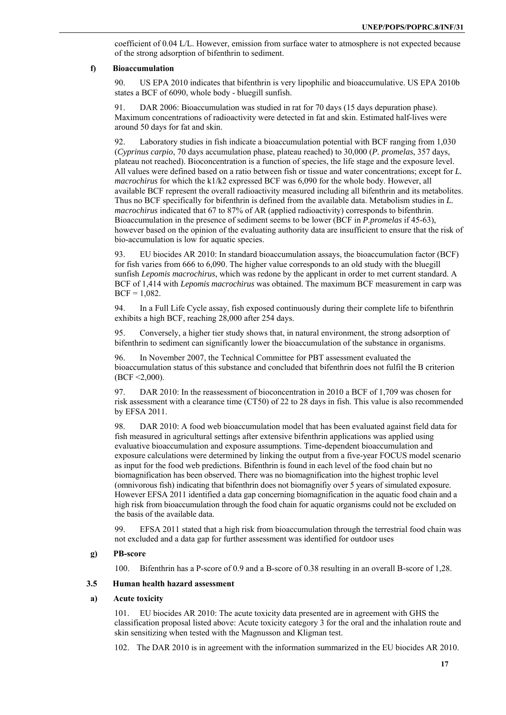coefficient of 0.04 L/L. However, emission from surface water to atmosphere is not expected because of the strong adsorption of bifenthrin to sediment.

#### **f) Bioaccumulation**

90. US EPA 2010 indicates that bifenthrin is very lipophilic and bioaccumulative. US EPA 2010b states a BCF of 6090, whole body - bluegill sunfish.

91. DAR 2006: Bioaccumulation was studied in rat for 70 days (15 days depuration phase). Maximum concentrations of radioactivity were detected in fat and skin. Estimated half-lives were around 50 days for fat and skin.

92. Laboratory studies in fish indicate a bioaccumulation potential with BCF ranging from 1,030 (*Cyprinus carpio*, 70 days accumulation phase, plateau reached) to 30,000 (*P. promelas*, 357 days, plateau not reached). Bioconcentration is a function of species, the life stage and the exposure level. All values were defined based on a ratio between fish or tissue and water concentrations; except for *L. macrochirus* for which the k1/k2 expressed BCF was 6,090 for the whole body. However, all available BCF represent the overall radioactivity measured including all bifenthrin and its metabolites. Thus no BCF specifically for bifenthrin is defined from the available data. Metabolism studies in *L. macrochirus* indicated that 67 to 87% of AR (applied radioactivity) corresponds to bifenthrin. Bioaccumulation in the presence of sediment seems to be lower (BCF in *P.promelas* if 45-63), however based on the opinion of the evaluating authority data are insufficient to ensure that the risk of bio-accumulation is low for aquatic species.

93. EU biocides AR 2010: In standard bioaccumulation assays, the bioaccumulation factor (BCF) for fish varies from 666 to 6,090. The higher value corresponds to an old study with the bluegill sunfish *Lepomis macrochirus*, which was redone by the applicant in order to met current standard. A BCF of 1,414 with *Lepomis macrochirus* was obtained. The maximum BCF measurement in carp was  $BCF = 1.082$ .

94. In a Full Life Cycle assay, fish exposed continuously during their complete life to bifenthrin exhibits a high BCF, reaching 28,000 after 254 days.

95. Conversely, a higher tier study shows that, in natural environment, the strong adsorption of bifenthrin to sediment can significantly lower the bioaccumulation of the substance in organisms.

96. In November 2007, the Technical Committee for PBT assessment evaluated the bioaccumulation status of this substance and concluded that bifenthrin does not fulfil the B criterion (BCF <2,000).

97. DAR 2010: In the reassessment of bioconcentration in 2010 a BCF of 1,709 was chosen for risk assessment with a clearance time (CT50) of 22 to 28 days in fish. This value is also recommended by EFSA 2011.

98. DAR 2010: A food web bioaccumulation model that has been evaluated against field data for fish measured in agricultural settings after extensive bifenthrin applications was applied using evaluative bioaccumulation and exposure assumptions. Time-dependent bioaccumulation and exposure calculations were determined by linking the output from a five-year FOCUS model scenario as input for the food web predictions. Bifenthrin is found in each level of the food chain but no biomagnification has been observed. There was no biomagnification into the highest trophic level (omnivorous fish) indicating that bifenthrin does not biomagnifiy over 5 years of simulated exposure. However EFSA 2011 identified a data gap concerning biomagnification in the aquatic food chain and a high risk from bioaccumulation through the food chain for aquatic organisms could not be excluded on the basis of the available data.

99. EFSA 2011 stated that a high risk from bioaccumulation through the terrestrial food chain was not excluded and a data gap for further assessment was identified for outdoor uses

# **g) PB-score**

100. Bifenthrin has a P-score of 0.9 and a B-score of 0.38 resulting in an overall B-score of 1,28.

#### **3.5 Human health hazard assessment**

# **a) Acute toxicity**

101. EU biocides AR 2010: The acute toxicity data presented are in agreement with GHS the classification proposal listed above: Acute toxicity category 3 for the oral and the inhalation route and skin sensitizing when tested with the Magnusson and Kligman test.

102. The DAR 2010 is in agreement with the information summarized in the EU biocides AR 2010.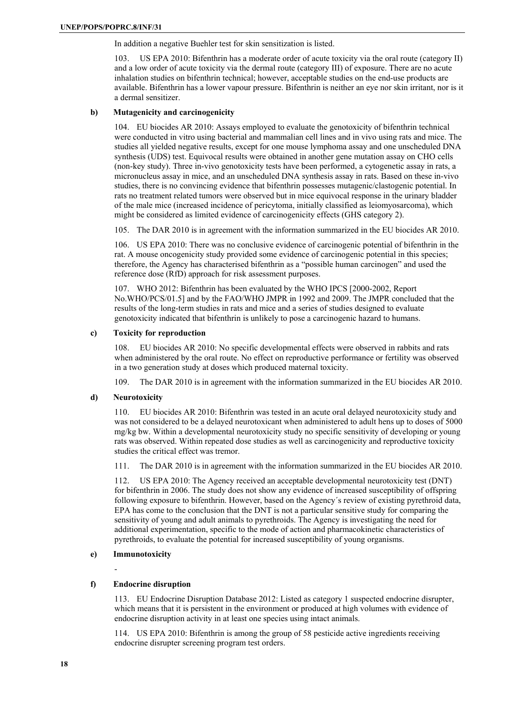In addition a negative Buehler test for skin sensitization is listed.

103. US EPA 2010: Bifenthrin has a moderate order of acute toxicity via the oral route (category II) and a low order of acute toxicity via the dermal route (category III) of exposure. There are no acute inhalation studies on bifenthrin technical; however, acceptable studies on the end-use products are available. Bifenthrin has a lower vapour pressure. Bifenthrin is neither an eye nor skin irritant, nor is it a dermal sensitizer.

### **b) Mutagenicity and carcinogenicity**

104. EU biocides AR 2010: Assays employed to evaluate the genotoxicity of bifenthrin technical were conducted in vitro using bacterial and mammalian cell lines and in vivo using rats and mice. The studies all yielded negative results, except for one mouse lymphoma assay and one unscheduled DNA synthesis (UDS) test. Equivocal results were obtained in another gene mutation assay on CHO cells (non-key study). Three in-vivo genotoxicity tests have been performed, a cytogenetic assay in rats, a micronucleus assay in mice, and an unscheduled DNA synthesis assay in rats. Based on these in-vivo studies, there is no convincing evidence that bifenthrin possesses mutagenic/clastogenic potential. In rats no treatment related tumors were observed but in mice equivocal response in the urinary bladder of the male mice (increased incidence of pericytoma, initially classified as leiomyosarcoma), which might be considered as limited evidence of carcinogenicity effects (GHS category 2).

105. The DAR 2010 is in agreement with the information summarized in the EU biocides AR 2010.

106. US EPA 2010: There was no conclusive evidence of carcinogenic potential of bifenthrin in the rat. A mouse oncogenicity study provided some evidence of carcinogenic potential in this species; therefore, the Agency has characterised bifenthrin as a "possible human carcinogen" and used the reference dose (RfD) approach for risk assessment purposes.

107. WHO 2012: Bifenthrin has been evaluated by the WHO IPCS [2000-2002, Report No.WHO/PCS/01.5] and by the FAO/WHO JMPR in 1992 and 2009. The JMPR concluded that the results of the long-term studies in rats and mice and a series of studies designed to evaluate genotoxicity indicated that bifenthrin is unlikely to pose a carcinogenic hazard to humans.

#### **c) Toxicity for reproduction**

108. EU biocides AR 2010: No specific developmental effects were observed in rabbits and rats when administered by the oral route. No effect on reproductive performance or fertility was observed in a two generation study at doses which produced maternal toxicity.

109. The DAR 2010 is in agreement with the information summarized in the EU biocides AR 2010.

# **d) Neurotoxicity**

110. EU biocides AR 2010: Bifenthrin was tested in an acute oral delayed neurotoxicity study and was not considered to be a delayed neurotoxicant when administered to adult hens up to doses of 5000 mg/kg bw. Within a developmental neurotoxicity study no specific sensitivity of developing or young rats was observed. Within repeated dose studies as well as carcinogenicity and reproductive toxicity studies the critical effect was tremor.

111. The DAR 2010 is in agreement with the information summarized in the EU biocides AR 2010.

112. US EPA 2010: The Agency received an acceptable developmental neurotoxicity test (DNT) for bifenthrin in 2006. The study does not show any evidence of increased susceptibility of offspring following exposure to bifenthrin. However, based on the Agency´s review of existing pyrethroid data, EPA has come to the conclusion that the DNT is not a particular sensitive study for comparing the sensitivity of young and adult animals to pyrethroids. The Agency is investigating the need for additional experimentation, specific to the mode of action and pharmacokinetic characteristics of pyrethroids, to evaluate the potential for increased susceptibility of young organisms.

# **e) Immunotoxicity**

-

# **f) Endocrine disruption**

113. EU Endocrine Disruption Database 2012: Listed as category 1 suspected endocrine disrupter, which means that it is persistent in the environment or produced at high volumes with evidence of endocrine disruption activity in at least one species using intact animals.

114. US EPA 2010: Bifenthrin is among the group of 58 pesticide active ingredients receiving endocrine disrupter screening program test orders.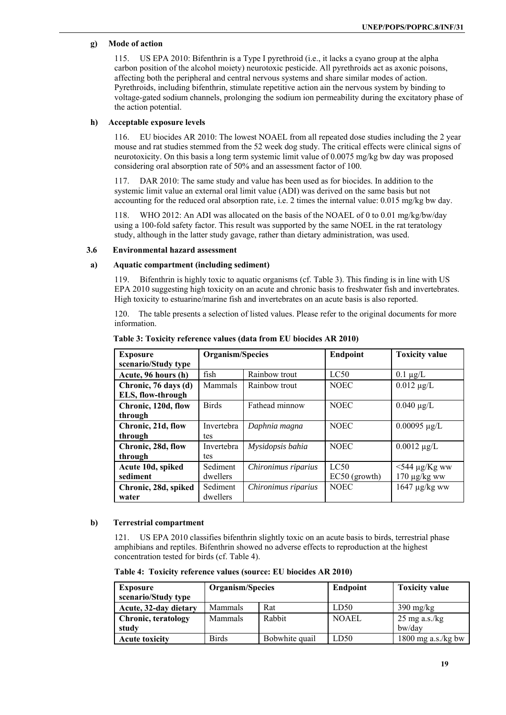# **g) Mode of action**

115. US EPA 2010: Bifenthrin is a Type I pyrethroid (i.e., it lacks a cyano group at the alpha carbon position of the alcohol moiety) neurotoxic pesticide. All pyrethroids act as axonic poisons, affecting both the peripheral and central nervous systems and share similar modes of action. Pyrethroids, including bifenthrin, stimulate repetitive action ain the nervous system by binding to voltage-gated sodium channels, prolonging the sodium ion permeability during the excitatory phase of the action potential.

#### **h) Acceptable exposure levels**

116. EU biocides AR 2010: The lowest NOAEL from all repeated dose studies including the 2 year mouse and rat studies stemmed from the 52 week dog study. The critical effects were clinical signs of neurotoxicity. On this basis a long term systemic limit value of 0.0075 mg/kg bw day was proposed considering oral absorption rate of 50% and an assessment factor of 100.

117. DAR 2010: The same study and value has been used as for biocides. In addition to the systemic limit value an external oral limit value (ADI) was derived on the same basis but not accounting for the reduced oral absorption rate, i.e. 2 times the internal value: 0.015 mg/kg bw day.

118. WHO 2012: An ADI was allocated on the basis of the NOAEL of 0 to 0.01 mg/kg/bw/day using a 100-fold safety factor. This result was supported by the same NOEL in the rat teratology study, although in the latter study gavage, rather than dietary administration, was used.

#### **3.6 Environmental hazard assessment**

### **a) Aquatic compartment (including sediment)**

119. Bifenthrin is highly toxic to aquatic organisms (cf. Table 3). This finding is in line with US EPA 2010 suggesting high toxicity on an acute and chronic basis to freshwater fish and invertebrates. High toxicity to estuarine/marine fish and invertebrates on an acute basis is also reported.

120. The table presents a selection of listed values. Please refer to the original documents for more information.

| <b>Exposure</b>      | Organism/Species |                     | <b>Endpoint</b> | <b>Toxicity value</b> |
|----------------------|------------------|---------------------|-----------------|-----------------------|
| scenario/Study type  |                  |                     |                 |                       |
| Acute, 96 hours (h)  | fish             | Rainbow trout       | LC50            | $0.1 \mu g/L$         |
| Chronic, 76 days (d) | Mammals          | Rainbow trout       | <b>NOEC</b>     | $0.012 \mu g/L$       |
| ELS, flow-through    |                  |                     |                 |                       |
| Chronic, 120d, flow  | <b>Birds</b>     | Fathead minnow      | <b>NOEC</b>     | $0.040 \mu g/L$       |
| through              |                  |                     |                 |                       |
| Chronic, 21d, flow   | Invertebra       | Daphnia magna       | <b>NOEC</b>     | $0.00095 \mu g/L$     |
| through              | tes              |                     |                 |                       |
| Chronic, 28d, flow   | Invertebra       | Mysidopsis bahia    | <b>NOEC</b>     | $0.0012 \mu g/L$      |
| through              | tes              |                     |                 |                       |
| Acute 10d, spiked    | Sediment         | Chironimus riparius | LC50            | $<$ 544 µg/Kg ww      |
| sediment             | dwellers         |                     | EC50 (growth)   | $170 \mu g/kg$ ww     |
| Chronic, 28d, spiked | Sediment         | Chironimus riparius | <b>NOEC</b>     | $1647 \mu g/kg$ ww    |
| water                | dwellers         |                     |                 |                       |

**Table 3: Toxicity reference values (data from EU biocides AR 2010)** 

#### **b) Terrestrial compartment**

121. US EPA 2010 classifies bifenthrin slightly toxic on an acute basis to birds, terrestrial phase amphibians and reptiles. Bifenthrin showed no adverse effects to reproduction at the highest concentration tested for birds (cf. Table 4).

**Table 4: Toxicity reference values (source: EU biocides AR 2010)** 

| <b>Exposure</b><br>scenario/Study type | Organism/Species |                | Endpoint     | <b>Toxicity value</b>   |
|----------------------------------------|------------------|----------------|--------------|-------------------------|
| Acute, 32-day dietary                  | Mammals          | Rat            | LD50         | $390 \text{ mg/kg}$     |
| <b>Chronic, teratology</b>             | Mammals          | Rabbit         | <b>NOAEL</b> | $25 \text{ mg a.s./kg}$ |
| study                                  |                  |                |              | bw/day                  |
| <b>Acute toxicity</b>                  | <b>Birds</b>     | Bobwhite quail | LD50         | 1800 mg $a.s./kg$ bw    |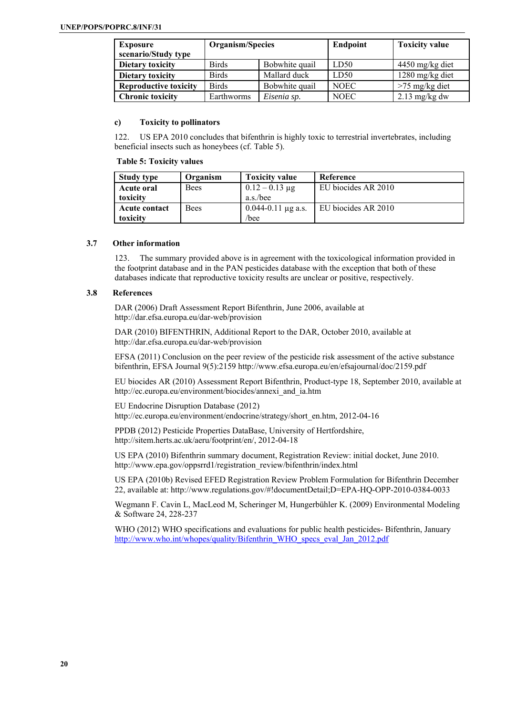| <b>Exposure</b><br>scenario/Study type | Organism/Species |                | Endpoint    | <b>Toxicity value</b> |
|----------------------------------------|------------------|----------------|-------------|-----------------------|
| Dietary toxicity                       | <b>Birds</b>     | Bobwhite quail | LD50        | $4450$ mg/kg diet     |
| Dietary toxicity                       | <b>Birds</b>     | Mallard duck   | LD50        | 1280 mg/kg diet       |
| <b>Reproductive toxicity</b>           | <b>Birds</b>     | Bobwhite quail | <b>NOEC</b> | $>75$ mg/kg diet      |
| <b>Chronic toxicity</b>                | Earthworms       | Eisenia sp.    | <b>NOEC</b> | $2.13$ mg/kg dw       |

#### **c) Toxicity to pollinators**

122. US EPA 2010 concludes that bifenthrin is highly toxic to terrestrial invertebrates, including beneficial insects such as honeybees (cf. Table 5).

#### **Table 5: Toxicity values**

| <b>Study type</b>    | Organism    | <b>Toxicity value</b>  | Reference           |
|----------------------|-------------|------------------------|---------------------|
| Acute oral           | <b>Bees</b> | $0.12 - 0.13 \mu g$    | EU biocides AR 2010 |
| toxicity             |             | a.s./bee               |                     |
| <b>Acute contact</b> | <b>Bees</b> | $0.044 - 0.11$ µg a.s. | EU biocides AR 2010 |
| toxicity             |             | /bee                   |                     |

# **3.7 Other information**

123. The summary provided above is in agreement with the toxicological information provided in the footprint database and in the PAN pesticides database with the exception that both of these databases indicate that reproductive toxicity results are unclear or positive, respectively.

# **3.8 References**

DAR (2006) Draft Assessment Report Bifenthrin, June 2006, available at http://dar.efsa.europa.eu/dar-web/provision

DAR (2010) BIFENTHRIN, Additional Report to the DAR, October 2010, available at http://dar.efsa.europa.eu/dar-web/provision

EFSA (2011) Conclusion on the peer review of the pesticide risk assessment of the active substance bifenthrin, EFSA Journal 9(5):2159 http://www.efsa.europa.eu/en/efsajournal/doc/2159.pdf

EU biocides AR (2010) Assessment Report Bifenthrin, Product-type 18, September 2010, available at http://ec.europa.eu/environment/biocides/annexi\_and\_ia.htm

EU Endocrine Disruption Database (2012)

http://ec.europa.eu/environment/endocrine/strategy/short\_en.htm, 2012-04-16

PPDB (2012) Pesticide Properties DataBase, University of Hertfordshire, http://sitem.herts.ac.uk/aeru/footprint/en/, 2012-04-18

US EPA (2010) Bifenthrin summary document, Registration Review: initial docket, June 2010. http://www.epa.gov/oppsrrd1/registration\_review/bifenthrin/index.html

US EPA (2010b) Revised EFED Registration Review Problem Formulation for Bifenthrin December 22, available at: http://www.regulations.gov/#!documentDetail;D=EPA-HQ-OPP-2010-0384-0033

Wegmann F. Cavin L, MacLeod M, Scheringer M, Hungerbühler K. (2009) Environmental Modeling & Software 24, 228-237

WHO (2012) WHO specifications and evaluations for public health pesticides- Bifenthrin, January http://www.who.int/whopes/quality/Bifenthrin\_WHO\_specs\_eval\_Jan\_2012.pdf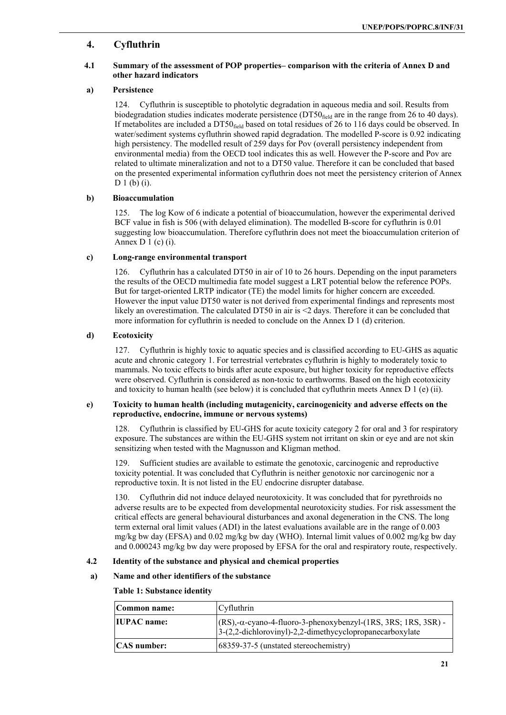# **4. Cyfluthrin**

# **4.1 Summary of the assessment of POP properties– comparison with the criteria of Annex D and other hazard indicators**

# **a) Persistence**

124. Cyfluthrin is susceptible to photolytic degradation in aqueous media and soil. Results from biodegradation studies indicates moderate persistence ( $DT50<sub>field</sub>$  are in the range from 26 to 40 days). If metabolites are included a DT50<sub>field</sub> based on total residues of 26 to 116 days could be observed. In water/sediment systems cyfluthrin showed rapid degradation. The modelled P-score is 0.92 indicating high persistency. The modelled result of 259 days for Pov (overall persistency independent from environmental media) from the OECD tool indicates this as well. However the P-score and Pov are related to ultimate mineralization and not to a DT50 value. Therefore it can be concluded that based on the presented experimental information cyfluthrin does not meet the persistency criterion of Annex D 1 (b) (i).

# **b) Bioaccumulation**

125. The log Kow of 6 indicate a potential of bioaccumulation, however the experimental derived BCF value in fish is 506 (with delayed elimination). The modelled B-score for cyfluthrin is 0.01 suggesting low bioaccumulation. Therefore cyfluthrin does not meet the bioaccumulation criterion of Annex D  $1$  (c) (i).

# **c) Long-range environmental transport**

126. Cyfluthrin has a calculated DT50 in air of 10 to 26 hours. Depending on the input parameters the results of the OECD multimedia fate model suggest a LRT potential below the reference POPs. But for target-oriented LRTP indicator (TE) the model limits for higher concern are exceeded. However the input value DT50 water is not derived from experimental findings and represents most likely an overestimation. The calculated DT50 in air is <2 days. Therefore it can be concluded that more information for cyfluthrin is needed to conclude on the Annex D 1 (d) criterion.

# **d) Ecotoxicity**

127. Cyfluthrin is highly toxic to aquatic species and is classified according to EU-GHS as aquatic acute and chronic category 1. For terrestrial vertebrates cyfluthrin is highly to moderately toxic to mammals. No toxic effects to birds after acute exposure, but higher toxicity for reproductive effects were observed. Cyfluthrin is considered as non-toxic to earthworms. Based on the high ecotoxicity and toxicity to human health (see below) it is concluded that cyfluthrin meets Annex D 1 (e) (ii).

#### **e) Toxicity to human health (including mutagenicity, carcinogenicity and adverse effects on the reproductive, endocrine, immune or nervous systems)**

128. Cyfluthrin is classified by EU-GHS for acute toxicity category 2 for oral and 3 for respiratory exposure. The substances are within the EU-GHS system not irritant on skin or eye and are not skin sensitizing when tested with the Magnusson and Kligman method.

129. Sufficient studies are available to estimate the genotoxic, carcinogenic and reproductive toxicity potential. It was concluded that Cyfluthrin is neither genotoxic nor carcinogenic nor a reproductive toxin. It is not listed in the EU endocrine disrupter database.

130. Cyfluthrin did not induce delayed neurotoxicity. It was concluded that for pyrethroids no adverse results are to be expected from developmental neurotoxicity studies. For risk assessment the critical effects are general behavioural disturbances and axonal degeneration in the CNS. The long term external oral limit values (ADI) in the latest evaluations available are in the range of 0.003 mg/kg bw day (EFSA) and 0.02 mg/kg bw day (WHO). Internal limit values of 0.002 mg/kg bw day and 0.000243 mg/kg bw day were proposed by EFSA for the oral and respiratory route, respectively.

# **4.2 Identity of the substance and physical and chemical properties**

# **a) Name and other identifiers of the substance**

# **Table 1: Substance identity**

| Common name:       | <b>Cyfluthrin</b>                                                                                                                            |
|--------------------|----------------------------------------------------------------------------------------------------------------------------------------------|
| <b>IUPAC</b> name: | $ (RS)$ ,- $\alpha$ -cyano-4-fluoro-3-phenoxybenzyl- $(1RS, 3RS, 1RS, 3SR)$ -<br>$3-(2,2$ -dichlorovinyl)-2,2-dimethycyclopropanecarboxylate |
| <b>CAS</b> number: | 68359-37-5 (unstated stereochemistry)                                                                                                        |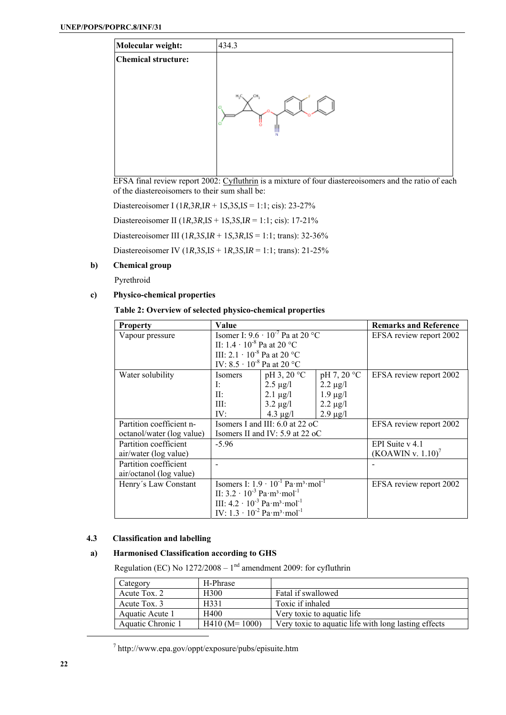

EFSA final review report 2002: Cyfluthrin is a mixture of four diastereoisomers and the ratio of each of the diastereoisomers to their sum shall be:

Diastereoisomer I (1*R*,3*R*,I*R* + 1*S*,3*S*,I*S* = 1:1; cis): 23-27% Diastereoisomer II (1*R*,3*R*,I*S* + 1*S*,3*S*,I*R* = 1:1; cis): 17-21%

Diastereoisomer III (1*R*,3*S*,I*R* + 1*S*,3*R*,I*S* = 1:1; trans): 32-36%

Diastereoisomer IV (1*R*,3*S*,I*S* + 1*R*,3*S*,I*R* = 1:1; trans): 21-25%

# **b) Chemical group**

Pyrethroid

# **c) Physico-chemical properties**

# **Table 2: Overview of selected physico-chemical properties**

| <b>Property</b>           | Value                                                        |                                   |               | <b>Remarks and Reference</b> |
|---------------------------|--------------------------------------------------------------|-----------------------------------|---------------|------------------------------|
| Vapour pressure           | Isomer I: $9.6 \cdot 10^{-7}$ Pa at 20 °C                    |                                   |               | EFSA review report 2002      |
|                           | II: $1.4 \cdot 10^{-8}$ Pa at 20 °C                          |                                   |               |                              |
|                           | III: 2.1 $\cdot$ 10 <sup>-8</sup> Pa at 20 °C                |                                   |               |                              |
|                           | IV: $8.5 \cdot 10^{-8}$ Pa at 20 °C                          |                                   |               |                              |
| Water solubility          | Isomers                                                      | $pH$ 3, 20 °C                     | pH 7, 20 °C   | EFSA review report 2002      |
|                           | I:                                                           | $2.5 \mu g/l$                     | $2.2 \mu g/l$ |                              |
|                           | $\Pi$ :                                                      | $2.1 \mu g/l$                     | $1.9 \mu g/l$ |                              |
|                           | III:                                                         | $3.2 \mu g/l$                     | $2.2 \mu g/l$ |                              |
|                           | IV:                                                          | 4.3 $\mu$ g/l                     | $2.9 \mu g/l$ |                              |
| Partition coefficient n-  |                                                              | Isomers I and III: 6.0 at 22 oC   |               | EFSA review report 2002      |
| octanol/water (log value) |                                                              | Isomers II and IV: $5.9$ at 22 oC |               |                              |
| Partition coefficient     | $-5.96$                                                      |                                   |               | EPI Suite $v$ 4.1            |
| air/water (log value)     |                                                              |                                   |               | (KOAWIN v. 1.10)             |
| Partition coefficient     |                                                              |                                   |               |                              |
| air/octanol (log value)   |                                                              |                                   |               |                              |
| Henry's Law Constant      | Isomers I: $1.9 \cdot 10^{-1}$ Pa $m^3$ mol <sup>-1</sup>    |                                   |               | EFSA review report 2002      |
|                           | II: $3.2 \cdot 10^{-3}$ Pa m <sup>3</sup> mol <sup>-1</sup>  |                                   |               |                              |
|                           | III: $4.2 \cdot 10^{-3}$ Pa m <sup>3</sup> mol <sup>-1</sup> |                                   |               |                              |
|                           | IV: $1.3 \cdot 10^{-2}$ Pa m <sup>3</sup> mol <sup>-1</sup>  |                                   |               |                              |

#### **4.3 Classification and labelling**

# **a) Harmonised Classification according to GHS**

Regulation (EC) No  $1272/2008 - 1<sup>nd</sup>$  amendment 2009: for cyfluthrin

| Category          | H-Phrase         |                                                      |
|-------------------|------------------|------------------------------------------------------|
| Acute Tox. 2      | H <sub>300</sub> | Fatal if swallowed                                   |
| Acute Tox. 3      | H331             | Toxic if inhaled                                     |
| Aquatic Acute 1   | H400             | Very toxic to aquatic life.                          |
| Aquatic Chronic 1 | $H410$ (M= 1000) | Very toxic to aquatic life with long lasting effects |

<sup>7</sup> http://www.epa.gov/oppt/exposure/pubs/episuite.htm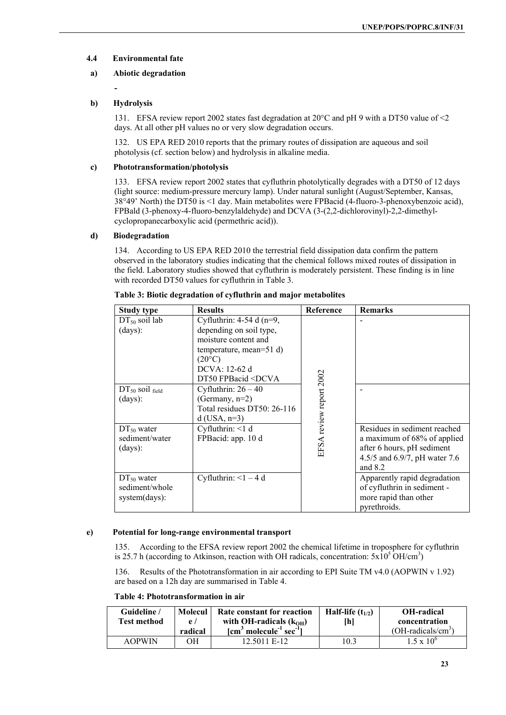# **4.4 Environmental fate**

# **a) Abiotic degradation**

**-** 

# **b) Hydrolysis**

131. EFSA review report 2002 states fast degradation at 20°C and pH 9 with a DT50 value of <2 days. At all other pH values no or very slow degradation occurs.

132. US EPA RED 2010 reports that the primary routes of dissipation are aqueous and soil photolysis (cf. section below) and hydrolysis in alkaline media.

# **c) Phototransformation/photolysis**

133. EFSA review report 2002 states that cyfluthrin photolytically degrades with a DT50 of 12 days (light source: medium-pressure mercury lamp). Under natural sunlight (August/September, Kansas, 38°49' North) the DT50 is <1 day. Main metabolites were FPBacid (4-fluoro-3-phenoxybenzoic acid), FPBald (3-phenoxy-4-fluoro-benzylaldehyde) and DCVA (3-(2,2-dichlorovinyl)-2,2-dimethylcyclopropanecarboxylic acid (permethric acid)).

#### **d) Biodegradation**

134. According to US EPA RED 2010 the terrestrial field dissipation data confirm the pattern observed in the laboratory studies indicating that the chemical follows mixed routes of dissipation in the field. Laboratory studies showed that cyfluthrin is moderately persistent. These finding is in line with recorded DT50 values for cyfluthrin in Table 3.

| <b>Study type</b>                                  | <b>Results</b>                                                                                                                                                                                          | Reference               | <b>Remarks</b>                                                                                                                          |
|----------------------------------------------------|---------------------------------------------------------------------------------------------------------------------------------------------------------------------------------------------------------|-------------------------|-----------------------------------------------------------------------------------------------------------------------------------------|
| $DT_{50}$ soil lab<br>(days):                      | Cyfluthrin: $4-54$ d (n=9,<br>depending on soil type,<br>moisture content and<br>temperature, mean=51 $d$ )<br>$(20^{\circ}C)$<br>DCVA: 12-62 d<br>DT50 FPBacid <dcva< td=""><td></td><td></td></dcva<> |                         |                                                                                                                                         |
| $DT_{50}$ soil field<br>(days):                    | Cyfluthrin: $26 - 40$<br>(Germany, $n=2$ )<br>Total residues DT50: 26-116<br>$d$ (USA, n=3)                                                                                                             | EFSA review report 2002 |                                                                                                                                         |
| $DT_{50}$ water<br>sediment/water<br>(days):       | Cyfluthrin: $<$ 1 d<br>FPBacid: app. 10 d                                                                                                                                                               |                         | Residues in sediment reached<br>a maximum of 68% of applied<br>after 6 hours, pH sediment<br>4.5/5 and 6.9/7, pH water 7.6<br>and $8.2$ |
| $DT_{50}$ water<br>sediment/whole<br>system(days): | Cyfluthrin: $\leq 1 - 4$ d                                                                                                                                                                              |                         | Apparently rapid degradation<br>of cyfluthrin in sediment -<br>more rapid than other<br>pyrethroids.                                    |

#### **Table 3: Biotic degradation of cyfluthrin and major metabolites**

#### **e) Potential for long-range environmental transport**

135. According to the EFSA review report 2002 the chemical lifetime in troposphere for cyfluthrin is 25.7 h (according to Atkinson, reaction with OH radicals, concentration:  $5x10^5$  OH/cm<sup>3</sup>)

136. Results of the Phototransformation in air according to EPI Suite TM v4.0 (AOPWIN v 1.92) are based on a 12h day are summarised in Table 4.

# **Table 4: Phototransformation in air**

| Guideline /   | Molecul  | Rate constant for reaction                                                 | Half-life $(t_{1/2})$ | <b>OH-radical</b>           |
|---------------|----------|----------------------------------------------------------------------------|-----------------------|-----------------------------|
| Test method   | $\rho$ / | with OH-radicals $(kOH)$                                                   | [h]                   | concentration               |
|               | radical  | $\lceil$ cm <sup>3</sup> molecule <sup>-1</sup> sec <sup>-1</sup> $\rceil$ |                       | $(OH\text{-}radicals/cm^3)$ |
| <b>AOPWIN</b> | OН       | 12.5011 E-12                                                               | 10.3                  | $1.5 \times 10^{6}$         |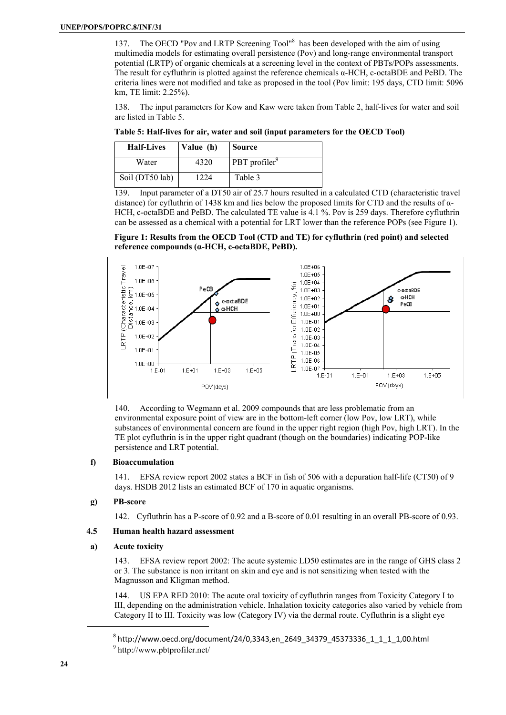137. The OECD "Pov and LRTP Screening Tool"<sup>8</sup> has been developed with the aim of using multimedia models for estimating overall persistence (Pov) and long-range environmental transport potential (LRTP) of organic chemicals at a screening level in the context of PBTs/POPs assessments. The result for cyfluthrin is plotted against the reference chemicals α-HCH, c-octaBDE and PeBD. The criteria lines were not modified and take as proposed in the tool (Pov limit: 195 days, CTD limit: 5096 km, TE limit: 2.25%).

138. The input parameters for Kow and Kaw were taken from Table 2, half-lives for water and soil are listed in Table 5.

**Table 5: Half-lives for air, water and soil (input parameters for the OECD Tool)** 

| <b>Half-Lives</b> | Value (h) | Source                    |
|-------------------|-----------|---------------------------|
| Water             | 4320      | PBT profiler <sup>9</sup> |
| Soil (DT50 lab)   | 1224      | Table 3                   |

139. Input parameter of a DT50 air of 25.7 hours resulted in a calculated CTD (characteristic travel distance) for cyfluthrin of 1438 km and lies below the proposed limits for CTD and the results of  $\alpha$ -HCH, c-octaBDE and PeBD. The calculated TE value is 4.1 %. Pov is 259 days. Therefore cyfluthrin can be assessed as a chemical with a potential for LRT lower than the reference POPs (see Figure 1).





140. According to Wegmann et al. 2009 compounds that are less problematic from an environmental exposure point of view are in the bottom-left corner (low Pov, low LRT), while substances of environmental concern are found in the upper right region (high Pov, high LRT). In the TE plot cyfluthrin is in the upper right quadrant (though on the boundaries) indicating POP-like persistence and LRT potential.

#### **f) Bioaccumulation**

141. EFSA review report 2002 states a BCF in fish of 506 with a depuration half-life (CT50) of 9 days. HSDB 2012 lists an estimated BCF of 170 in aquatic organisms.

# **g) PB-score**

142. Cyfluthrin has a P-score of 0.92 and a B-score of 0.01 resulting in an overall PB-score of 0.93.

# **4.5 Human health hazard assessment**

#### **a) Acute toxicity**

143. EFSA review report 2002: The acute systemic LD50 estimates are in the range of GHS class 2 or 3. The substance is non irritant on skin and eye and is not sensitizing when tested with the Magnusson and Kligman method.

144. US EPA RED 2010: The acute oral toxicity of cyfluthrin ranges from Toxicity Category I to III, depending on the administration vehicle. Inhalation toxicity categories also varied by vehicle from Category II to III. Toxicity was low (Category IV) via the dermal route. Cyfluthrin is a slight eye

 $^8$  http://www.oecd.org/document/24/0,3343,en\_2649\_34379\_45373336\_1\_1\_1\_1,00.html

<sup>9</sup> http://www.pbtprofiler.net/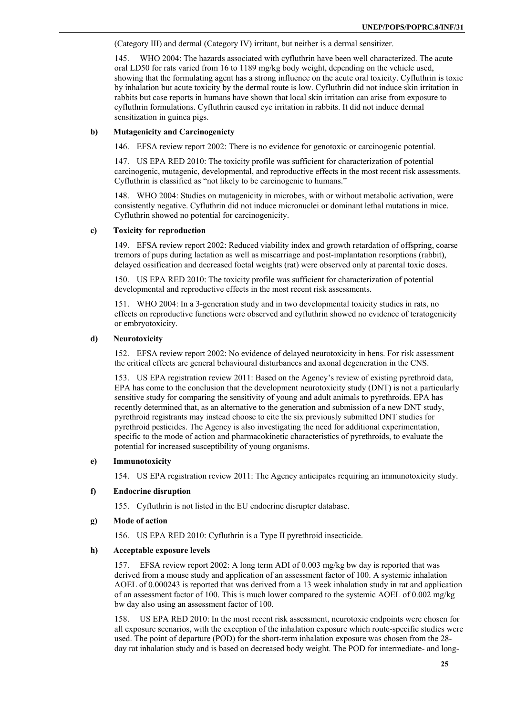(Category III) and dermal (Category IV) irritant, but neither is a dermal sensitizer.

145. WHO 2004: The hazards associated with cyfluthrin have been well characterized. The acute oral LD50 for rats varied from 16 to 1189 mg/kg body weight, depending on the vehicle used, showing that the formulating agent has a strong influence on the acute oral toxicity. Cyfluthrin is toxic by inhalation but acute toxicity by the dermal route is low. Cyfluthrin did not induce skin irritation in rabbits but case reports in humans have shown that local skin irritation can arise from exposure to cyfluthrin formulations. Cyfluthrin caused eye irritation in rabbits. It did not induce dermal sensitization in guinea pigs.

### **b) Mutagenicity and Carcinogenicty**

146. EFSA review report 2002: There is no evidence for genotoxic or carcinogenic potential.

147. US EPA RED 2010: The toxicity profile was sufficient for characterization of potential carcinogenic, mutagenic, developmental, and reproductive effects in the most recent risk assessments. Cyfluthrin is classified as "not likely to be carcinogenic to humans."

148. WHO 2004: Studies on mutagenicity in microbes, with or without metabolic activation, were consistently negative. Cyfluthrin did not induce micronuclei or dominant lethal mutations in mice. Cyfluthrin showed no potential for carcinogenicity.

#### **c) Toxicity for reproduction**

149. EFSA review report 2002: Reduced viability index and growth retardation of offspring, coarse tremors of pups during lactation as well as miscarriage and post-implantation resorptions (rabbit), delayed ossification and decreased foetal weights (rat) were observed only at parental toxic doses.

150. US EPA RED 2010: The toxicity profile was sufficient for characterization of potential developmental and reproductive effects in the most recent risk assessments.

151. WHO 2004: In a 3-generation study and in two developmental toxicity studies in rats, no effects on reproductive functions were observed and cyfluthrin showed no evidence of teratogenicity or embryotoxicity.

### **d) Neurotoxicity**

152. EFSA review report 2002: No evidence of delayed neurotoxicity in hens. For risk assessment the critical effects are general behavioural disturbances and axonal degeneration in the CNS.

153. US EPA registration review 2011: Based on the Agency's review of existing pyrethroid data, EPA has come to the conclusion that the development neurotoxicity study (DNT) is not a particularly sensitive study for comparing the sensitivity of young and adult animals to pyrethroids. EPA has recently determined that, as an alternative to the generation and submission of a new DNT study, pyrethroid registrants may instead choose to cite the six previously submitted DNT studies for pyrethroid pesticides. The Agency is also investigating the need for additional experimentation, specific to the mode of action and pharmacokinetic characteristics of pyrethroids, to evaluate the potential for increased susceptibility of young organisms.

#### **e) Immunotoxicity**

154. US EPA registration review 2011: The Agency anticipates requiring an immunotoxicity study.

#### **f) Endocrine disruption**

155. Cyfluthrin is not listed in the EU endocrine disrupter database.

#### **g) Mode of action**

156. US EPA RED 2010: Cyfluthrin is a Type II pyrethroid insecticide.

#### **h) Acceptable exposure levels**

157. EFSA review report 2002: A long term ADI of 0.003 mg/kg bw day is reported that was derived from a mouse study and application of an assessment factor of 100. A systemic inhalation AOEL of 0.000243 is reported that was derived from a 13 week inhalation study in rat and application of an assessment factor of 100. This is much lower compared to the systemic AOEL of 0.002 mg/kg bw day also using an assessment factor of 100.

158. US EPA RED 2010: In the most recent risk assessment, neurotoxic endpoints were chosen for all exposure scenarios, with the exception of the inhalation exposure which route-specific studies were used. The point of departure (POD) for the short-term inhalation exposure was chosen from the 28 day rat inhalation study and is based on decreased body weight. The POD for intermediate- and long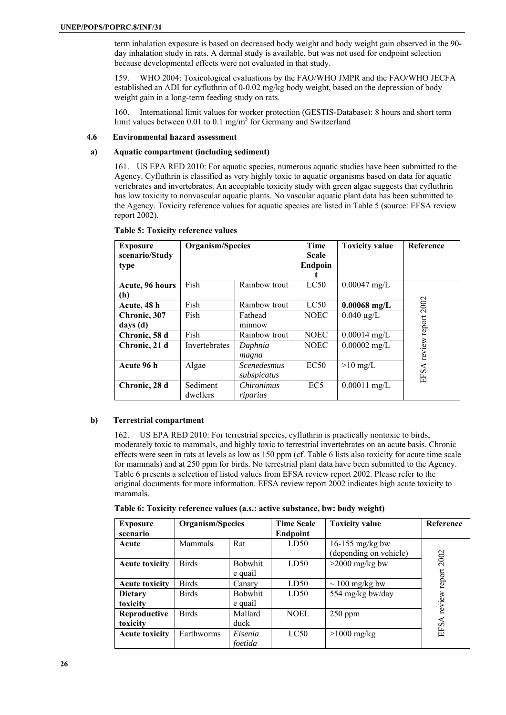term inhalation exposure is based on decreased body weight and body weight gain observed in the 90 day inhalation study in rats. A dermal study is available, but was not used for endpoint selection because developmental effects were not evaluated in that study.

159. WHO 2004: Toxicological evaluations by the FAO/WHO JMPR and the FAO/WHO JECFA established an ADI for cyfluthrin of 0-0.02 mg/kg body weight, based on the depression of body weight gain in a long-term feeding study on rats.

160. International limit values for worker protection (GESTIS-Database): 8 hours and short term limit values between 0.01 to 0.1 mg/m<sup>3</sup> for Germany and Switzerland

#### **4.6 Environmental hazard assessment**

# **a) Aquatic compartment (including sediment)**

161. US EPA RED 2010: For aquatic species, numerous aquatic studies have been submitted to the Agency. Cyfluthrin is classified as very highly toxic to aquatic organisms based on data for aquatic vertebrates and invertebrates. An acceptable toxicity study with green algae suggests that cyfluthrin has low toxicity to nonvascular aquatic plants. No vascular aquatic plant data has been submitted to the Agency. Toxicity reference values for aquatic species are listed in Table 5 (source: EFSA review report 2002).

| <b>Exposure</b><br>scenario/Study<br>type | Organism/Species     |                                   | Time<br><b>Scale</b><br>Endpoin | <b>Toxicity value</b> | Reference          |
|-------------------------------------------|----------------------|-----------------------------------|---------------------------------|-----------------------|--------------------|
| Acute, 96 hours<br>(h)                    | Fish                 | Rainbow trout                     | LC50                            | $0.00047$ mg/L        |                    |
| Acute, 48 h                               | Fish                 | Rainbow trout                     | LC50                            | $0.00068$ mg/L        |                    |
| Chronic, 307<br>days (d)                  | Fish                 | Fathead<br>minnow                 | <b>NOEC</b>                     | $0.040 \mu g/L$       |                    |
| Chronic, 58 d                             | Fish                 | Rainbow trout                     | <b>NOEC</b>                     | $0.00014$ mg/L        |                    |
| Chronic, 21 d                             | Invertebrates        | Daphnia<br>magna                  | <b>NOEC</b>                     | $0.00002$ mg/L        | review report 2002 |
| Acute 96 h                                | Algae                | <i>Scenedesmus</i><br>subspicatus | EC50                            | $>10 \text{ mg/L}$    | EFSA               |
| Chronic, 28 d                             | Sediment<br>dwellers | Chironimus<br>riparius            | EC <sub>5</sub>                 | $0.00011$ mg/L        |                    |

#### **Table 5: Toxicity reference values**

#### **b) Terrestrial compartment**

162. US EPA RED 2010: For terrestrial species, cyfluthrin is practically nontoxic to birds, moderately toxic to mammals, and highly toxic to terrestrial invertebrates on an acute basis. Chronic effects were seen in rats at levels as low as 150 ppm (cf. Table 6 lists also toxicity for acute time scale for mammals) and at 250 ppm for birds. No terrestrial plant data have been submitted to the Agency. Table 6 presents a selection of listed values from EFSA review report 2002. Please refer to the original documents for more information. EFSA review report 2002 indicates high acute toxicity to mammals.

|  |  |  | Table 6: Toxicity reference values (a.s.: active substance, bw: body weight) |  |  |
|--|--|--|------------------------------------------------------------------------------|--|--|
|  |  |  |                                                                              |  |  |

| <b>Exposure</b><br>scenario | Organism/Species |                           | <b>Time Scale</b><br><b>Endpoint</b> | <b>Toxicity value</b>                     | Reference      |
|-----------------------------|------------------|---------------------------|--------------------------------------|-------------------------------------------|----------------|
| Acute                       | Mammals          | Rat                       | LD50                                 | 16-155 mg/kg bw<br>(depending on vehicle) |                |
| <b>Acute toxicity</b>       | <b>Birds</b>     | <b>Bobwhit</b><br>e quail | LD50                                 | $>2000$ mg/kg bw                          | 2002<br>report |
| <b>Acute toxicity</b>       | <b>Birds</b>     | Canary                    | LD50                                 | $\sim 100$ mg/kg bw                       |                |
| <b>Dietary</b><br>toxicity  | <b>Birds</b>     | <b>Bobwhit</b><br>e quail | LD50                                 | 554 mg/kg bw/day                          | review         |
| Reproductive<br>toxicity    | <b>Birds</b>     | Mallard<br>duck           | <b>NOEL</b>                          | $250$ ppm                                 | EFSA           |
| <b>Acute toxicity</b>       | Earthworms       | Eisenia<br>foetida        | LC50                                 | $>1000$ mg/kg                             |                |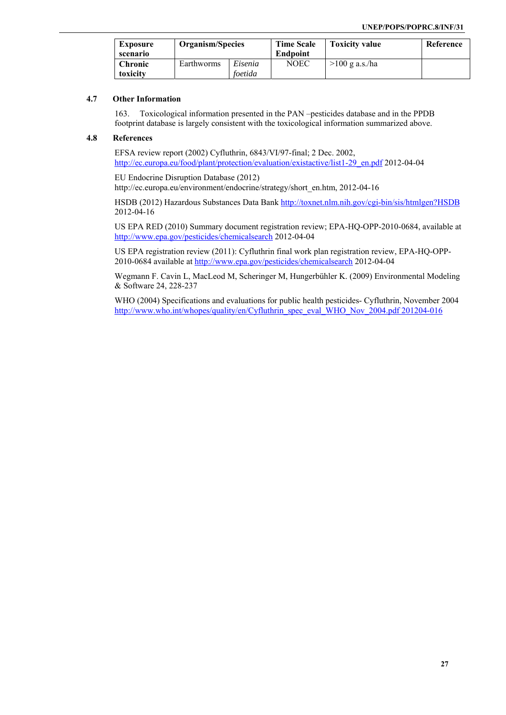| <b>Exposure</b><br>scenario | Organism/Species |                    | <b>Time Scale</b><br>Endpoint | <b>Toxicity value</b> | Reference |
|-----------------------------|------------------|--------------------|-------------------------------|-----------------------|-----------|
| <b>Chronic</b><br>toxicity  | Earthworms       | Eisenia<br>foetida | <b>NOEC</b>                   | $>100$ g a.s./ha      |           |

# **4.7 Other Information**

163. Toxicological information presented in the PAN –pesticides database and in the PPDB footprint database is largely consistent with the toxicological information summarized above.

# **4.8 References**

EFSA review report (2002) Cyfluthrin, 6843/VI/97-final; 2 Dec. 2002, http://ec.europa.eu/food/plant/protection/evaluation/existactive/list1-29\_en.pdf 2012-04-04

EU Endocrine Disruption Database (2012) http://ec.europa.eu/environment/endocrine/strategy/short\_en.htm, 2012-04-16

HSDB (2012) Hazardous Substances Data Bank http://toxnet.nlm.nih.gov/cgi-bin/sis/htmlgen?HSDB 2012-04-16

US EPA RED (2010) Summary document registration review; EPA-HQ-OPP-2010-0684, available at http://www.epa.gov/pesticides/chemicalsearch 2012-04-04

US EPA registration review (2011): Cyfluthrin final work plan registration review, EPA-HQ-OPP-2010-0684 available at http://www.epa.gov/pesticides/chemicalsearch 2012-04-04

Wegmann F. Cavin L, MacLeod M, Scheringer M, Hungerbühler K. (2009) Environmental Modeling & Software 24, 228-237

WHO (2004) Specifications and evaluations for public health pesticides- Cyfluthrin, November 2004 http://www.who.int/whopes/quality/en/Cyfluthrin\_spec\_eval\_WHO\_Nov\_2004.pdf 201204-016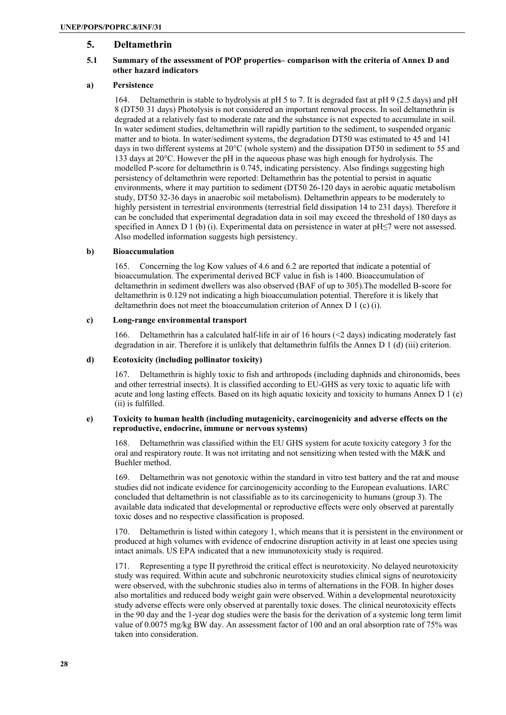# **5. Deltamethrin**

# **5.1 Summary of the assessment of POP properties– comparison with the criteria of Annex D and other hazard indicators**

# **a) Persistence**

164. Deltamethrin is stable to hydrolysis at pH 5 to 7. It is degraded fast at pH 9 (2.5 days) and pH 8 (DT50: 31 days) Photolysis is not considered an important removal process. In soil deltamethrin is degraded at a relatively fast to moderate rate and the substance is not expected to accumulate in soil. In water sediment studies, deltamethrin will rapidly partition to the sediment, to suspended organic matter and to biota. In water/sediment systems, the degradation DT50 was estimated to 45 and 141 days in two different systems at 20°C (whole system) and the dissipation DT50 in sediment to 55 and 133 days at 20°C. However the pH in the aqueous phase was high enough for hydrolysis. The modelled P-score for deltamethrin is 0.745, indicating persistency. Also findings suggesting high persistency of deltamethrin were reported: Deltamethrin has the potential to persist in aquatic environments, where it may partition to sediment (DT50 26-120 days in aerobic aquatic metabolism study, DT50 32-36 days in anaerobic soil metabolism). Deltamethrin appears to be moderately to highly persistent in terrestrial environments (terrestrial field dissipation 14 to 231 days). Therefore it can be concluded that experimental degradation data in soil may exceed the threshold of 180 days as specified in Annex D 1 (b) (i). Experimental data on persistence in water at pH≤7 were not assessed. Also modelled information suggests high persistency.

#### **b) Bioaccumulation**

165. Concerning the log Kow values of 4.6 and 6.2 are reported that indicate a potential of bioaccumulation. The experimental derived BCF value in fish is 1400. Bioaccumulation of deltamethrin in sediment dwellers was also observed (BAF of up to 305).The modelled B-score for deltamethrin is 0.129 not indicating a high bioaccumulation potential. Therefore it is likely that deltamethrin does not meet the bioaccumulation criterion of Annex D 1 (c) (i).

#### **c) Long-range environmental transport**

166. Deltamethrin has a calculated half-life in air of 16 hours (<2 days) indicating moderately fast degradation in air. Therefore it is unlikely that deltamethrin fulfils the Annex D 1 (d) (iii) criterion.

#### **d) Ecotoxicity (including pollinator toxicity)**

167. Deltamethrin is highly toxic to fish and arthropods (including daphnids and chironomids, bees and other terrestrial insects). It is classified according to EU-GHS as very toxic to aquatic life with acute and long lasting effects. Based on its high aquatic toxicity and toxicity to humans Annex D 1 (e) (ii) is fulfilled.

#### **e) Toxicity to human health (including mutagenicity, carcinogenicity and adverse effects on the reproductive, endocrine, immune or nervous systems)**

168. Deltamethrin was classified within the EU GHS system for acute toxicity category 3 for the oral and respiratory route. It was not irritating and not sensitizing when tested with the M&K and Buehler method.

169. Deltamethrin was not genotoxic within the standard in vitro test battery and the rat and mouse studies did not indicate evidence for carcinogenicity according to the European evaluations. IARC concluded that deltamethrin is not classifiable as to its carcinogenicity to humans (group 3). The available data indicated that developmental or reproductive effects were only observed at parentally toxic doses and no respective classification is proposed.

170. Deltamethrin is listed within category 1, which means that it is persistent in the environment or produced at high volumes with evidence of endocrine disruption activity in at least one species using intact animals. US EPA indicated that a new immunotoxicity study is required.

171. Representing a type II pyrethroid the critical effect is neurotoxicity. No delayed neurotoxicity study was required. Within acute and subchronic neurotoxicity studies clinical signs of neurotoxicity were observed, with the subchronic studies also in terms of alternations in the FOB. In higher doses also mortalities and reduced body weight gain were observed. Within a developmental neurotoxicity study adverse effects were only observed at parentally toxic doses. The clinical neurotoxicity effects in the 90 day and the 1-year dog studies were the basis for the derivation of a systemic long term limit value of 0.0075 mg/kg BW day. An assessment factor of 100 and an oral absorption rate of 75% was taken into consideration.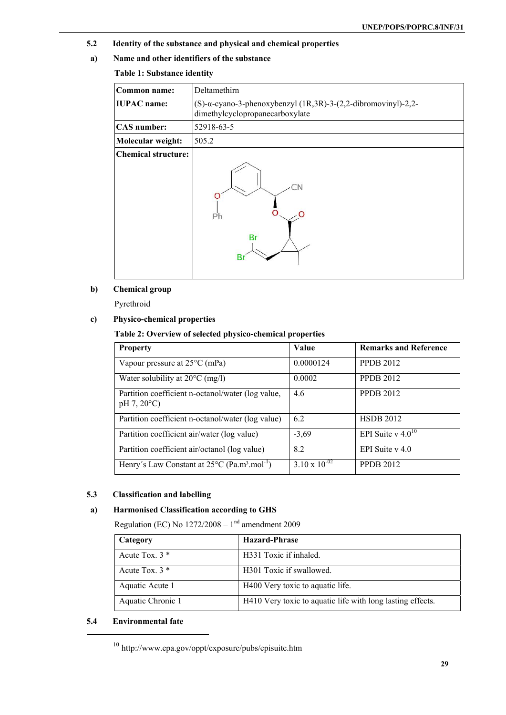- **5.2 Identity of the substance and physical and chemical properties**
- **a) Name and other identifiers of the substance**

# **Table 1: Substance identity**

| Common name:               | Deltamethirn                                                                                              |
|----------------------------|-----------------------------------------------------------------------------------------------------------|
| <b>IUPAC</b> name:         | (S)- $\alpha$ -cyano-3-phenoxybenzyl (1R,3R)-3-(2,2-dibromovinyl)-2,2-<br>dimethylcyclopropanecarboxylate |
| <b>CAS</b> number:         | 52918-63-5                                                                                                |
| Molecular weight:          | 505.2                                                                                                     |
| <b>Chemical structure:</b> | Ph<br><b>Br</b><br><b>Br</b>                                                                              |

# **b) Chemical group**

Pyrethroid

# **c) Physico-chemical properties**

# **Table 2: Overview of selected physico-chemical properties**

| <b>Property</b>                                                                | Value                  | <b>Remarks and Reference</b> |
|--------------------------------------------------------------------------------|------------------------|------------------------------|
| Vapour pressure at $25^{\circ}$ C (mPa)                                        | 0.0000124              | <b>PPDB 2012</b>             |
| Water solubility at $20^{\circ}$ C (mg/l)                                      | 0.0002                 | <b>PPDB 2012</b>             |
| Partition coefficient n-octanol/water (log value,<br>$pH 7, 20^{\circ}C$       | 4.6                    | <b>PPDB 2012</b>             |
| Partition coefficient n-octanol/water (log value)                              | 6.2                    | <b>HSDB 2012</b>             |
| Partition coefficient air/water (log value)                                    | $-3,69$                | EPI Suite v $4.0^{10}$       |
| Partition coefficient air/octanol (log value)                                  | 8.2                    | EPI Suite $v$ 4.0            |
| Henry's Law Constant at $25^{\circ}$ C (Pa.m <sup>3</sup> .mol <sup>-1</sup> ) | $3.10 \times 10^{-02}$ | <b>PPDB 2012</b>             |

# **5.3 Classification and labelling**

# **a) Harmonised Classification according to GHS**

Regulation (EC) No  $1272/2008 - 1<sup>nd</sup>$  amendment 2009

| Category          | Hazard-Phrase                                              |
|-------------------|------------------------------------------------------------|
| Acute Tox. $3 *$  | H331 Toxic if inhaled.                                     |
| Acute Tox. $3 *$  | H301 Toxic if swallowed.                                   |
| Aquatic Acute 1   | H400 Very toxic to aquatic life.                           |
| Aquatic Chronic 1 | H410 Very toxic to aquatic life with long lasting effects. |

# **5.4 Environmental fate**

<sup>10</sup> http://www.epa.gov/oppt/exposure/pubs/episuite.htm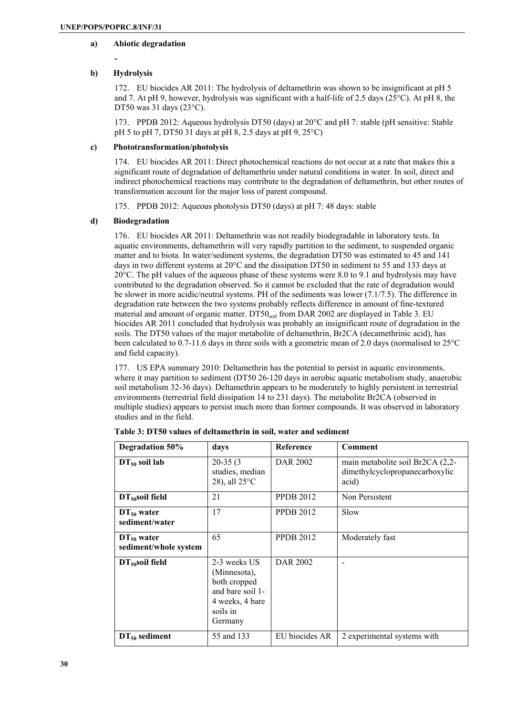#### **a) Abiotic degradation**

**-** 

# **b) Hydrolysis**

172. EU biocides AR 2011: The hydrolysis of deltamethrin was shown to be insignificant at pH 5 and 7. At pH 9, however, hydrolysis was significant with a half-life of 2.5 days ( $25^{\circ}$ C). At pH 8, the DT50 was 31 days (23°C).

173. PPDB 2012: Aqueous hydrolysis DT50 (days) at 20°C and pH 7: stable (pH sensitive: Stable pH 5 to pH 7, DT50 31 days at pH 8, 2.5 days at pH 9, 25°C)

### **c) Phototransformation/photolysis**

174. EU biocides AR 2011: Direct photochemical reactions do not occur at a rate that makes this a significant route of degradation of deltamethrin under natural conditions in water. In soil, direct and indirect photochemical reactions may contribute to the degradation of deltamethrin, but other routes of transformation account for the major loss of parent compound.

175. PPDB 2012: Aqueous photolysis DT50 (days) at pH 7: 48 days: stable

# **d) Biodegradation**

176. EU biocides AR 2011: Deltamethrin was not readily biodegradable in laboratory tests. In aquatic environments, deltamethrin will very rapidly partition to the sediment, to suspended organic matter and to biota. In water/sediment systems, the degradation DT50 was estimated to 45 and 141 days in two different systems at 20°C and the dissipation DT50 in sediment to 55 and 133 days at 20°C. The pH values of the aqueous phase of these systems were 8.0 to 9.1 and hydrolysis may have contributed to the degradation observed. So it cannot be excluded that the rate of degradation would be slower in more acidic/neutral systems. PH of the sediments was lower (7.1/7.5). The difference in degradation rate between the two systems probably reflects difference in amount of fine-textured material and amount of organic matter. DT50 $_{\text{soil}}$  from DAR 2002 are displayed in Table 3. EU biocides AR 2011 concluded that hydrolysis was probably an insignificant route of degradation in the soils. The DT50 values of the major metabolite of deltamethrin, Br2CA (decamethrinic acid), has been calculated to 0.7-11.6 days in three soils with a geometric mean of 2.0 days (normalised to 25°C and field capacity).

177. US EPA summary 2010: Deltamethrin has the potential to persist in aquatic environments, where it may partition to sediment (DT50 26-120 days in aerobic aquatic metabolism study, anaerobic soil metabolism 32-36 days). Deltamethrin appears to be moderately to highly persistent in terrestrial environments (terrestrial field dissipation 14 to 231 days). The metabolite Br2CA (observed in multiple studies) appears to persist much more than former compounds. It was observed in laboratory studies and in the field.

| Degradation 50%                          | days                                                                                                       | Reference        | Comment                                                                     |
|------------------------------------------|------------------------------------------------------------------------------------------------------------|------------------|-----------------------------------------------------------------------------|
| $DT_{50}$ soil lab                       | $20-35(3)$<br>studies, median<br>28), all $25^{\circ}$ C                                                   | DAR 2002         | main metabolite soil Br2CA (2,2-<br>dimethylcyclopropanecarboxylic<br>acid) |
| $DT_{50}$ soil field                     | 21                                                                                                         | <b>PPDB 2012</b> | Non Persistent                                                              |
| $DT_{50}$ water<br>sediment/water        | 17                                                                                                         | <b>PPDB 2012</b> | Slow                                                                        |
| $DT_{50}$ water<br>sediment/whole system | 65                                                                                                         | <b>PPDB 2012</b> | Moderately fast                                                             |
| $DT50$ soil field                        | 2-3 weeks US<br>(Minnesota),<br>both cropped<br>and bare soil 1-<br>4 weeks, 4 bare<br>soils in<br>Germany | <b>DAR 2002</b>  |                                                                             |
| $DT_{50}$ sediment                       | 55 and 133                                                                                                 | EU biocides AR   | 2 experimental systems with                                                 |

**Table 3: DT50 values of deltamethrin in soil, water and sediment**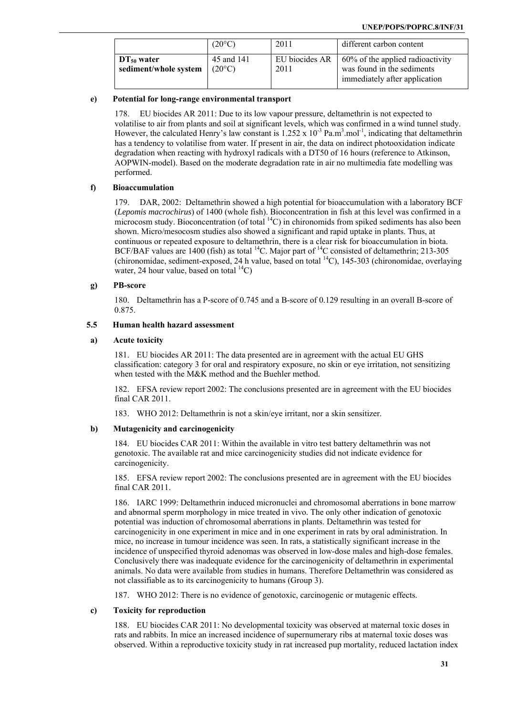|                                                             | $(20^{\circ}C)$               | 2011                   | different carbon content                                                                        |
|-------------------------------------------------------------|-------------------------------|------------------------|-------------------------------------------------------------------------------------------------|
| $\parallel$ DT <sub>50</sub> water<br>sediment/whole system | 45 and 141<br>$(20^{\circ}C)$ | EU biocides AR<br>2011 | 60% of the applied radioactivity<br>was found in the sediments<br>immediately after application |

### **e) Potential for long-range environmental transport**

178. EU biocides AR 2011: Due to its low vapour pressure, deltamethrin is not expected to volatilise to air from plants and soil at significant levels, which was confirmed in a wind tunnel study. However, the calculated Henry's law constant is  $1.252 \times 10^{-3}$  Pa.m<sup>3</sup>.mol<sup>-1</sup>, indicating that deltamethrin has a tendency to volatilise from water. If present in air, the data on indirect photooxidation indicate degradation when reacting with hydroxyl radicals with a DT50 of 16 hours (reference to Atkinson, AOPWIN-model). Based on the moderate degradation rate in air no multimedia fate modelling was performed.

#### **f) Bioaccumulation**

179. DAR, 2002: Deltamethrin showed a high potential for bioaccumulation with a laboratory BCF (*Lepomis macrochirus*) of 1400 (whole fish). Bioconcentration in fish at this level was confirmed in a microcosm study. Bioconcentration (of total  ${}^{14}$ C) in chironomids from spiked sediments has also been shown. Micro/mesocosm studies also showed a significant and rapid uptake in plants. Thus, at continuous or repeated exposure to deltamethrin, there is a clear risk for bioaccumulation in biota. BCF/BAF values are 1400 (fish) as total  $^{14}$ C. Major part of  $^{14}$ C consisted of deltamethrin; 213-305 (chironomidae, sediment-exposed, 24 h value, based on total <sup>14</sup>C), 145-303 (chironomidae, overlaying water, 24 hour value, based on total  $^{14}$ C)

#### **g) PB-score**

180. Deltamethrin has a P-score of 0.745 and a B-score of 0.129 resulting in an overall B-score of 0.875.

# **5.5 Human health hazard assessment**

#### **a) Acute toxicity**

181. EU biocides AR 2011: The data presented are in agreement with the actual EU GHS classification: category 3 for oral and respiratory exposure, no skin or eye irritation, not sensitizing when tested with the M&K method and the Buehler method.

182. EFSA review report 2002: The conclusions presented are in agreement with the EU biocides final CAR 2011.

183. WHO 2012: Deltamethrin is not a skin/eye irritant, nor a skin sensitizer.

# **b) Mutagenicity and carcinogenicity**

184. EU biocides CAR 2011: Within the available in vitro test battery deltamethrin was not genotoxic. The available rat and mice carcinogenicity studies did not indicate evidence for carcinogenicity.

185. EFSA review report 2002: The conclusions presented are in agreement with the EU biocides final CAR 2011.

186. IARC 1999: Deltamethrin induced micronuclei and chromosomal aberrations in bone marrow and abnormal sperm morphology in mice treated in vivo. The only other indication of genotoxic potential was induction of chromosomal aberrations in plants. Deltamethrin was tested for carcinogenicity in one experiment in mice and in one experiment in rats by oral administration. In mice, no increase in tumour incidence was seen. In rats, a statistically significant increase in the incidence of unspecified thyroid adenomas was observed in low-dose males and high-dose females. Conclusively there was inadequate evidence for the carcinogenicity of deltamethrin in experimental animals. No data were available from studies in humans. Therefore Deltamethrin was considered as not classifiable as to its carcinogenicity to humans (Group 3).

187. WHO 2012: There is no evidence of genotoxic, carcinogenic or mutagenic effects.

#### **c) Toxicity for reproduction**

188. EU biocides CAR 2011: No developmental toxicity was observed at maternal toxic doses in rats and rabbits. In mice an increased incidence of supernumerary ribs at maternal toxic doses was observed. Within a reproductive toxicity study in rat increased pup mortality, reduced lactation index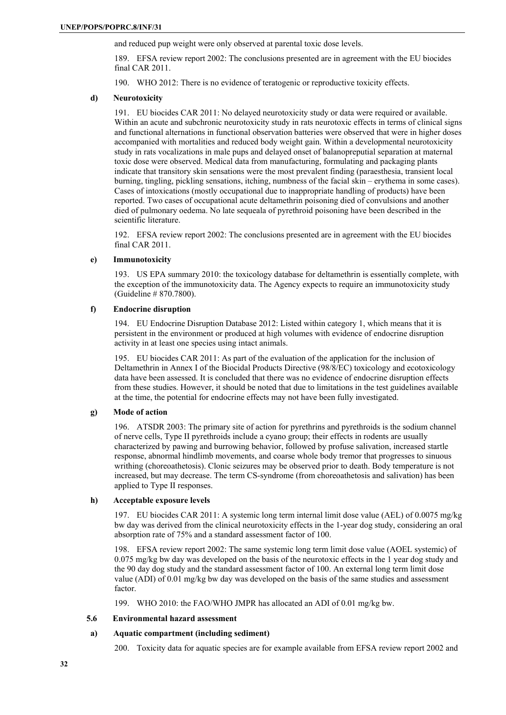and reduced pup weight were only observed at parental toxic dose levels.

189. EFSA review report 2002: The conclusions presented are in agreement with the EU biocides final CAR 2011.

190. WHO 2012: There is no evidence of teratogenic or reproductive toxicity effects.

# **d) Neurotoxicity**

191. EU biocides CAR 2011: No delayed neurotoxicity study or data were required or available. Within an acute and subchronic neurotoxicity study in rats neurotoxic effects in terms of clinical signs and functional alternations in functional observation batteries were observed that were in higher doses accompanied with mortalities and reduced body weight gain. Within a developmental neurotoxicity study in rats vocalizations in male pups and delayed onset of balanopreputial separation at maternal toxic dose were observed. Medical data from manufacturing, formulating and packaging plants indicate that transitory skin sensations were the most prevalent finding (paraesthesia, transient local burning, tingling, pickling sensations, itching, numbness of the facial skin – erythema in some cases). Cases of intoxications (mostly occupational due to inappropriate handling of products) have been reported. Two cases of occupational acute deltamethrin poisoning died of convulsions and another died of pulmonary oedema. No late sequeala of pyrethroid poisoning have been described in the scientific literature.

192. EFSA review report 2002: The conclusions presented are in agreement with the EU biocides final CAR 2011.

#### **e) Immunotoxicity**

193. US EPA summary 2010: the toxicology database for deltamethrin is essentially complete, with the exception of the immunotoxicity data. The Agency expects to require an immunotoxicity study (Guideline # 870.7800).

#### **f) Endocrine disruption**

194. EU Endocrine Disruption Database 2012: Listed within category 1, which means that it is persistent in the environment or produced at high volumes with evidence of endocrine disruption activity in at least one species using intact animals.

195. EU biocides CAR 2011: As part of the evaluation of the application for the inclusion of Deltamethrin in Annex I of the Biocidal Products Directive (98/8/EC) toxicology and ecotoxicology data have been assessed. It is concluded that there was no evidence of endocrine disruption effects from these studies. However, it should be noted that due to limitations in the test guidelines available at the time, the potential for endocrine effects may not have been fully investigated.

# **g) Mode of action**

196. ATSDR 2003: The primary site of action for pyrethrins and pyrethroids is the sodium channel of nerve cells, Type II pyrethroids include a cyano group; their effects in rodents are usually characterized by pawing and burrowing behavior, followed by profuse salivation, increased startle response, abnormal hindlimb movements, and coarse whole body tremor that progresses to sinuous writhing (choreoathetosis). Clonic seizures may be observed prior to death. Body temperature is not increased, but may decrease. The term CS-syndrome (from choreoathetosis and salivation) has been applied to Type II responses.

#### **h) Acceptable exposure levels**

197. EU biocides CAR 2011: A systemic long term internal limit dose value (AEL) of 0.0075 mg/kg bw day was derived from the clinical neurotoxicity effects in the 1-year dog study, considering an oral absorption rate of 75% and a standard assessment factor of 100.

198. EFSA review report 2002: The same systemic long term limit dose value (AOEL systemic) of 0.075 mg/kg bw day was developed on the basis of the neurotoxic effects in the 1 year dog study and the 90 day dog study and the standard assessment factor of 100. An external long term limit dose value (ADI) of 0.01 mg/kg bw day was developed on the basis of the same studies and assessment factor.

199. WHO 2010: the FAO/WHO JMPR has allocated an ADI of 0.01 mg/kg bw.

# **5.6 Environmental hazard assessment**

# **a) Aquatic compartment (including sediment)**

200. Toxicity data for aquatic species are for example available from EFSA review report 2002 and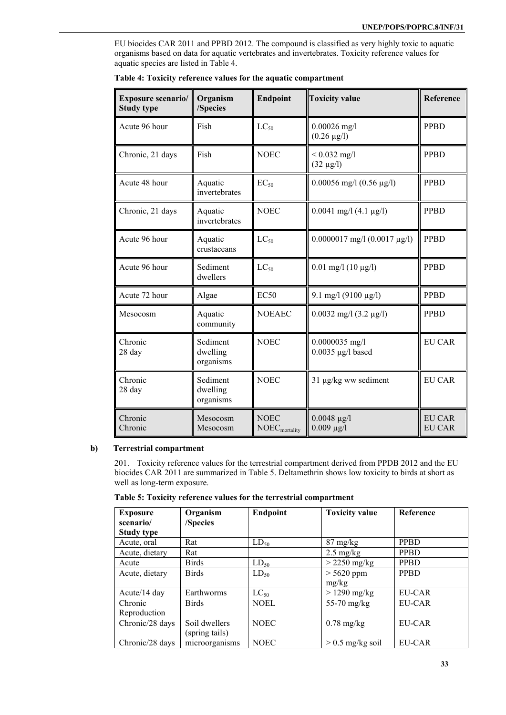EU biocides CAR 2011 and PPBD 2012. The compound is classified as very highly toxic to aquatic organisms based on data for aquatic vertebrates and invertebrates. Toxicity reference values for aquatic species are listed in Table 4.

| Exposure scenario/<br><b>Study type</b> | Organism<br>/Species              | <b>Endpoint</b>                          | <b>Toxicity value</b>                   | Reference                      |
|-----------------------------------------|-----------------------------------|------------------------------------------|-----------------------------------------|--------------------------------|
| Acute 96 hour                           | Fish                              | $LC_{50}$                                | $0.00026$ mg/l<br>$(0.26 \,\mu g/l)$    | <b>PPBD</b>                    |
| Chronic, 21 days                        | Fish                              | <b>NOEC</b>                              | $< 0.032$ mg/l<br>$(32 \mu g/l)$        | <b>PPBD</b>                    |
| Acute 48 hour                           | Aquatic<br>invertebrates          | $EC_{50}$                                | $0.00056$ mg/l $(0.56 \text{ µg/l})$    | <b>PPBD</b>                    |
| Chronic, 21 days                        | Aquatic<br>invertebrates          | <b>NOEC</b>                              | $0.0041$ mg/l $(4.1 \mu g/l)$           | <b>PPBD</b>                    |
| Acute 96 hour                           | Aquatic<br>crustaceans            | $LC_{50}$                                | $0.0000017$ mg/l $(0.0017 \mu g/l)$     | <b>PPBD</b>                    |
| Acute 96 hour                           | Sediment<br>dwellers              | $LC_{50}$                                | $0.01$ mg/l $(10 \mu g/l)$              | <b>PPBD</b>                    |
| Acute 72 hour                           | Algae                             | EC50                                     | 9.1 mg/l (9100 µg/l)                    | <b>PPBD</b>                    |
| Mesocosm                                | Aquatic<br>community              | <b>NOEAEC</b>                            | $0.0032$ mg/l $(3.2 \mu g/l)$           | <b>PPBD</b>                    |
| Chronic<br>28 day                       | Sediment<br>dwelling<br>organisms | <b>NOEC</b>                              | $0.0000035$ mg/l<br>$0.0035$ µg/l based | <b>EU CAR</b>                  |
| Chronic<br>28 day                       | Sediment<br>dwelling<br>organisms | <b>NOEC</b>                              | 31 µg/kg ww sediment                    | <b>EU CAR</b>                  |
| Chronic<br>Chronic                      | Mesocosm<br>Mesocosm              | <b>NOEC</b><br>NOEC <sub>mortality</sub> | $0.0048 \,\mu g/l$<br>$0.009 \mu g/l$   | <b>EU CAR</b><br><b>EU CAR</b> |

**Table 4: Toxicity reference values for the aquatic compartment** 

#### **b) Terrestrial compartment**

201. Toxicity reference values for the terrestrial compartment derived from PPDB 2012 and the EU biocides CAR 2011 are summarized in Table 5. Deltamethrin shows low toxicity to birds at short as well as long-term exposure.

|  |  |  | Table 5: Toxicity reference values for the terrestrial compartment |
|--|--|--|--------------------------------------------------------------------|
|  |  |  |                                                                    |

| <b>Exposure</b><br>scenario/ | Organism<br>/Species | <b>Endpoint</b> | <b>Toxicity value</b> | <b>Reference</b> |
|------------------------------|----------------------|-----------------|-----------------------|------------------|
| <b>Study type</b>            |                      |                 |                       |                  |
| Acute, oral                  | Rat                  | $LD_{50}$       | $87 \text{ mg/kg}$    | <b>PPBD</b>      |
| Acute, dietary               | Rat                  |                 | $2.5 \text{ mg/kg}$   | <b>PPBD</b>      |
| Acute                        | <b>Birds</b>         | $LD_{50}$       | $>$ 2250 mg/kg        | <b>PPBD</b>      |
| Acute, dietary               | <b>Birds</b>         | $LD_{50}$       | $> 5620$ ppm          | <b>PPBD</b>      |
|                              |                      |                 | mg/kg                 |                  |
| Acute/14 day                 | Earthworms           | $LC_{50}$       | $>1290$ mg/kg         | EU-CAR           |
| Chronic                      | <b>Birds</b>         | <b>NOEL</b>     | 55-70 mg/kg           | <b>EU-CAR</b>    |
| Reproduction                 |                      |                 |                       |                  |
| Chronic/28 days              | Soil dwellers        | <b>NOEC</b>     | $0.78$ mg/kg          | EU-CAR           |
|                              | (spring tails)       |                 |                       |                  |
| Chronic/28 days              | microorganisms       | NOEC            | $> 0.5$ mg/kg soil    | EU-CAR           |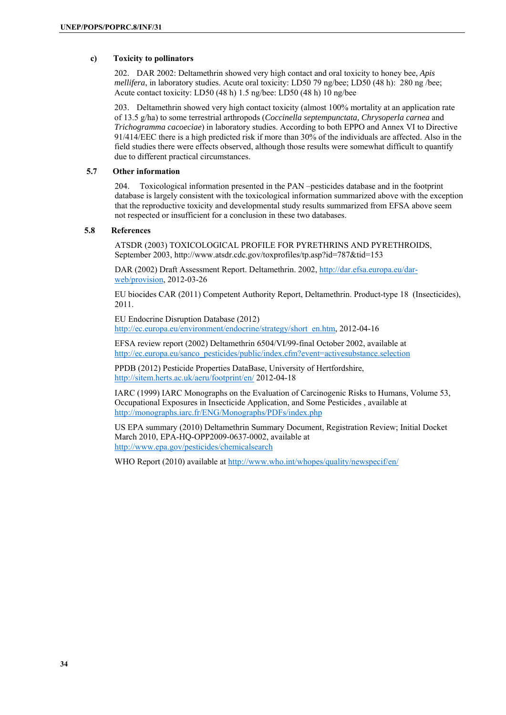# **c) Toxicity to pollinators**

202. DAR 2002: Deltamethrin showed very high contact and oral toxicity to honey bee, *Apis mellifera*, in laboratory studies. Acute oral toxicity: LD50 79 ng/bee; LD50 (48 h): 280 ng /bee; Acute contact toxicity: LD50 (48 h) 1.5 ng/bee: LD50 (48 h) 10 ng/bee

203. Deltamethrin showed very high contact toxicity (almost 100% mortality at an application rate of 13.5 g/ha) to some terrestrial arthropods (*Coccinella septempunctata, Chrysoperla carnea* and *Trichogramma cacoeciae*) in laboratory studies. According to both EPPO and Annex VI to Directive 91/414/EEC there is a high predicted risk if more than 30% of the individuals are affected. Also in the field studies there were effects observed, although those results were somewhat difficult to quantify due to different practical circumstances.

# **5.7 Other information**

204. Toxicological information presented in the PAN –pesticides database and in the footprint database is largely consistent with the toxicological information summarized above with the exception that the reproductive toxicity and developmental study results summarized from EFSA above seem not respected or insufficient for a conclusion in these two databases.

### **5.8 References**

ATSDR (2003) TOXICOLOGICAL PROFILE FOR PYRETHRINS AND PYRETHROIDS, September 2003, http://www.atsdr.cdc.gov/toxprofiles/tp.asp?id=787&tid=153

DAR (2002) Draft Assessment Report. Deltamethrin. 2002, http://dar.efsa.europa.eu/darweb/provision, 2012-03-26

EU biocides CAR (2011) Competent Authority Report, Deltamethrin. Product-type 18 (Insecticides), 2011.

EU Endocrine Disruption Database (2012) http://ec.europa.eu/environment/endocrine/strategy/short\_en.htm, 2012-04-16

EFSA review report (2002) Deltamethrin 6504/VI/99-final October 2002, available at http://ec.europa.eu/sanco\_pesticides/public/index.cfm?event=activesubstance.selection

PPDB (2012) Pesticide Properties DataBase, University of Hertfordshire, http://sitem.herts.ac.uk/aeru/footprint/en/ 2012-04-18

IARC (1999) IARC Monographs on the Evaluation of Carcinogenic Risks to Humans, Volume 53, Occupational Exposures in Insecticide Application, and Some Pesticides , available at http://monographs.iarc.fr/ENG/Monographs/PDFs/index.php

US EPA summary (2010) Deltamethrin Summary Document, Registration Review; Initial Docket March 2010, EPA-HQ-OPP2009-0637-0002, available at http://www.epa.gov/pesticides/chemicalsearch

WHO Report (2010) available at http://www.who.int/whopes/quality/newspecif/en/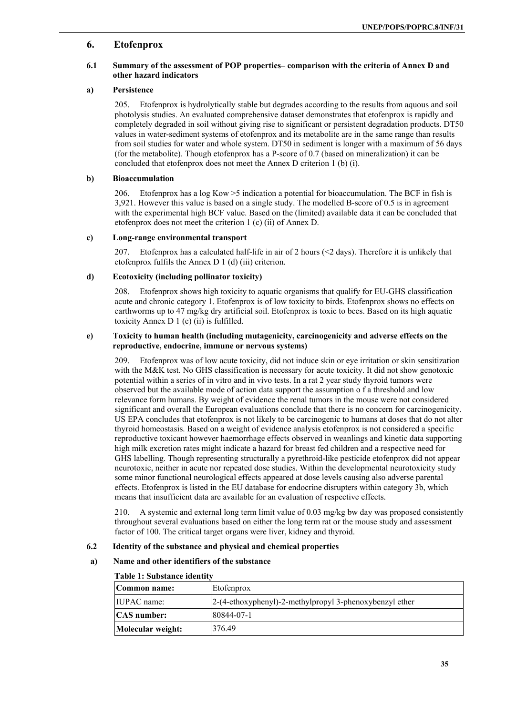# **6. Etofenprox**

# **6.1 Summary of the assessment of POP properties– comparison with the criteria of Annex D and other hazard indicators**

# **a) Persistence**

205. Etofenprox is hydrolytically stable but degrades according to the results from aquous and soil photolysis studies. An evaluated comprehensive dataset demonstrates that etofenprox is rapidly and completely degraded in soil without giving rise to significant or persistent degradation products. DT50 values in water-sediment systems of etofenprox and its metabolite are in the same range than results from soil studies for water and whole system. DT50 in sediment is longer with a maximum of 56 days (for the metabolite). Though etofenprox has a P-score of 0.7 (based on mineralization) it can be concluded that etofenprox does not meet the Annex D criterion 1 (b) (i).

### **b) Bioaccumulation**

206. Etofenprox has a log Kow >5 indication a potential for bioaccumulation. The BCF in fish is 3,921. However this value is based on a single study. The modelled B-score of 0.5 is in agreement with the experimental high BCF value. Based on the (limited) available data it can be concluded that etofenprox does not meet the criterion 1 (c) (ii) of Annex D.

#### **c) Long-range environmental transport**

207. Etofenprox has a calculated half-life in air of 2 hours (<2 days). Therefore it is unlikely that etofenprox fulfils the Annex D 1 (d) (iii) criterion.

# **d) Ecotoxicity (including pollinator toxicity)**

208. Etofenprox shows high toxicity to aquatic organisms that qualify for EU-GHS classification acute and chronic category 1. Etofenprox is of low toxicity to birds. Etofenprox shows no effects on earthworms up to 47 mg/kg dry artificial soil. Etofenprox is toxic to bees. Based on its high aquatic toxicity Annex D 1 (e) (ii) is fulfilled.

#### **e) Toxicity to human health (including mutagenicity, carcinogenicity and adverse effects on the reproductive, endocrine, immune or nervous systems)**

209. Etofenprox was of low acute toxicity, did not induce skin or eye irritation or skin sensitization with the M&K test. No GHS classification is necessary for acute toxicity. It did not show genotoxic potential within a series of in vitro and in vivo tests. In a rat 2 year study thyroid tumors were observed but the available mode of action data support the assumption o f a threshold and low relevance form humans. By weight of evidence the renal tumors in the mouse were not considered significant and overall the European evaluations conclude that there is no concern for carcinogenicity. US EPA concludes that etofenprox is not likely to be carcinogenic to humans at doses that do not alter thyroid homeostasis. Based on a weight of evidence analysis etofenprox is not considered a specific reproductive toxicant however haemorrhage effects observed in weanlings and kinetic data supporting high milk excretion rates might indicate a hazard for breast fed children and a respective need for GHS labelling. Though representing structurally a pyrethroid-like pesticide etofenprox did not appear neurotoxic, neither in acute nor repeated dose studies. Within the developmental neurotoxicity study some minor functional neurological effects appeared at dose levels causing also adverse parental effects. Etofenprox is listed in the EU database for endocrine disrupters within category 3b, which means that insufficient data are available for an evaluation of respective effects.

210. A systemic and external long term limit value of 0.03 mg/kg bw day was proposed consistently throughout several evaluations based on either the long term rat or the mouse study and assessment factor of 100. The critical target organs were liver, kidney and thyroid.

# **6.2 Identity of the substance and physical and chemical properties**

# **a) Name and other identifiers of the substance**

| Table 1. Substance Relitiv |                                                         |
|----------------------------|---------------------------------------------------------|
| Common name:               | Etofenprox                                              |
| <b>IIUPAC</b> name:        | 2-(4-ethoxyphenyl)-2-methylpropyl 3-phenoxybenzyl ether |
| <b>CAS</b> number:         | 80844-07-1                                              |
| Molecular weight:          | 376.49                                                  |

# **Table 1: Substance identity**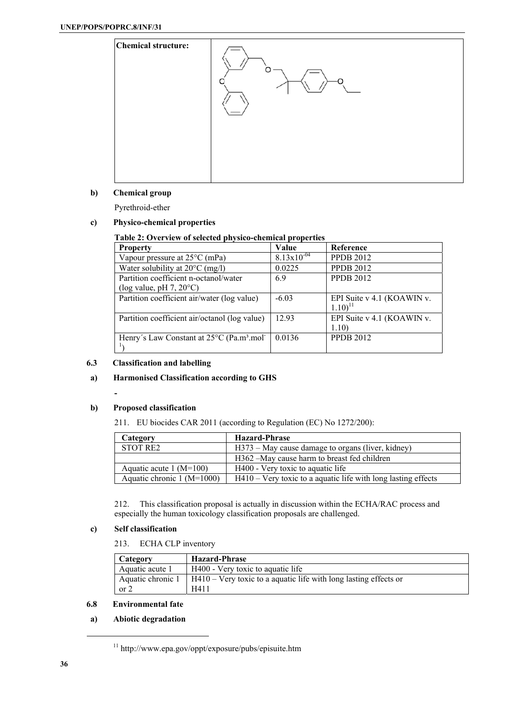

# **b) Chemical group**

Pyrethroid-ether

### **c) Physico-chemical properties**

# **Table 2: Overview of selected physico-chemical properties**

| <b>Property</b>                                                   | Value                  | Reference                                          |
|-------------------------------------------------------------------|------------------------|----------------------------------------------------|
| Vapour pressure at $25^{\circ}$ C (mPa)                           | $8.13 \times 10^{-04}$ | <b>PPDB 2012</b>                                   |
| Water solubility at $20^{\circ}$ C (mg/l)                         | 0.0225                 | <b>PPDB 2012</b>                                   |
| Partition coefficient n-octanol/water                             | 6.9                    | <b>PPDB 2012</b>                                   |
| (log value, pH $7, 20^{\circ}$ C)                                 |                        |                                                    |
| Partition coefficient air/water (log value)                       | $-6.03$                | EPI Suite v 4.1 (KOAWIN v.<br>$1.10$ <sup>11</sup> |
| Partition coefficient air/octanol (log value)                     | 12.93                  | EPI Suite v 4.1 (KOAWIN v.<br>1.10)                |
| Henry's Law Constant at 25°C (Pa.m <sup>3</sup> .mol <sup>-</sup> | 0.0136                 | <b>PPDB 2012</b>                                   |

# **6.3 Classification and labelling**

# **a) Harmonised Classification according to GHS**

#### **b) Proposed classification**

**-** 

211. EU biocides CAR 2011 (according to Regulation (EC) No 1272/200):

| Category                     | <b>Hazard-Phrase</b>                                             |
|------------------------------|------------------------------------------------------------------|
| <b>STOT RE2</b>              | H373 – May cause damage to organs (liver, kidney)                |
|                              | H362 – May cause harm to breast fed children                     |
| Aquatic acute $1 (M=100)$    | H400 - Very toxic to aquatic life                                |
| Aquatic chronic $1 (M=1000)$ | $H410 - V$ ery toxic to a aquatic life with long lasting effects |

212. This classification proposal is actually in discussion within the ECHA/RAC process and especially the human toxicology classification proposals are challenged.

# **c) Self classification**

213. ECHA CLP inventory

| Category          | <b>Hazard-Phrase</b>                                                |
|-------------------|---------------------------------------------------------------------|
| Aquatic acute 1   | H400 - Very toxic to aquatic life                                   |
| Aquatic chronic 1 | $H410 - V$ ery toxic to a aquatic life with long lasting effects or |
| or 2              | H411                                                                |

#### **6.8 Environmental fate**

# **a) Abiotic degradation**

 $^{11}$ http://www.epa.gov/oppt/exposure/pubs/episuite.htm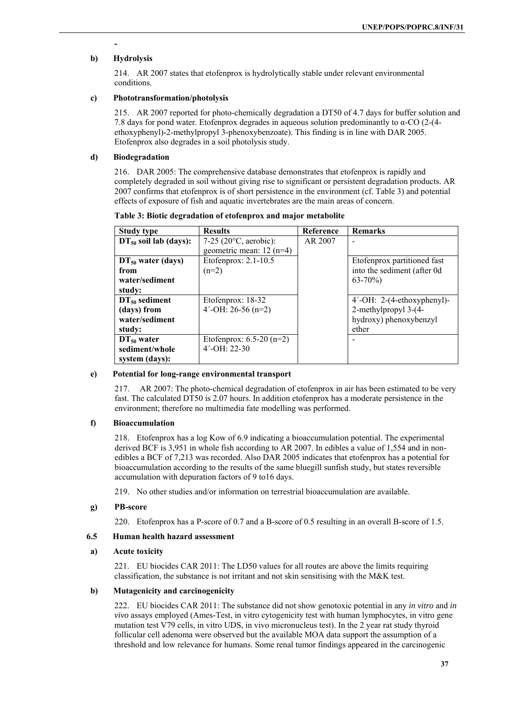# **b) Hydrolysis**

**-** 

214. AR 2007 states that etofenprox is hydrolytically stable under relevant environmental conditions.

# **c) Phototransformation/photolysis**

215. AR 2007 reported for photo-chemically degradation a DT50 of 4.7 days for buffer solution and 7.8 days for pond water. Etofenprox degrades in aqueous solution predominantly to α-CO (2-(4 ethoxyphenyl)-2-methylpropyl 3-phenoxybenzoate). This finding is in line with DAR 2005. Etofenprox also degrades in a soil photolysis study.

### **d) Biodegradation**

216. DAR 2005: The comprehensive database demonstrates that etofenprox is rapidly and completely degraded in soil without giving rise to significant or persistent degradation products. AR 2007 confirms that etofenprox is of short persistence in the environment (cf. Table 3) and potential effects of exposure of fish and aquatic invertebrates are the main areas of concern.

| <b>Study type</b>                                          | <b>Results</b>                                                 | Reference | <b>Remarks</b>                                                                           |
|------------------------------------------------------------|----------------------------------------------------------------|-----------|------------------------------------------------------------------------------------------|
| $DT_{50}$ soil lab (days):                                 | 7-25 (20 $^{\circ}$ C, aerobic):<br>geometric mean: $12$ (n=4) | AR 2007   |                                                                                          |
| $DT_{50}$ water (days)<br>from<br>water/sediment<br>study: | Etofenprox: 2.1-10.5<br>$(n=2)$                                |           | Etofenprox partitioned fast<br>into the sediment (after 0d<br>$63 - 70\%)$               |
| $DT50$ sediment<br>(days) from<br>water/sediment<br>study: | Etofenprox: $18-32$<br>$4'$ -OH: 26-56 (n=2)                   |           | $4'$ -OH: 2-(4-ethoxyphenyl)-<br>2-methylpropyl 3-(4-<br>hydroxy) phenoxybenzyl<br>ether |
| $DT_{50}$ water<br>sediment/whole<br>system (days):        | Etofenprox: $6.5-20$ (n=2)<br>$4'$ -OH: 22-30                  |           |                                                                                          |

#### **Table 3: Biotic degradation of etofenprox and major metabolite**

#### **e) Potential for long-range environmental transport**

217. AR 2007: The photo-chemical degradation of etofenprox in air has been estimated to be very fast. The calculated DT50 is 2.07 hours. In addition etofenprox has a moderate persistence in the environment; therefore no multimedia fate modelling was performed.

# **f) Bioaccumulation**

218. Etofenprox has a log Kow of 6.9 indicating a bioaccumulation potential. The experimental derived BCF is 3,951 in whole fish according to AR 2007. In edibles a value of 1,554 and in nonedibles a BCF of 7,213 was recorded. Also DAR 2005 indicates that etofenprox has a potential for bioaccumulation according to the results of the same bluegill sunfish study, but states reversible accumulation with depuration factors of 9 to16 days.

219. No other studies and/or information on terrestrial bioaccumulation are available.

#### **g) PB-score**

220. Etofenprox has a P-score of 0.7 and a B-score of 0.5 resulting in an overall B-score of 1.5.

# **6.5 Human health hazard assessment**

#### **a) Acute toxicity**

221. EU biocides CAR 2011: The LD50 values for all routes are above the limits requiring classification, the substance is not irritant and not skin sensitising with the M&K test.

#### **b) Mutagenicity and carcinogenicity**

222. EU biocides CAR 2011: The substance did not show genotoxic potential in any *in vitro* and *in vivo* assays employed (Ames-Test, in vitro cytogenicity test with human lymphocytes, in vitro gene mutation test V79 cells, in vitro UDS, in vivo micronucleus test). In the 2 year rat study thyroid follicular cell adenoma were observed but the available MOA data support the assumption of a threshold and low relevance for humans. Some renal tumor findings appeared in the carcinogenic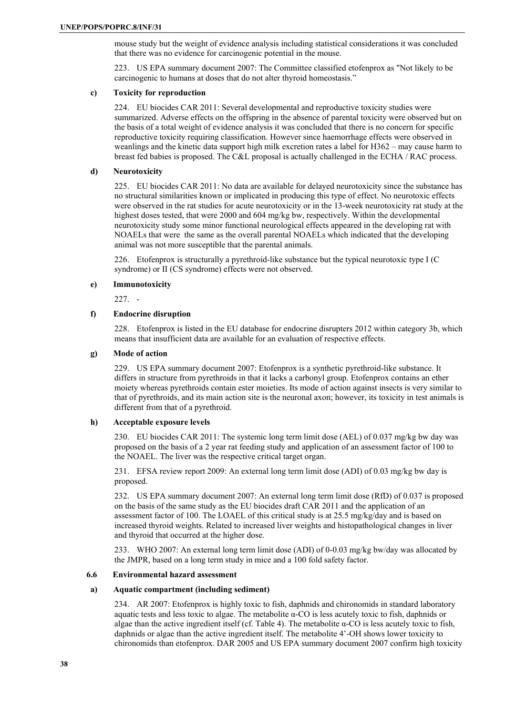mouse study but the weight of evidence analysis including statistical considerations it was concluded that there was no evidence for carcinogenic potential in the mouse.

223. US EPA summary document 2007: The Committee classified etofenprox as "Not likely to be carcinogenic to humans at doses that do not alter thyroid homeostasis."

#### **c) Toxicity for reproduction**

224. EU biocides CAR 2011: Several developmental and reproductive toxicity studies were summarized. Adverse effects on the offspring in the absence of parental toxicity were observed but on the basis of a total weight of evidence analysis it was concluded that there is no concern for specific reproductive toxicity requiring classification. However since haemorrhage effects were observed in weanlings and the kinetic data support high milk excretion rates a label for H362 – may cause harm to breast fed babies is proposed. The C&L proposal is actually challenged in the ECHA / RAC process.

#### **d) Neurotoxicity**

225. EU biocides CAR 2011: No data are available for delayed neurotoxicity since the substance has no structural similarities known or implicated in producing this type of effect. No neurotoxic effects were observed in the rat studies for acute neurotoxicity or in the 13-week neurotoxicity rat study at the highest doses tested, that were 2000 and 604 mg/kg bw, respectively. Within the developmental neurotoxicity study some minor functional neurological effects appeared in the developing rat with NOAELs that were the same as the overall parental NOAELs which indicated that the developing animal was not more susceptible that the parental animals.

226. Etofenprox is structurally a pyrethroid-like substance but the typical neurotoxic type I (C syndrome) or II (CS syndrome) effects were not observed.

#### **e) Immunotoxicity**

227. -

# **f) Endocrine disruption**

228. Etofenprox is listed in the EU database for endocrine disrupters 2012 within category 3b, which means that insufficient data are available for an evaluation of respective effects.

#### **g) Mode of action**

229. US EPA summary document 2007: Etofenprox is a synthetic pyrethroid-like substance. It differs in structure from pyrethroids in that it lacks a carbonyl group. Etofenprox contains an ether moiety whereas pyrethroids contain ester moieties. Its mode of action against insects is very similar to that of pyrethroids, and its main action site is the neuronal axon; however, its toxicity in test animals is different from that of a pyrethroid.

# **h) Acceptable exposure levels**

230. EU biocides CAR 2011: The systemic long term limit dose (AEL) of 0.037 mg/kg bw day was proposed on the basis of a 2 year rat feeding study and application of an assessment factor of 100 to the NOAEL. The liver was the respective critical target organ.

231. EFSA review report 2009: An external long term limit dose (ADI) of 0.03 mg/kg bw day is proposed.

232. US EPA summary document 2007: An external long term limit dose (RfD) of 0.037 is proposed on the basis of the same study as the EU biocides draft CAR 2011 and the application of an assessment factor of 100. The LOAEL of this critical study is at 25.5 mg/kg/day and is based on increased thyroid weights. Related to increased liver weights and histopathological changes in liver and thyroid that occurred at the higher dose.

233. WHO 2007: An external long term limit dose (ADI) of 0-0.03 mg/kg bw/day was allocated by the JMPR, based on a long term study in mice and a 100 fold safety factor.

#### **6.6 Environmental hazard assessment**

# **a) Aquatic compartment (including sediment)**

234. AR 2007: Etofenprox is highly toxic to fish, daphnids and chironomids in standard laboratory aquatic tests and less toxic to algae. The metabolite α-CO is less acutely toxic to fish, daphnids or algae than the active ingredient itself (cf. Table 4). The metabolite  $\alpha$ -CO is less acutely toxic to fish, daphnids or algae than the active ingredient itself. The metabolite 4'-OH shows lower toxicity to chironomids than etofenprox. DAR 2005 and US EPA summary document 2007 confirm high toxicity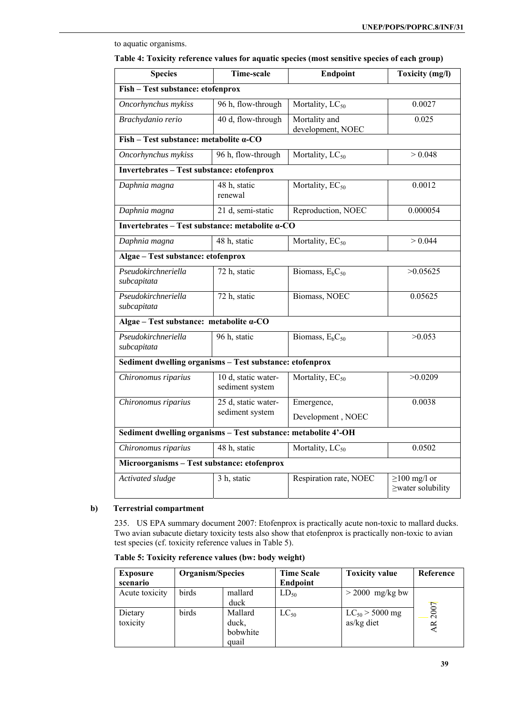# **Species** Time-scale Endpoint Toxicity (mg/l) **Fish – Test substance: etofenprox**  *Oncorhynchus mykiss* | 96 h, flow-through | Mortality, LC<sub>50</sub> 0.0027 *Brachydanio rerio* 40 d, flow-through Mortality and development, NOEC 0.025 **Fish – Test substance: metabolite α-CO**  *Oncorhynchus mykiss* 96 h, flow-through Mortality,  $LC_{50}$   $> 0.048$ **Invertebrates – Test substance: etofenprox**  *Daphnia magna* 48 h, static renewal Mortality,  $EC_{50}$  0.0012 *Daphnia magna* 21 d, semi-static Reproduction, NOEC 0.000054 **Invertebrates – Test substance: metabolite α-CO** *Daphnia magna*  $\vert$  48 h, static Mortality, EC<sub>50</sub>  $\vert$  > 0.044 **Algae – Test substance: etofenprox**  *Pseudokirchneriella subcapitata* 72 h, static Biomass,  $E_bC_{50}$   $>0.05625$ *Pseudokirchneriella subcapitata* 72 h, static Biomass, NOEC 0.05625 **Algae – Test substance: metabolite α-CO**  *Pseudokirchneriella subcapitata* 96 h, static Biomass,  $E_bC_{50}$  >0.053 **Sediment dwelling organisms – Test substance: etofenprox**  *Chironomus riparius* 10 d, static watersediment system Mortality,  $EC_{50}$   $>0.0209$ *Chironomus riparius* 25 d, static watersediment system Emergence, Development , NOEC 0.0038 **Sediment dwelling organisms – Test substance: metabolite 4'-OH** *Chironomus riparius* 48 h, static Mortality, LC<sub>50</sub> 0.0502 **Microorganisms – Test substance: etofenprox**  *Activated sludge* 3 h, static Respiration rate, NOEC ≥100 mg/l or ≥water solubility

# to aquatic organisms.

#### **b) Terrestrial compartment**

235. US EPA summary document 2007: Etofenprox is practically acute non-toxic to mallard ducks. Two avian subacute dietary toxicity tests also show that etofenprox is practically non-toxic to avian test species (cf. toxicity reference values in Table 5).

| <b>Exposure</b><br>scenario | Organism/Species |                                       | <b>Time Scale</b><br><b>Endpoint</b> | <b>Toxicity value</b>             | Reference               |
|-----------------------------|------------------|---------------------------------------|--------------------------------------|-----------------------------------|-------------------------|
| Acute toxicity              | birds            | mallard<br>duck                       | $LD_{50}$                            | $>$ 2000 mg/kg bw                 |                         |
| Dietary<br>toxicity         | birds            | Mallard<br>duck,<br>bobwhite<br>quail | $LC_{50}$                            | $LC_{50}$ > 5000 mg<br>as/kg diet | 2007<br>$\overline{AB}$ |

**Table 5: Toxicity reference values (bw: body weight)**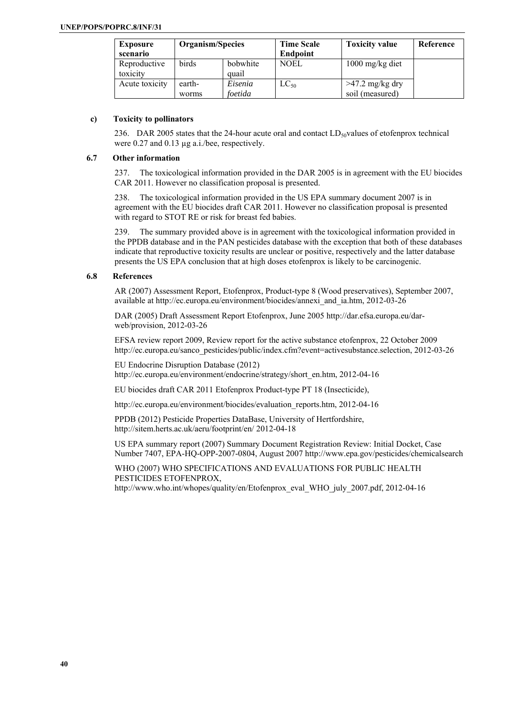| <b>Exposure</b><br>scenario | Organism/Species |                   | <b>Time Scale</b><br><b>Endpoint</b> | <b>Toxicity value</b> | Reference |
|-----------------------------|------------------|-------------------|--------------------------------------|-----------------------|-----------|
| Reproductive<br>toxicity    | birds            | bobwhite<br>quail | NOEL                                 | $1000$ mg/kg diet     |           |
| Acute toxicity              | earth-           | Eisenia           | $LC_{50}$                            | $>47.2$ mg/kg dry     |           |
|                             | worms            | foetida           |                                      | soil (measured)       |           |

### **c) Toxicity to pollinators**

236. DAR 2005 states that the 24-hour acute oral and contact  $LD<sub>50</sub>$ values of etofenprox technical were 0.27 and 0.13  $\mu$ g a.i./bee, respectively.

### **6.7 Other information**

237. The toxicological information provided in the DAR 2005 is in agreement with the EU biocides CAR 2011. However no classification proposal is presented.

238. The toxicological information provided in the US EPA summary document 2007 is in agreement with the EU biocides draft CAR 2011. However no classification proposal is presented with regard to STOT RE or risk for breast fed babies.

239. The summary provided above is in agreement with the toxicological information provided in the PPDB database and in the PAN pesticides database with the exception that both of these databases indicate that reproductive toxicity results are unclear or positive, respectively and the latter database presents the US EPA conclusion that at high doses etofenprox is likely to be carcinogenic.

# **6.8 References**

AR (2007) Assessment Report, Etofenprox, Product-type 8 (Wood preservatives), September 2007, available at http://ec.europa.eu/environment/biocides/annexi\_and\_ia.htm, 2012-03-26

DAR (2005) Draft Assessment Report Etofenprox, June 2005 http://dar.efsa.europa.eu/darweb/provision, 2012-03-26

EFSA review report 2009, Review report for the active substance etofenprox, 22 October 2009 http://ec.europa.eu/sanco\_pesticides/public/index.cfm?event=activesubstance.selection, 2012-03-26

EU Endocrine Disruption Database (2012) http://ec.europa.eu/environment/endocrine/strategy/short\_en.htm, 2012-04-16

EU biocides draft CAR 2011 Etofenprox Product-type PT 18 (Insecticide),

http://ec.europa.eu/environment/biocides/evaluation\_reports.htm, 2012-04-16

PPDB (2012) Pesticide Properties DataBase, University of Hertfordshire, http://sitem.herts.ac.uk/aeru/footprint/en/ 2012-04-18

US EPA summary report (2007) Summary Document Registration Review: Initial Docket, Case Number 7407, EPA-HQ-OPP-2007-0804, August 2007 http://www.epa.gov/pesticides/chemicalsearch

WHO (2007) WHO SPECIFICATIONS AND EVALUATIONS FOR PUBLIC HEALTH PESTICIDES ETOFENPROX, http://www.who.int/whopes/quality/en/Etofenprox\_eval\_WHO\_july\_2007.pdf, 2012-04-16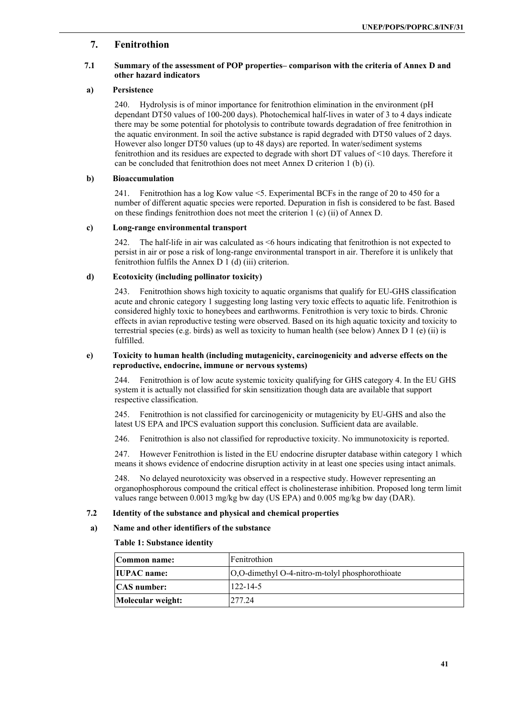# **7. Fenitrothion**

# **7.1 Summary of the assessment of POP properties– comparison with the criteria of Annex D and other hazard indicators**

### **a) Persistence**

240. Hydrolysis is of minor importance for fenitrothion elimination in the environment (pH dependant DT50 values of 100-200 days). Photochemical half-lives in water of 3 to 4 days indicate there may be some potential for photolysis to contribute towards degradation of free fenitrothion in the aquatic environment. In soil the active substance is rapid degraded with DT50 values of 2 days. However also longer DT50 values (up to 48 days) are reported. In water/sediment systems fenitrothion and its residues are expected to degrade with short DT values of <10 days. Therefore it can be concluded that fenitrothion does not meet Annex D criterion 1 (b) (i).

#### **b) Bioaccumulation**

241. Fenitrothion has a log Kow value <5. Experimental BCFs in the range of 20 to 450 for a number of different aquatic species were reported. Depuration in fish is considered to be fast. Based on these findings fenitrothion does not meet the criterion 1 (c) (ii) of Annex D.

#### **c) Long-range environmental transport**

242. The half-life in air was calculated as <6 hours indicating that fenitrothion is not expected to persist in air or pose a risk of long-range environmental transport in air. Therefore it is unlikely that fenitrothion fulfils the Annex D 1 (d) (iii) criterion.

# **d) Ecotoxicity (including pollinator toxicity)**

243. Fenitrothion shows high toxicity to aquatic organisms that qualify for EU-GHS classification acute and chronic category 1 suggesting long lasting very toxic effects to aquatic life. Fenitrothion is considered highly toxic to honeybees and earthworms. Fenitrothion is very toxic to birds. Chronic effects in avian reproductive testing were observed. Based on its high aquatic toxicity and toxicity to terrestrial species (e.g. birds) as well as toxicity to human health (see below) Annex D 1 (e) (ii) is fulfilled.

#### **e) Toxicity to human health (including mutagenicity, carcinogenicity and adverse effects on the reproductive, endocrine, immune or nervous systems)**

244. Fenitrothion is of low acute systemic toxicity qualifying for GHS category 4. In the EU GHS system it is actually not classified for skin sensitization though data are available that support respective classification.

245. Fenitrothion is not classified for carcinogenicity or mutagenicity by EU-GHS and also the latest US EPA and IPCS evaluation support this conclusion. Sufficient data are available.

246. Fenitrothion is also not classified for reproductive toxicity. No immunotoxicity is reported.

247. However Fenitrothion is listed in the EU endocrine disrupter database within category 1 which means it shows evidence of endocrine disruption activity in at least one species using intact animals.

248. No delayed neurotoxicity was observed in a respective study. However representing an organophosphorous compound the critical effect is cholinesterase inhibition. Proposed long term limit values range between 0.0013 mg/kg bw day (US EPA) and 0.005 mg/kg bw day (DAR).

# **7.2 Identity of the substance and physical and chemical properties**

# **a) Name and other identifiers of the substance**

#### **Table 1: Substance identity**

| Common name:       | Fenitrothion                                           |
|--------------------|--------------------------------------------------------|
| <b>IUPAC</b> name: | $[O,O$ -dimethyl $O$ -4-nitro-m-tolyl phosphorothioate |
| <b>CAS</b> number: | $122 - 14 - 5$                                         |
| Molecular weight:  | 277.24                                                 |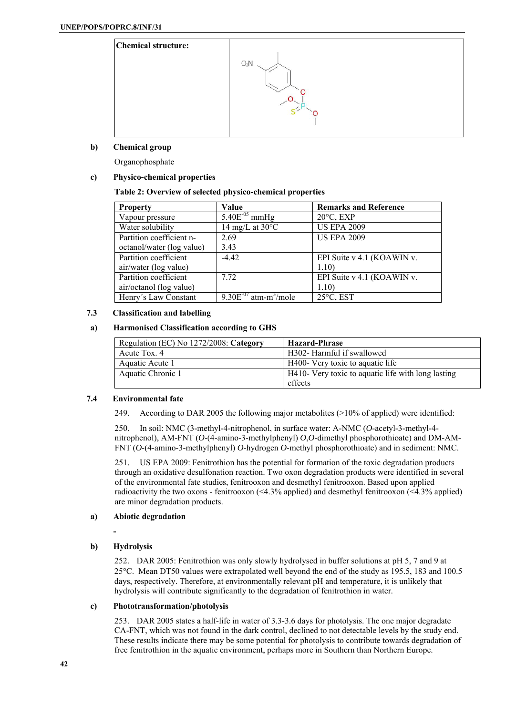

# **b) Chemical group**

Organophosphate

# **c) Physico-chemical properties**

# **Table 2: Overview of selected physico-chemical properties**

| <b>Property</b>           | Value                                  | <b>Remarks and Reference</b> |
|---------------------------|----------------------------------------|------------------------------|
| Vapour pressure           | $5.40E^{-05}$ mmHg                     | $20^{\circ}$ C, EXP          |
| Water solubility          | 14 mg/L at $30^{\circ}$ C              | <b>US EPA 2009</b>           |
| Partition coefficient n-  | 2.69                                   | <b>US EPA 2009</b>           |
| octanol/water (log value) | 3.43                                   |                              |
| Partition coefficient     | $-4.42$                                | EPI Suite v 4.1 (KOAWIN v.   |
| air/water (log value)     |                                        | 1.10                         |
| Partition coefficient     | 7.72                                   | EPI Suite v 4.1 (KOAWIN v.   |
| air/octanol (log value)   |                                        | 1.10)                        |
| Henry's Law Constant      | $9.30E^{-07}$ atm-m <sup>3</sup> /mole | $25^{\circ}$ C, EST          |

# **7.3 Classification and labelling**

### **a) Harmonised Classification according to GHS**

| Regulation (EC) No 1272/2008: Category | <b>Hazard-Phrase</b>                               |
|----------------------------------------|----------------------------------------------------|
| Acute Tox. 4                           | H302- Harmful if swallowed                         |
| Aquatic Acute 1                        | H400- Very toxic to aquatic life                   |
| Aquatic Chronic 1                      | H410- Very toxic to aquatic life with long lasting |
|                                        | effects                                            |

# **7.4 Environmental fate**

249. According to DAR 2005 the following major metabolites (>10% of applied) were identified:

250. In soil: NMC (3-methyl-4-nitrophenol, in surface water: A-NMC (*O*-acetyl-3-methyl-4 nitrophenol), AM-FNT (*O*-(4-amino-3-methylphenyl) *O*,*O*-dimethyl phosphorothioate) and DM-AM-FNT (*O*-(4-amino-3-methylphenyl) *O*-hydrogen *O*-methyl phosphorothioate) and in sediment: NMC.

251. US EPA 2009: Fenitrothion has the potential for formation of the toxic degradation products through an oxidative desulfonation reaction. Two oxon degradation products were identified in several of the environmental fate studies, fenitrooxon and desmethyl fenitrooxon. Based upon applied radioactivity the two oxons - fenitrooxon (<4.3% applied) and desmethyl fenitrooxon (<4.3% applied) are minor degradation products.

# **a) Abiotic degradation**

# **b) Hydrolysis**

 **-** 

252. DAR 2005: Fenitrothion was only slowly hydrolysed in buffer solutions at pH 5, 7 and 9 at 25C. Mean DT50 values were extrapolated well beyond the end of the study as 195.5, 183 and 100.5 days, respectively. Therefore, at environmentally relevant pH and temperature, it is unlikely that hydrolysis will contribute significantly to the degradation of fenitrothion in water.

# **c) Phototransformation/photolysis**

253. DAR 2005 states a half-life in water of 3.3-3.6 days for photolysis. The one major degradate CA-FNT, which was not found in the dark control, declined to not detectable levels by the study end. These results indicate there may be some potential for photolysis to contribute towards degradation of free fenitrothion in the aquatic environment, perhaps more in Southern than Northern Europe.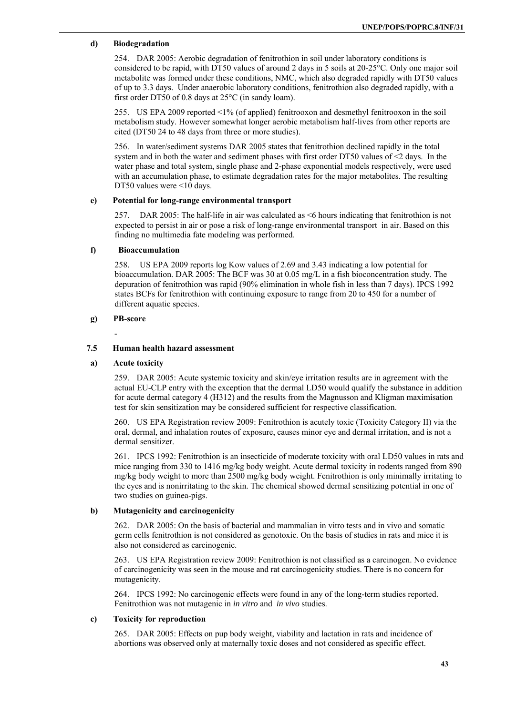# **d) Biodegradation**

254. DAR 2005: Aerobic degradation of fenitrothion in soil under laboratory conditions is considered to be rapid, with DT50 values of around 2 days in 5 soils at 20-25°C. Only one major soil metabolite was formed under these conditions, NMC, which also degraded rapidly with DT50 values of up to 3.3 days. Under anaerobic laboratory conditions, fenitrothion also degraded rapidly, with a first order DT50 of 0.8 days at 25°C (in sandy loam).

255. US EPA 2009 reported <1% (of applied) fenitrooxon and desmethyl fenitrooxon in the soil metabolism study. However somewhat longer aerobic metabolism half-lives from other reports are cited (DT50 24 to 48 days from three or more studies).

256. In water/sediment systems DAR 2005 states that fenitrothion declined rapidly in the total system and in both the water and sediment phases with first order DT50 values of  $\leq$  days. In the water phase and total system, single phase and 2-phase exponential models respectively, were used with an accumulation phase, to estimate degradation rates for the major metabolites. The resulting DT50 values were <10 days.

# **e) Potential for long-range environmental transport**

257. DAR 2005: The half-life in air was calculated as <6 hours indicating that fenitrothion is not expected to persist in air or pose a risk of long-range environmental transport in air. Based on this finding no multimedia fate modeling was performed.

#### **f) Bioaccumulation**

258. US EPA 2009 reports log Kow values of 2.69 and 3.43 indicating a low potential for bioaccumulation. DAR 2005: The BCF was 30 at 0.05 mg/L in a fish bioconcentration study. The depuration of fenitrothion was rapid (90% elimination in whole fish in less than 7 days). IPCS 1992 states BCFs for fenitrothion with continuing exposure to range from 20 to 450 for a number of different aquatic species.

#### **g) PB-score**

-

# **7.5 Human health hazard assessment**

#### **a) Acute toxicity**

259. DAR 2005: Acute systemic toxicity and skin/eye irritation results are in agreement with the actual EU-CLP entry with the exception that the dermal LD50 would qualify the substance in addition for acute dermal category 4 (H312) and the results from the Magnusson and Kligman maximisation test for skin sensitization may be considered sufficient for respective classification.

260. US EPA Registration review 2009: Fenitrothion is acutely toxic (Toxicity Category II) via the oral, dermal, and inhalation routes of exposure, causes minor eye and dermal irritation, and is not a dermal sensitizer.

261. IPCS 1992: Fenitrothion is an insecticide of moderate toxicity with oral LD50 values in rats and mice ranging from 330 to 1416 mg/kg body weight. Acute dermal toxicity in rodents ranged from 890 mg/kg body weight to more than 2500 mg/kg body weight. Fenitrothion is only minimally irritating to the eyes and is nonirritating to the skin. The chemical showed dermal sensitizing potential in one of two studies on guinea-pigs.

#### **b) Mutagenicity and carcinogenicity**

262. DAR 2005: On the basis of bacterial and mammalian in vitro tests and in vivo and somatic germ cells fenitrothion is not considered as genotoxic. On the basis of studies in rats and mice it is also not considered as carcinogenic.

263. US EPA Registration review 2009: Fenitrothion is not classified as a carcinogen. No evidence of carcinogenicity was seen in the mouse and rat carcinogenicity studies. There is no concern for mutagenicity.

264. IPCS 1992: No carcinogenic effects were found in any of the long-term studies reported. Fenitrothion was not mutagenic in *in vitro* and *in vivo* studies.

#### **c) Toxicity for reproduction**

265. DAR 2005: Effects on pup body weight, viability and lactation in rats and incidence of abortions was observed only at maternally toxic doses and not considered as specific effect.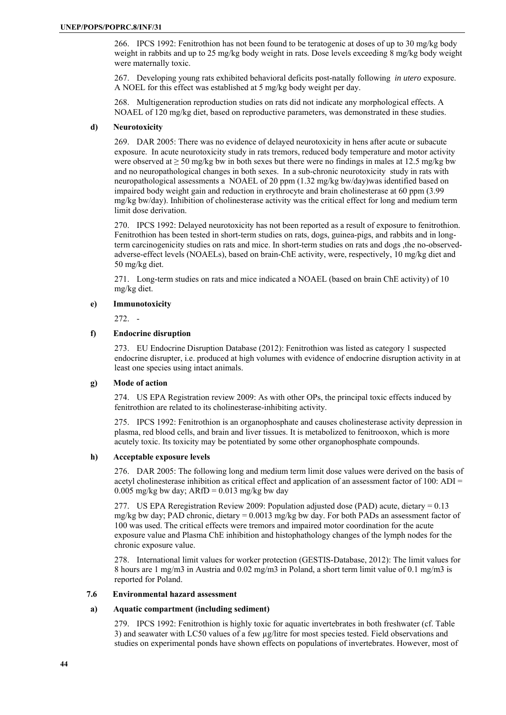266. IPCS 1992: Fenitrothion has not been found to be teratogenic at doses of up to 30 mg/kg body weight in rabbits and up to 25 mg/kg body weight in rats. Dose levels exceeding 8 mg/kg body weight were maternally toxic.

267. Developing young rats exhibited behavioral deficits post-natally following *in utero* exposure. A NOEL for this effect was established at 5 mg/kg body weight per day.

268. Multigeneration reproduction studies on rats did not indicate any morphological effects. A NOAEL of 120 mg/kg diet, based on reproductive parameters, was demonstrated in these studies.

# **d) Neurotoxicity**

269. DAR 2005: There was no evidence of delayed neurotoxicity in hens after acute or subacute exposure. In acute neurotoxicity study in rats tremors, reduced body temperature and motor activity were observed at  $\geq$  50 mg/kg bw in both sexes but there were no findings in males at 12.5 mg/kg bw and no neuropathological changes in both sexes. In a sub-chronic neurotoxicity study in rats with neuropathological assessments a NOAEL of 20 ppm (1.32 mg/kg bw/day)was identified based on impaired body weight gain and reduction in erythrocyte and brain cholinesterase at 60 ppm (3.99 mg/kg bw/day). Inhibition of cholinesterase activity was the critical effect for long and medium term limit dose derivation.

270. IPCS 1992: Delayed neurotoxicity has not been reported as a result of exposure to fenitrothion. Fenitrothion has been tested in short-term studies on rats, dogs, guinea-pigs, and rabbits and in longterm carcinogenicity studies on rats and mice. In short-term studies on rats and dogs ,the no-observedadverse-effect levels (NOAELs), based on brain-ChE activity, were, respectively, 10 mg/kg diet and 50 mg/kg diet.

271. Long-term studies on rats and mice indicated a NOAEL (based on brain ChE activity) of 10 mg/kg diet.

# **e) Immunotoxicity**

272. -

# **f) Endocrine disruption**

273. EU Endocrine Disruption Database (2012): Fenitrothion was listed as category 1 suspected endocrine disrupter, i.e. produced at high volumes with evidence of endocrine disruption activity in at least one species using intact animals.

# **g) Mode of action**

274. US EPA Registration review 2009: As with other OPs, the principal toxic effects induced by fenitrothion are related to its cholinesterase-inhibiting activity.

275. IPCS 1992: Fenitrothion is an organophosphate and causes cholinesterase activity depression in plasma, red blood cells, and brain and liver tissues. It is metabolized to fenitrooxon, which is more acutely toxic. Its toxicity may be potentiated by some other organophosphate compounds.

# **h) Acceptable exposure levels**

276. DAR 2005: The following long and medium term limit dose values were derived on the basis of acetyl cholinesterase inhibition as critical effect and application of an assessment factor of 100: ADI = 0.005 mg/kg bw day;  $ARfD = 0.013$  mg/kg bw day

277. US EPA Reregistration Review 2009: Population adjusted dose (PAD) acute, dietary = 0.13 mg/kg bw day; PAD chronic, dietary  $= 0.0013$  mg/kg bw day. For both PADs an assessment factor of 100 was used. The critical effects were tremors and impaired motor coordination for the acute exposure value and Plasma ChE inhibition and histophathology changes of the lymph nodes for the chronic exposure value.

278. International limit values for worker protection (GESTIS-Database, 2012): The limit values for 8 hours are 1 mg/m3 in Austria and 0.02 mg/m3 in Poland, a short term limit value of 0.1 mg/m3 is reported for Poland.

# **7.6 Environmental hazard assessment**

# **a) Aquatic compartment (including sediment)**

279. IPCS 1992: Fenitrothion is highly toxic for aquatic invertebrates in both freshwater (cf. Table 3) and seawater with LC50 values of a few µg/litre for most species tested. Field observations and studies on experimental ponds have shown effects on populations of invertebrates. However, most of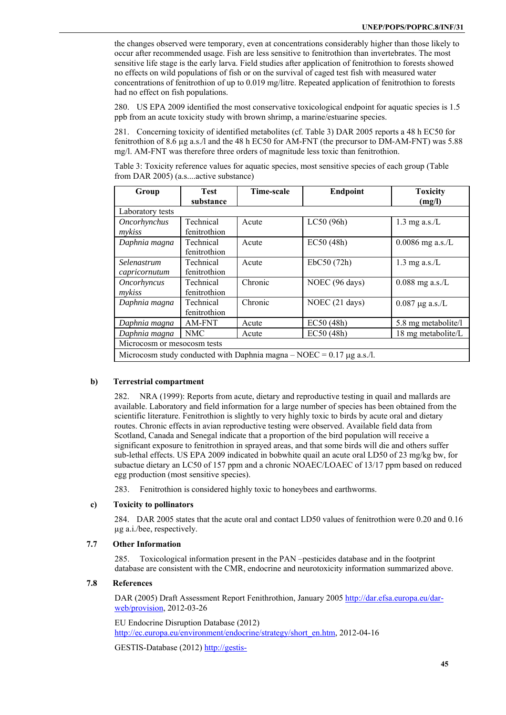the changes observed were temporary, even at concentrations considerably higher than those likely to occur after recommended usage. Fish are less sensitive to fenitrothion than invertebrates. The most sensitive life stage is the early larva. Field studies after application of fenitrothion to forests showed no effects on wild populations of fish or on the survival of caged test fish with measured water concentrations of fenitrothion of up to 0.019 mg/litre. Repeated application of fenitrothion to forests had no effect on fish populations.

280. US EPA 2009 identified the most conservative toxicological endpoint for aquatic species is 1.5 ppb from an acute toxicity study with brown shrimp, a marine/estuarine species.

281. Concerning toxicity of identified metabolites (cf. Table 3) DAR 2005 reports a 48 h EC50 for fenitrothion of 8.6 µg a.s./l and the 48 h EC50 for AM-FNT (the precursor to DM-AM-FNT) was 5.88 mg/l. AM-FNT was therefore three orders of magnitude less toxic than fenitrothion.

Table 3: Toxicity reference values for aquatic species, most sensitive species of each group (Table from DAR 2005) (a.s....active substance)

| Group                                                                      | Test<br>substance         | <b>Time-scale</b> | <b>Endpoint</b> | <b>Toxicity</b><br>(mg/l) |
|----------------------------------------------------------------------------|---------------------------|-------------------|-----------------|---------------------------|
| Laboratory tests                                                           |                           |                   |                 |                           |
| Oncorhynchus<br>mykiss                                                     | Technical<br>fenitrothion | Acute             | LC50 (96h)      | $1.3$ mg a.s./L           |
| Daphnia magna                                                              | Technical<br>fenitrothion | Acute             | EC50 (48h)      | $0.0086$ mg a.s./L        |
| Selenastrum<br>capricornutum                                               | Technical<br>fenitrothion | Acute             | EbC50 (72h)     | $1.3$ mg a.s./L           |
| <i><b>Oncorhyncus</b></i><br>mykiss                                        | Technical<br>fenitrothion | Chronic           | NOEC (96 days)  | $0.088$ mg a.s./L         |
| Daphnia magna                                                              | Technical<br>fenitrothion | Chronic           | NOEC (21 days)  | $0.087 \mu g$ a.s./L      |
| Daphnia magna                                                              | AM-FNT                    | Acute             | EC50(48h)       | 5.8 mg metabolite/l       |
| Daphnia magna                                                              | NMC                       | Acute             | EC50(48h)       | 18 mg metabolite/L        |
| Microcosm or mesocosm tests                                                |                           |                   |                 |                           |
| Microcosm study conducted with Daphnia magna – NOEC = $0.17 \mu$ g a.s./l. |                           |                   |                 |                           |

#### **b) Terrestrial compartment**

282. NRA (1999): Reports from acute, dietary and reproductive testing in quail and mallards are available. Laboratory and field information for a large number of species has been obtained from the scientific literature. Fenitrothion is slightly to very highly toxic to birds by acute oral and dietary routes. Chronic effects in avian reproductive testing were observed. Available field data from Scotland, Canada and Senegal indicate that a proportion of the bird population will receive a significant exposure to fenitrothion in sprayed areas, and that some birds will die and others suffer sub-lethal effects. US EPA 2009 indicated in bobwhite quail an acute oral LD50 of 23 mg/kg bw, for subactue dietary an LC50 of 157 ppm and a chronic NOAEC/LOAEC of 13/17 ppm based on reduced egg production (most sensitive species).

283. Fenitrothion is considered highly toxic to honeybees and earthworms.

#### **c) Toxicity to pollinators**

284. DAR 2005 states that the acute oral and contact LD50 values of fenitrothion were 0.20 and 0.16 µg a.i./bee, respectively.

# **7.7 Other Information**

285. Toxicological information present in the PAN –pesticides database and in the footprint database are consistent with the CMR, endocrine and neurotoxicity information summarized above.

#### **7.8 References**

DAR (2005) Draft Assessment Report Fenithrothion, January 2005 http://dar.efsa.europa.eu/darweb/provision, 2012-03-26

EU Endocrine Disruption Database (2012) http://ec.europa.eu/environment/endocrine/strategy/short\_en.htm, 2012-04-16

GESTIS-Database (2012) http://gestis-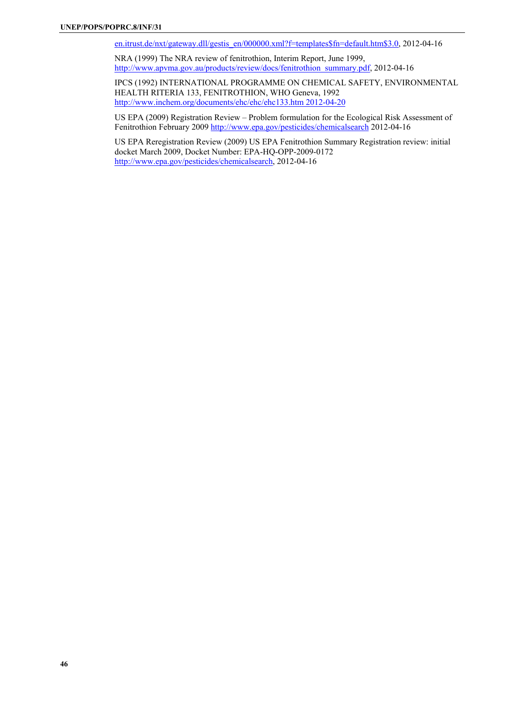en.itrust.de/nxt/gateway.dll/gestis\_en/000000.xml?f=templates\$fn=default.htm\$3.0, 2012-04-16

NRA (1999) The NRA review of fenitrothion, Interim Report, June 1999, http://www.apvma.gov.au/products/review/docs/fenitrothion\_summary.pdf, 2012-04-16

IPCS (1992) INTERNATIONAL PROGRAMME ON CHEMICAL SAFETY, ENVIRONMENTAL HEALTH RITERIA 133, FENITROTHION, WHO Geneva, 1992 http://www.inchem.org/documents/ehc/ehc/ehc133.htm 2012-04-20

US EPA (2009) Registration Review – Problem formulation for the Ecological Risk Assessment of Fenitrothion February 2009 http://www.epa.gov/pesticides/chemicalsearch 2012-04-16

US EPA Reregistration Review (2009) US EPA Fenitrothion Summary Registration review: initial docket March 2009, Docket Number: EPA-HQ-OPP-2009-0172 http://www.epa.gov/pesticides/chemicalsearch, 2012-04-16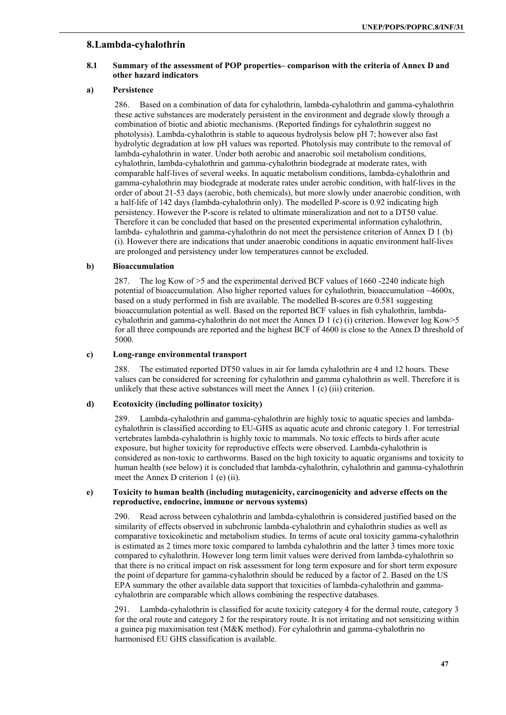# **8. Lambda-cyhalothrin**

# **8.1 Summary of the assessment of POP properties– comparison with the criteria of Annex D and other hazard indicators**

### **a) Persistence**

286. Based on a combination of data for cyhalothrin, lambda-cyhalothrin and gamma-cyhalothrin these active substances are moderately persistent in the environment and degrade slowly through a combination of biotic and abiotic mechanisms. (Reported findings for cyhalothrin suggest no photolysis). Lambda-cyhalothrin is stable to aqueous hydrolysis below pH 7; however also fast hydrolytic degradation at low pH values was reported. Photolysis may contribute to the removal of lambda-cyhalothrin in water. Under both aerobic and anaerobic soil metabolism conditions, cyhalothrin, lambda-cyhalothrin and gamma-cyhalothrin biodegrade at moderate rates, with comparable half-lives of several weeks. In aquatic metabolism conditions, lambda-cyhalothrin and gamma-cyhalothrin may biodegrade at moderate rates under aerobic condition, with half-lives in the order of about 21-53 days (aerobic, both chemicals), but more slowly under anaerobic condition, with a half-life of 142 days (lambda-cyhalothrin only). The modelled P-score is 0.92 indicating high persistency. However the P-score is related to ultimate mineralization and not to a DT50 value. Therefore it can be concluded that based on the presented experimental information cyhalothrin, lambda- cyhalothrin and gamma-cyhalothrin do not meet the persistence criterion of Annex D 1 (b) (i). However there are indications that under anaerobic conditions in aquatic environment half-lives are prolonged and persistency under low temperatures cannot be excluded.

#### **b) Bioaccumulation**

287. The log Kow of >5 and the experimental derived BCF values of 1660 -2240 indicate high potential of bioaccumulation. Also higher reported values for cyhalothrin, bioaccumulation  $\sim$ 4600x, based on a study performed in fish are available. The modelled B-scores are 0.581 suggesting bioaccumulation potential as well. Based on the reported BCF values in fish cyhalothrin, lambdacyhalothrin and gamma-cyhalothrin do not meet the Annex D 1 (c) (i) criterion. However log Kow>5 for all three compounds are reported and the highest BCF of 4600 is close to the Annex D threshold of 5000.

#### **c) Long-range environmental transport**

288. The estimated reported DT50 values in air for lamda cyhalothrin are 4 and 12 hours. These values can be considered for screening for cyhalothrin and gamma cyhalothrin as well. Therefore it is unlikely that these active substances will meet the Annex 1 (c) (iii) criterion.

### **d) Ecotoxicity (including pollinator toxicity)**

289. Lambda-cyhalothrin and gamma-cyhalothrin are highly toxic to aquatic species and lambdacyhalothrin is classified according to EU-GHS as aquatic acute and chronic category 1. For terrestrial vertebrates lambda-cyhalothrin is highly toxic to mammals. No toxic effects to birds after acute exposure, but higher toxicity for reproductive effects were observed. Lambda-cyhalothrin is considered as non-toxic to earthworms. Based on the high toxicity to aquatic organisms and toxicity to human health (see below) it is concluded that lambda-cyhalothrin, cyhalothrin and gamma-cyhalothrin meet the Annex D criterion 1 (e) (ii).

#### **e) Toxicity to human health (including mutagenicity, carcinogenicity and adverse effects on the reproductive, endocrine, immune or nervous systems)**

290. Read across between cyhalothrin and lambda-cyhalothrin is considered justified based on the similarity of effects observed in subchronic lambda-cyhalothrin and cyhalothrin studies as well as comparative toxicokinetic and metabolism studies. In terms of acute oral toxicity gamma-cyhalothrin is estimated as 2 times more toxic compared to lambda cyhalothrin and the latter 3 times more toxic compared to cyhalothrin. However long term limit values were derived from lambda-cyhalothrin so that there is no critical impact on risk assessment for long term exposure and for short term exposure the point of departure for gamma-cyhalothrin should be reduced by a factor of 2. Based on the US EPA summary the other available data support that toxicities of lambda-cyhalothrin and gammacyhalothrin are comparable which allows combining the respective databases.

291. Lambda-cyhalothrin is classified for acute toxicity category 4 for the dermal route, category 3 for the oral route and category 2 for the respiratory route. It is not irritating and not sensitizing within a guinea pig maximisation test (M&K method). For cyhalothrin and gamma-cyhalothrin no harmonised EU GHS classification is available.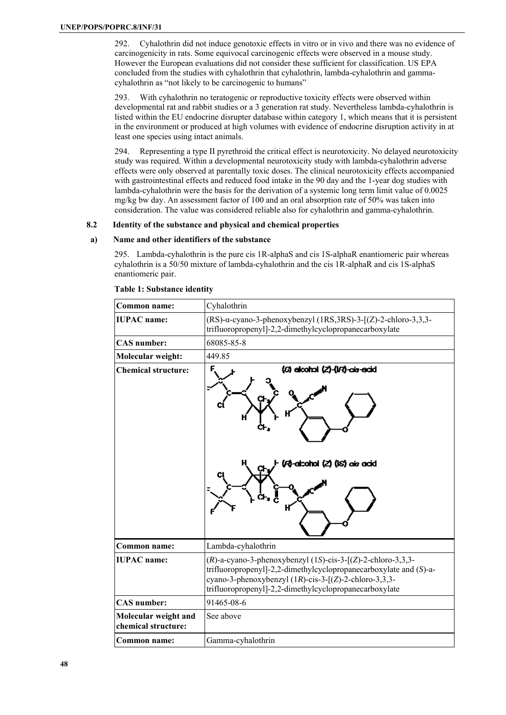292. Cyhalothrin did not induce genotoxic effects in vitro or in vivo and there was no evidence of carcinogenicity in rats. Some equivocal carcinogenic effects were observed in a mouse study. However the European evaluations did not consider these sufficient for classification. US EPA concluded from the studies with cyhalothrin that cyhalothrin, lambda-cyhalothrin and gammacyhalothrin as "not likely to be carcinogenic to humans"

293. With cyhalothrin no teratogenic or reproductive toxicity effects were observed within developmental rat and rabbit studies or a 3 generation rat study. Nevertheless lambda-cyhalothrin is listed within the EU endocrine disrupter database within category 1, which means that it is persistent in the environment or produced at high volumes with evidence of endocrine disruption activity in at least one species using intact animals.

294. Representing a type II pyrethroid the critical effect is neurotoxicity. No delayed neurotoxicity study was required. Within a developmental neurotoxicity study with lambda-cyhalothrin adverse effects were only observed at parentally toxic doses. The clinical neurotoxicity effects accompanied with gastrointestinal effects and reduced food intake in the 90 day and the 1-year dog studies with lambda-cyhalothrin were the basis for the derivation of a systemic long term limit value of 0.0025 mg/kg bw day. An assessment factor of 100 and an oral absorption rate of 50% was taken into consideration. The value was considered reliable also for cyhalothrin and gamma-cyhalothrin.

# **8.2 Identity of the substance and physical and chemical properties**

#### **a) Name and other identifiers of the substance**

295. Lambda-cyhalothrin is the pure cis 1R-alphaS and cis 1S-alphaR enantiomeric pair whereas cyhalothrin is a 50/50 mixture of lambda-cyhalothrin and the cis 1R-alphaR and cis 1S-alphaS enantiomeric pair.

| Common name:                                | Cyhalothrin                                                                                                                                                                                                                                                       |
|---------------------------------------------|-------------------------------------------------------------------------------------------------------------------------------------------------------------------------------------------------------------------------------------------------------------------|
| <b>IUPAC</b> name:                          | $(RS)$ -a-cyano-3-phenoxybenzyl (1RS,3RS)-3- $[(Z)$ -2-chloro-3,3,3-<br>trifluoropropenyl]-2,2-dimethylcyclopropanecarboxylate                                                                                                                                    |
| <b>CAS</b> number:                          | 68085-85-8                                                                                                                                                                                                                                                        |
| Molecular weight:                           | 449.85                                                                                                                                                                                                                                                            |
| <b>Chemical structure:</b>                  | (6) elcohol (2)-(I/?)-cis-ecid<br>F<br>(Fo)-adcohol (Z) (IS) ais acid<br>O<br>н                                                                                                                                                                                   |
| Common name:                                | Lambda-cyhalothrin                                                                                                                                                                                                                                                |
| <b>IUPAC</b> name:                          | $(R)$ -a-cyano-3-phenoxybenzyl (1S)-cis-3-[ $(Z)$ -2-chloro-3,3,3-<br>trifluoropropenyl]-2,2-dimethylcyclopropanecarboxylate and (S)-a-<br>cyano-3-phenoxybenzyl $(1R)$ -cis-3- $[(Z)$ -2-chloro-3,3,3-<br>trifluoropropenyl]-2,2-dimethylcyclopropanecarboxylate |
| <b>CAS</b> number:                          | 91465-08-6                                                                                                                                                                                                                                                        |
| Molecular weight and<br>chemical structure: | See above                                                                                                                                                                                                                                                         |
| Common name:                                | Gamma-cyhalothrin                                                                                                                                                                                                                                                 |

#### **Table 1: Substance identity**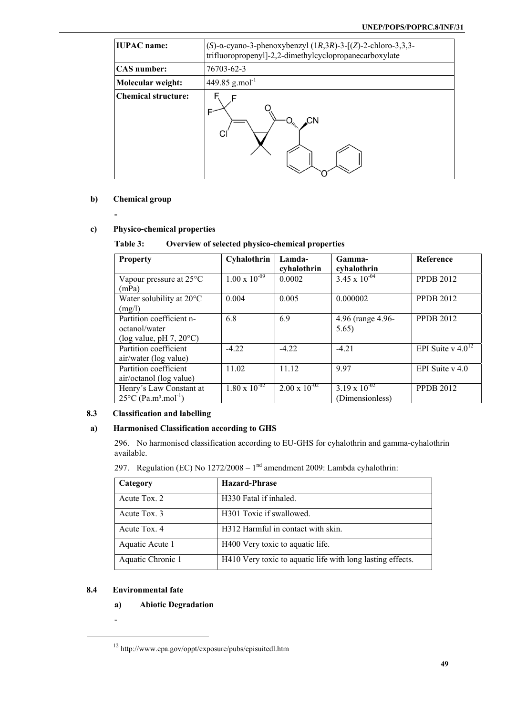| <b>IUPAC</b> name:         | (S)- $\alpha$ -cyano-3-phenoxybenzyl (1R,3R)-3-[(Z)-2-chloro-3,3,3-<br>trifluoropropenyl]-2,2-dimethylcyclopropanecarboxylate |
|----------------------------|-------------------------------------------------------------------------------------------------------------------------------|
| <b>CAS</b> number:         | 76703-62-3                                                                                                                    |
| Molecular weight:          | 449.85 g.mol <sup>-1</sup>                                                                                                    |
| <b>Chemical structure:</b> | CΝ<br>$-O_{\nu_{\nu_{\alpha}}}\right)$                                                                                        |

# **b) Chemical group**

# **c) Physico-chemical properties**

# **Table 3: Overview of selected physico-chemical properties**

| <b>Property</b>                                                                   | Cyhalothrin            | Lamda-<br>cyhalothrin  | Gamma-<br>cyhalothrin                     | <b>Reference</b>       |
|-----------------------------------------------------------------------------------|------------------------|------------------------|-------------------------------------------|------------------------|
| Vapour pressure at 25°C<br>(mPa)                                                  | $1.00 \times 10^{-09}$ | 0.0002                 | $3.45 \times 10^{-04}$                    | <b>PPDB 2012</b>       |
| Water solubility at $20^{\circ}$ C<br>(mg/l)                                      | 0.004                  | 0.005                  | 0.000002                                  | <b>PPDB 2012</b>       |
| Partition coefficient n-<br>octanol/water<br>(log value, pH $7, 20^{\circ}$ C)    | 6.8                    | 6.9                    | 4.96 (range 4.96-<br>5.65)                | <b>PPDB 2012</b>       |
| Partition coefficient<br>air/water (log value)                                    | $-422$                 | $-422$                 | $-4.21$                                   | EPI Suite v $4.0^{12}$ |
| Partition coefficient<br>air/octanol (log value)                                  | 11.02                  | 11.12                  | 997                                       | EPI Suite $v$ 4.0      |
| Henry's Law Constant at<br>$25^{\circ}$ C (Pa.m <sup>3</sup> .mol <sup>-1</sup> ) | $1.80 \times 10^{-02}$ | $2.00 \times 10^{-02}$ | $3.19 \times 10^{-02}$<br>(Dimensionless) | <b>PPDB 2012</b>       |

# **8.3 Classification and labelling**

# **a) Harmonised Classification according to GHS**

296. No harmonised classification according to EU-GHS for cyhalothrin and gamma-cyhalothrin available.

297. Regulation (EC) No  $1272/2008 - 1<sup>nd</sup>$  amendment 2009: Lambda cyhalothrin:

| Category          | <b>Hazard-Phrase</b>                                       |
|-------------------|------------------------------------------------------------|
| Acute Tox. 2      | H330 Fatal if inhaled.                                     |
| Acute Tox. 3      | H301 Toxic if swallowed.                                   |
| Acute Tox. 4      | H312 Harmful in contact with skin.                         |
| Aquatic Acute 1   | H400 Very toxic to aquatic life.                           |
| Aquatic Chronic 1 | H410 Very toxic to aquatic life with long lasting effects. |

# **8.4 Environmental fate**

- **a) Abiotic Degradation**
- -

 $^{12}$ http://www.epa.gov/oppt/exposure/pubs/episuitedl.htm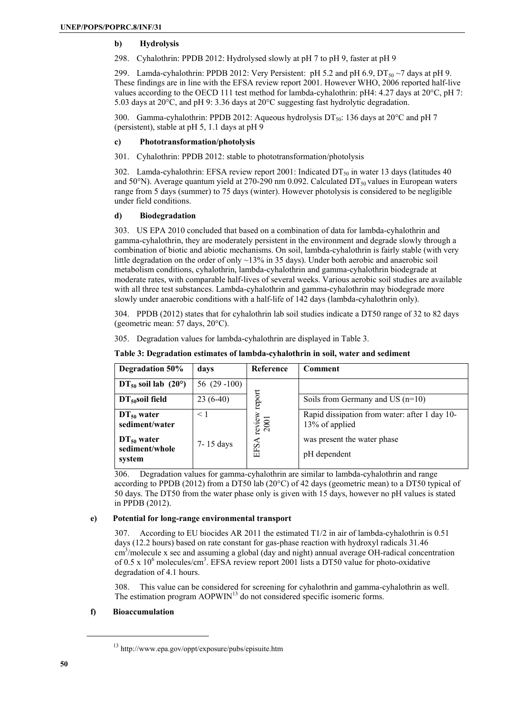# **b) Hydrolysis**

298. Cyhalothrin: PPDB 2012: Hydrolysed slowly at pH 7 to pH 9, faster at pH 9

299. Lamda-cyhalothrin: PPDB 2012: Very Persistent: pH 5.2 and pH 6.9,  $DT_{50} \sim 7$  days at pH 9. These findings are in line with the EFSA review report 2001. However WHO, 2006 reported half-live values according to the OECD 111 test method for lambda-cyhalothrin: pH4: 4.27 days at 20°C, pH 7: 5.03 days at 20°C, and pH 9: 3.36 days at 20°C suggesting fast hydrolytic degradation.

300. Gamma-cyhalothrin: PPDB 2012: Aqueous hydrolysis  $DT_{50}$ : 136 days at 20 $^{\circ}$ C and pH 7 (persistent), stable at pH 5, 1.1 days at pH 9

# **c) Phototransformation/photolysis**

301. Cyhalothrin: PPDB 2012: stable to phototransformation/photolysis

302. Lamda-cyhalothrin: EFSA review report 2001: Indicated  $DT_{50}$  in water 13 days (latitudes 40 and 50°N). Average quantum yield at 270-290 nm 0.092. Calculated  $DT_{50}$  values in European waters range from 5 days (summer) to 75 days (winter). However photolysis is considered to be negligible under field conditions.

# **d) Biodegradation**

303. US EPA 2010 concluded that based on a combination of data for lambda-cyhalothrin and gamma-cyhalothrin, they are moderately persistent in the environment and degrade slowly through a combination of biotic and abiotic mechanisms. On soil, lambda-cyhalothrin is fairly stable (with very little degradation on the order of only  $\sim$ 13% in 35 days). Under both aerobic and anaerobic soil metabolism conditions, cyhalothrin, lambda-cyhalothrin and gamma-cyhalothrin biodegrade at moderate rates, with comparable half-lives of several weeks. Various aerobic soil studies are available with all three test substances. Lambda-cyhalothrin and gamma-cyhalothrin may biodegrade more slowly under anaerobic conditions with a half-life of 142 days (lambda-cyhalothrin only).

304. PPDB (2012) states that for cyhalothrin lab soil studies indicate a DT50 range of 32 to 82 days (geometric mean: 57 days, 20°C).

| 305. Degradation values for lambda-cyhalothrin are displayed in Table 3. |  |  |  |
|--------------------------------------------------------------------------|--|--|--|
|                                                                          |  |  |  |

| Degradation 50%                                                                  | days                  | Reference              | Comment                                                                                                        |
|----------------------------------------------------------------------------------|-----------------------|------------------------|----------------------------------------------------------------------------------------------------------------|
| $DT_{50}$ soil lab (20°)                                                         | 56 $(29-100)$         |                        |                                                                                                                |
| $DT50$ soil field                                                                | $23(6-40)$            | report                 | Soils from Germany and US $(n=10)$                                                                             |
| $DT_{50}$ water<br>sediment/water<br>$DT_{50}$ water<br>sediment/whole<br>system | $\leq 1$<br>7-15 days | review<br>2001<br>EFSA | Rapid dissipation from water: after 1 day 10-<br>13% of applied<br>was present the water phase<br>pH dependent |

# **Table 3: Degradation estimates of lambda-cyhalothrin in soil, water and sediment**

306. Degradation values for gamma-cyhalothrin are similar to lambda-cyhalothrin and range according to PPDB (2012) from a DT50 lab (20°C) of 42 days (geometric mean) to a DT50 typical of 50 days. The DT50 from the water phase only is given with 15 days, however no pH values is stated in PPDB (2012).

# **e) Potential for long-range environmental transport**

307. According to EU biocides AR 2011 the estimated T1/2 in air of lambda-cyhalothrin is 0.51 days (12.2 hours) based on rate constant for gas-phase reaction with hydroxyl radicals 31.46 cm<sup>3</sup>/molecule x sec and assuming a global (day and night) annual average OH-radical concentration of 0.5 x 10<sup>6</sup> molecules/cm<sup>3</sup>. EFSA review report 2001 lists a DT50 value for photo-oxidative degradation of 4.1 hours.

308. This value can be considered for screening for cyhalothrin and gamma-cyhalothrin as well. The estimation program AOPWIN<sup>13</sup> do not considered specific isomeric forms.

# **f) Bioaccumulation**

<sup>13</sup> http://www.epa.gov/oppt/exposure/pubs/episuite.htm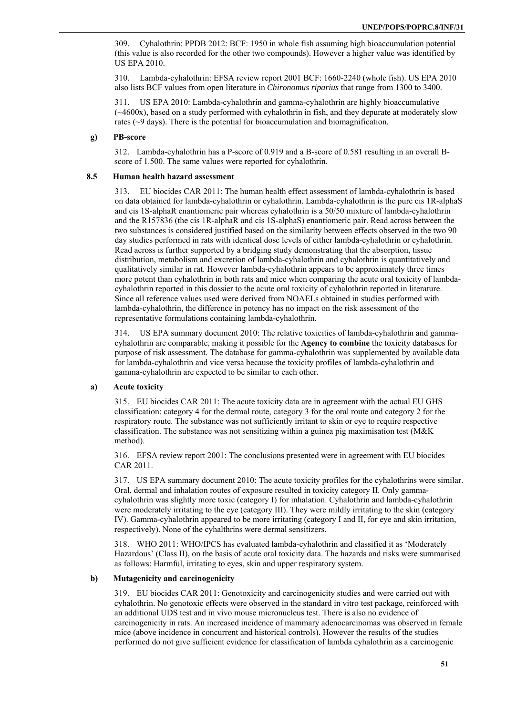309. Cyhalothrin: PPDB 2012: BCF: 1950 in whole fish assuming high bioaccumulation potential (this value is also recorded for the other two compounds). However a higher value was identified by US EPA 2010.

310. Lambda-cyhalothrin: EFSA review report 2001 BCF: 1660-2240 (whole fish). US EPA 2010 also lists BCF values from open literature in *Chironomus riparius* that range from 1300 to 3400.

311. US EPA 2010: Lambda-cyhalothrin and gamma-cyhalothrin are highly bioaccumulative (~4600x), based on a study performed with cyhalothrin in fish, and they depurate at moderately slow rates (~9 days). There is the potential for bioaccumulation and biomagnification.

#### **g) PB-score**

312. Lambda-cyhalothrin has a P-score of 0.919 and a B-score of 0.581 resulting in an overall Bscore of 1.500. The same values were reported for cyhalothrin.

### **8.5 Human health hazard assessment**

313. EU biocides CAR 2011: The human health effect assessment of lambda-cyhalothrin is based on data obtained for lambda-cyhalothrin or cyhalothrin. Lambda-cyhalothrin is the pure cis 1R-alphaS and cis 1S-alphaR enantiomeric pair whereas cyhalothrin is a 50/50 mixture of lambda-cyhalothrin and the R157836 (the cis 1R-alphaR and cis 1S-alphaS) enantiomeric pair. Read across between the two substances is considered justified based on the similarity between effects observed in the two 90 day studies performed in rats with identical dose levels of either lambda-cyhalothrin or cyhalothrin. Read across is further supported by a bridging study demonstrating that the absorption, tissue distribution, metabolism and excretion of lambda-cyhalothrin and cyhalothrin is quantitatively and qualitatively similar in rat. However lambda-cyhalothrin appears to be approximately three times more potent than cyhalothrin in both rats and mice when comparing the acute oral toxicity of lambdacyhalothrin reported in this dossier to the acute oral toxicity of cyhalothrin reported in literature. Since all reference values used were derived from NOAELs obtained in studies performed with lambda-cyhalothrin, the difference in potency has no impact on the risk assessment of the representative formulations containing lambda-cyhalothrin.

314. US EPA summary document 2010: The relative toxicities of lambda-cyhalothrin and gammacyhalothrin are comparable, making it possible for the **Agency to combine** the toxicity databases for purpose of risk assessment. The database for gamma-cyhalothrin was supplemented by available data for lambda-cyhalothrin and vice versa because the toxicity profiles of lambda-cyhalothrin and gamma-cyhalothrin are expected to be similar to each other.

# **a) Acute toxicity**

315. EU biocides CAR 2011: The acute toxicity data are in agreement with the actual EU GHS classification: category 4 for the dermal route, category 3 for the oral route and category 2 for the respiratory route. The substance was not sufficiently irritant to skin or eye to require respective classification. The substance was not sensitizing within a guinea pig maximisation test (M&K method).

316. EFSA review report 2001: The conclusions presented were in agreement with EU biocides CAR 2011.

317. US EPA summary document 2010: The acute toxicity profiles for the cyhalothrins were similar. Oral, dermal and inhalation routes of exposure resulted in toxicity category II. Only gammacyhalothrin was slightly more toxic (category I) for inhalation. Cyhalothrin and lambda-cyhalothrin were moderately irritating to the eye (category III). They were mildly irritating to the skin (category IV). Gamma-cyhalothrin appeared to be more irritating (category I and II, for eye and skin irritation, respectively). None of the cyhalthrins were dermal sensitizers.

318. WHO 2011: WHO/IPCS has evaluated lambda-cyhalothrin and classified it as 'Moderately Hazardous' (Class II), on the basis of acute oral toxicity data. The hazards and risks were summarised as follows: Harmful, irritating to eyes, skin and upper respiratory system.

#### **b) Mutagenicity and carcinogenicity**

319. EU biocides CAR 2011: Genotoxicity and carcinogenicity studies and were carried out with cyhalothrin. No genotoxic effects were observed in the standard in vitro test package, reinforced with an additional UDS test and in vivo mouse micronucleus test. There is also no evidence of carcinogenicity in rats. An increased incidence of mammary adenocarcinomas was observed in female mice (above incidence in concurrent and historical controls). However the results of the studies performed do not give sufficient evidence for classification of lambda cyhalothrin as a carcinogenic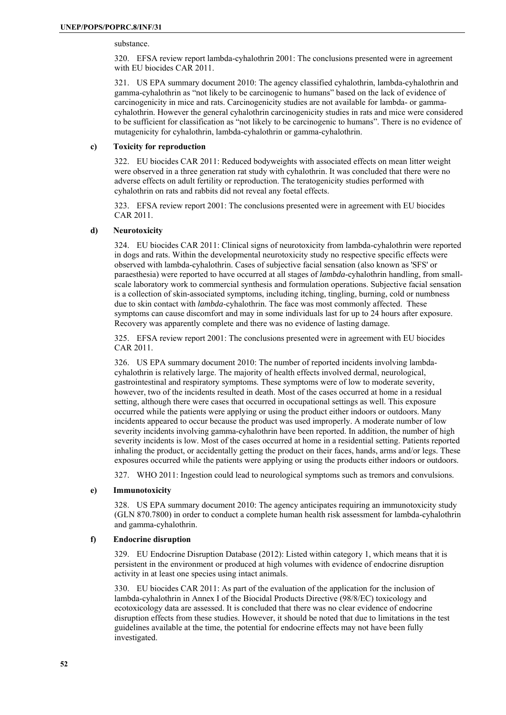substance.

320. EFSA review report lambda-cyhalothrin 2001: The conclusions presented were in agreement with EU biocides CAR 2011.

321. US EPA summary document 2010: The agency classified cyhalothrin, lambda-cyhalothrin and gamma-cyhalothrin as "not likely to be carcinogenic to humans" based on the lack of evidence of carcinogenicity in mice and rats. Carcinogenicity studies are not available for lambda- or gammacyhalothrin. However the general cyhalothrin carcinogenicity studies in rats and mice were considered to be sufficient for classification as "not likely to be carcinogenic to humans". There is no evidence of mutagenicity for cyhalothrin, lambda-cyhalothrin or gamma-cyhalothrin.

# **c) Toxicity for reproduction**

322. EU biocides CAR 2011: Reduced bodyweights with associated effects on mean litter weight were observed in a three generation rat study with cyhalothrin. It was concluded that there were no adverse effects on adult fertility or reproduction. The teratogenicity studies performed with cyhalothrin on rats and rabbits did not reveal any foetal effects.

323. EFSA review report 2001: The conclusions presented were in agreement with EU biocides CAR 2011.

# **d) Neurotoxicity**

324. EU biocides CAR 2011: Clinical signs of neurotoxicity from lambda-cyhalothrin were reported in dogs and rats. Within the developmental neurotoxicity study no respective specific effects were observed with lambda-cyhalothrin. Cases of subjective facial sensation (also known as 'SFS' or paraesthesia) were reported to have occurred at all stages of *lambda*-cyhalothrin handling, from smallscale laboratory work to commercial synthesis and formulation operations. Subjective facial sensation is a collection of skin-associated symptoms, including itching, tingling, burning, cold or numbness due to skin contact with *lambda*-cyhalothrin. The face was most commonly affected. These symptoms can cause discomfort and may in some individuals last for up to 24 hours after exposure. Recovery was apparently complete and there was no evidence of lasting damage.

325. EFSA review report 2001: The conclusions presented were in agreement with EU biocides CAR 2011.

326. US EPA summary document 2010: The number of reported incidents involving lambdacyhalothrin is relatively large. The majority of health effects involved dermal, neurological, gastrointestinal and respiratory symptoms. These symptoms were of low to moderate severity, however, two of the incidents resulted in death. Most of the cases occurred at home in a residual setting, although there were cases that occurred in occupational settings as well. This exposure occurred while the patients were applying or using the product either indoors or outdoors. Many incidents appeared to occur because the product was used improperly. A moderate number of low severity incidents involving gamma-cyhalothrin have been reported. In addition, the number of high severity incidents is low. Most of the cases occurred at home in a residential setting. Patients reported inhaling the product, or accidentally getting the product on their faces, hands, arms and/or legs. These exposures occurred while the patients were applying or using the products either indoors or outdoors.

327. WHO 2011: Ingestion could lead to neurological symptoms such as tremors and convulsions.

# **e) Immunotoxicity**

328. US EPA summary document 2010: The agency anticipates requiring an immunotoxicity study (GLN 870.7800) in order to conduct a complete human health risk assessment for lambda-cyhalothrin and gamma-cyhalothrin.

#### **f) Endocrine disruption**

329. EU Endocrine Disruption Database (2012): Listed within category 1, which means that it is persistent in the environment or produced at high volumes with evidence of endocrine disruption activity in at least one species using intact animals.

330. EU biocides CAR 2011: As part of the evaluation of the application for the inclusion of lambda-cyhalothrin in Annex I of the Biocidal Products Directive (98/8/EC) toxicology and ecotoxicology data are assessed. It is concluded that there was no clear evidence of endocrine disruption effects from these studies. However, it should be noted that due to limitations in the test guidelines available at the time, the potential for endocrine effects may not have been fully investigated.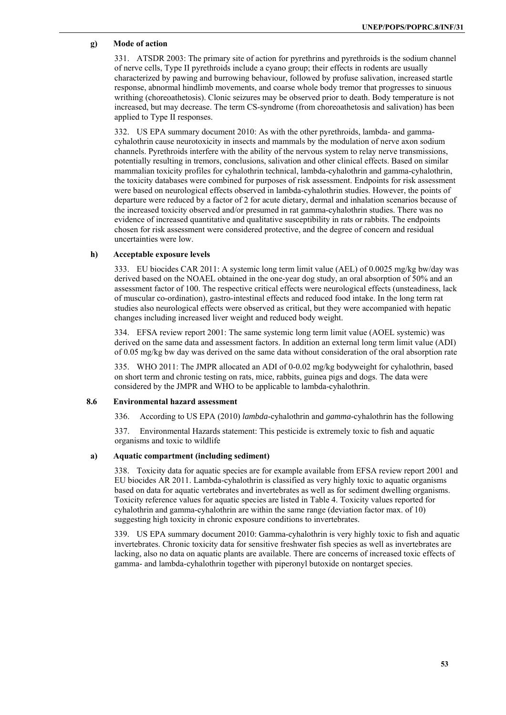### **g) Mode of action**

331. ATSDR 2003: The primary site of action for pyrethrins and pyrethroids is the sodium channel of nerve cells, Type II pyrethroids include a cyano group; their effects in rodents are usually characterized by pawing and burrowing behaviour, followed by profuse salivation, increased startle response, abnormal hindlimb movements, and coarse whole body tremor that progresses to sinuous writhing (choreoathetosis). Clonic seizures may be observed prior to death. Body temperature is not increased, but may decrease. The term CS-syndrome (from choreoathetosis and salivation) has been applied to Type II responses.

332. US EPA summary document 2010: As with the other pyrethroids, lambda- and gammacyhalothrin cause neurotoxicity in insects and mammals by the modulation of nerve axon sodium channels. Pyrethroids interfere with the ability of the nervous system to relay nerve transmissions, potentially resulting in tremors, conclusions, salivation and other clinical effects. Based on similar mammalian toxicity profiles for cyhalothrin technical, lambda-cyhalothrin and gamma-cyhalothrin, the toxicity databases were combined for purposes of risk assessment. Endpoints for risk assessment were based on neurological effects observed in lambda-cyhalothrin studies. However, the points of departure were reduced by a factor of 2 for acute dietary, dermal and inhalation scenarios because of the increased toxicity observed and/or presumed in rat gamma-cyhalothrin studies. There was no evidence of increased quantitative and qualitative susceptibility in rats or rabbits. The endpoints chosen for risk assessment were considered protective, and the degree of concern and residual uncertainties were low.

#### **h) Acceptable exposure levels**

333. EU biocides CAR 2011: A systemic long term limit value (AEL) of 0.0025 mg/kg bw/day was derived based on the NOAEL obtained in the one-year dog study, an oral absorption of 50% and an assessment factor of 100. The respective critical effects were neurological effects (unsteadiness, lack of muscular co-ordination), gastro-intestinal effects and reduced food intake. In the long term rat studies also neurological effects were observed as critical, but they were accompanied with hepatic changes including increased liver weight and reduced body weight.

334. EFSA review report 2001: The same systemic long term limit value (AOEL systemic) was derived on the same data and assessment factors. In addition an external long term limit value (ADI) of 0.05 mg/kg bw day was derived on the same data without consideration of the oral absorption rate

335. WHO 2011: The JMPR allocated an ADI of 0-0.02 mg/kg bodyweight for cyhalothrin, based on short term and chronic testing on rats, mice, rabbits, guinea pigs and dogs. The data were considered by the JMPR and WHO to be applicable to lambda-cyhalothrin.

#### **8.6 Environmental hazard assessment**

336. According to US EPA (2010) *lambda*-cyhalothrin and *gamma*-cyhalothrin has the following

337. Environmental Hazards statement: This pesticide is extremely toxic to fish and aquatic organisms and toxic to wildlife

#### **a) Aquatic compartment (including sediment)**

338. Toxicity data for aquatic species are for example available from EFSA review report 2001 and EU biocides AR 2011. Lambda-cyhalothrin is classified as very highly toxic to aquatic organisms based on data for aquatic vertebrates and invertebrates as well as for sediment dwelling organisms. Toxicity reference values for aquatic species are listed in Table 4. Toxicity values reported for cyhalothrin and gamma-cyhalothrin are within the same range (deviation factor max. of 10) suggesting high toxicity in chronic exposure conditions to invertebrates.

339. US EPA summary document 2010: Gamma-cyhalothrin is very highly toxic to fish and aquatic invertebrates. Chronic toxicity data for sensitive freshwater fish species as well as invertebrates are lacking, also no data on aquatic plants are available. There are concerns of increased toxic effects of gamma- and lambda-cyhalothrin together with piperonyl butoxide on nontarget species.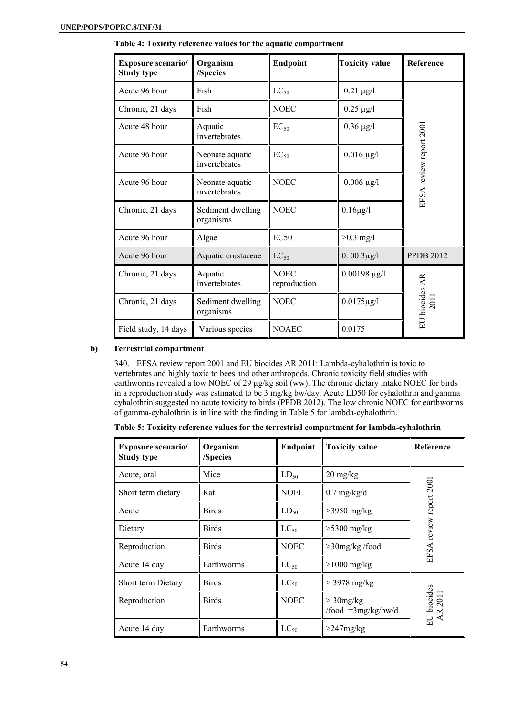| <b>Exposure scenario/</b><br><b>Study type</b> | Organism<br>/Species             | Endpoint                    | <b>Toxicity value</b> | Reference                          |
|------------------------------------------------|----------------------------------|-----------------------------|-----------------------|------------------------------------|
| Acute 96 hour                                  | Fish                             | $LC_{50}$                   | $0.21 \mu g/l$        |                                    |
| Chronic, 21 days                               | Fish                             | <b>NOEC</b>                 | $0.25 \mu g/l$        |                                    |
| Acute 48 hour<br>Aquatic<br>invertebrates      |                                  | $EC_{50}$                   | $0.36 \mu g/l$        |                                    |
| Acute 96 hour                                  | Neonate aquatic<br>invertebrates | $EC_{50}$                   | $0.016 \mu g/l$       | EFSA review report 2001            |
| Acute 96 hour                                  | Neonate aquatic<br>invertebrates | <b>NOEC</b>                 | $0.006 \mu g/l$       |                                    |
| Chronic, 21 days                               | Sediment dwelling<br>organisms   | <b>NOEC</b>                 | $0.16\mu g/l$         |                                    |
| Acute 96 hour                                  | Algae                            | EC50                        | $>0.3$ mg/l           |                                    |
| Acute 96 hour                                  | Aquatic crustaceae               | $LC_{50}$                   | $0.003\mu g/l$        | <b>PPDB 2012</b>                   |
| Chronic, 21 days                               | Aquatic<br>invertebrates         | <b>NOEC</b><br>reproduction | $0.00198 \,\mu g/l$   |                                    |
| Chronic, 21 days                               | Sediment dwelling<br>organisms   | <b>NOEC</b>                 | $0.0175 \mu g/l$      | EU biocides AR<br>$\overline{201}$ |
| Field study, 14 days                           | Various species                  | <b>NOAEC</b>                | 0.0175                |                                    |

**Table 4: Toxicity reference values for the aquatic compartment** 

# **b) Terrestrial compartment**

340. EFSA review report 2001 and EU biocides AR 2011: Lambda-cyhalothrin is toxic to vertebrates and highly toxic to bees and other arthropods. Chronic toxicity field studies with earthworms revealed a low NOEC of 29 µg/kg soil (ww). The chronic dietary intake NOEC for birds in a reproduction study was estimated to be 3 mg/kg bw/day. Acute LD50 for cyhalothrin and gamma cyhalothrin suggested no acute toxicity to birds (PPDB 2012). The low chronic NOEC for earthworms of gamma-cyhalothrin is in line with the finding in Table 5 for lambda-cyhalothrin.

|  |  |  | Table 5: Toxicity reference values for the terrestrial compartment for lambda-cyhalothrin |  |
|--|--|--|-------------------------------------------------------------------------------------------|--|
|--|--|--|-------------------------------------------------------------------------------------------|--|

| <b>Exposure scenario/</b><br><b>Study type</b> | Organism<br>/Species | <b>Endpoint</b> | <b>Toxicity value</b>               |                        |
|------------------------------------------------|----------------------|-----------------|-------------------------------------|------------------------|
| Acute, oral                                    | Mice                 | $LD_{50}$       | $20 \text{ mg/kg}$                  |                        |
| Short term dietary                             | Rat                  | <b>NOEL</b>     | $0.7$ mg/kg/d                       | review report 2001     |
| Acute                                          | <b>Birds</b>         | $LD_{50}$       | $>3950$ mg/kg                       |                        |
| Dietary                                        | <b>Birds</b>         | $LC_{50}$       | $>5300$ mg/kg                       |                        |
| Reproduction                                   | <b>Birds</b>         | <b>NOEC</b>     | $>30$ mg/kg /food                   | EFSA                   |
| Acute 14 day                                   | Earthworms           | $LC_{50}$       | $>1000$ mg/kg                       |                        |
| Short term Dietary                             | <b>Birds</b>         | $LC_{50}$       | $>$ 3978 mg/kg                      |                        |
| Reproduction                                   | <b>Birds</b>         | <b>NOEC</b>     | $>$ 30mg/kg<br>/food $=3mg/kg/bw/d$ | EU biocides<br>AR 2011 |
| Acute 14 day                                   | Earthworms           | $LC_{50}$       | $>247$ mg/kg                        |                        |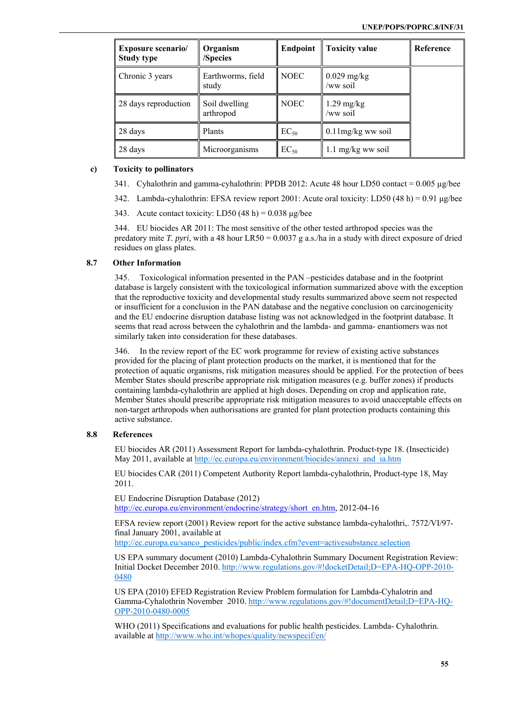| <b>Exposure scenario/</b><br><b>Study type</b> | Organism<br>/Species       | <b>Endpoint</b> | <b>Toxicity value</b>     | Reference |
|------------------------------------------------|----------------------------|-----------------|---------------------------|-----------|
| Chronic 3 years                                | Earthworms, field<br>study | <b>NOEC</b>     | $0.029$ mg/kg<br>/ww soil |           |
| 28 days reproduction                           | Soil dwelling<br>arthropod | <b>NOEC</b>     | $1.29$ mg/kg<br>/ww soil  |           |
| 28 days                                        | Plants                     | $EC_{50}$       | $0.11$ mg/kg ww soil      |           |
| 28 days                                        | Microorganisms             | $EC_{50}$       | 1.1 mg/kg ww soil         |           |

# **c) Toxicity to pollinators**

- 341. Cyhalothrin and gamma-cyhalothrin: PPDB 2012: Acute 48 hour LD50 contact  $= 0.005 \mu g$ /bee
- 342. Lambda-cyhalothrin: EFSA review report 2001: Acute oral toxicity: LD50 (48 h) = 0.91 μg/bee
- 343. Acute contact toxicity: LD50  $(48 h) = 0.038 \text{ µg/bee}$

344. EU biocides AR 2011: The most sensitive of the other tested arthropod species was the predatory mite *T. pyri*, with a 48 hour LR50 = 0.0037 g a.s./ha in a study with direct exposure of dried residues on glass plates.

#### **8.7 Other Information**

345. Toxicological information presented in the PAN –pesticides database and in the footprint database is largely consistent with the toxicological information summarized above with the exception that the reproductive toxicity and developmental study results summarized above seem not respected or insufficient for a conclusion in the PAN database and the negative conclusion on carcinogenicity and the EU endocrine disruption database listing was not acknowledged in the footprint database. It seems that read across between the cyhalothrin and the lambda- and gamma- enantiomers was not similarly taken into consideration for these databases.

346. In the review report of the EC work programme for review of existing active substances provided for the placing of plant protection products on the market, it is mentioned that for the protection of aquatic organisms, risk mitigation measures should be applied. For the protection of bees Member States should prescribe appropriate risk mitigation measures (e.g. buffer zones) if products containing lambda-cyhalothrin are applied at high doses. Depending on crop and application rate, Member States should prescribe appropriate risk mitigation measures to avoid unacceptable effects on non-target arthropods when authorisations are granted for plant protection products containing this active substance.

# **8.8 References**

EU biocides AR (2011) Assessment Report for lambda-cyhalothrin. Product-type 18. (Insecticide) May 2011, available at http://ec.europa.eu/environment/biocides/annexi\_and\_ia.htm

EU biocides CAR (2011) Competent Authority Report lambda-cyhalothrin, Product-type 18, May 2011.

EU Endocrine Disruption Database (2012) http://ec.europa.eu/environment/endocrine/strategy/short\_en.htm, 2012-04-16

EFSA review report (2001) Review report for the active substance lambda-cyhalothri,. 7572/VI/97 final January 2001, available at

http://ec.europa.eu/sanco\_pesticides/public/index.cfm?event=activesubstance.selection

US EPA summary document (2010) Lambda-Cyhalothrin Summary Document Registration Review: Initial Docket December 2010. http://www.regulations.gov/#!docketDetail;D=EPA-HQ-OPP-2010- 0480

US EPA (2010) EFED Registration Review Problem formulation for Lambda-Cyhalotrin and Gamma-Cyhalothrin November 2010. http://www.regulations.gov/#!documentDetail;D=EPA-HQ-OPP-2010-0480-0005

WHO (2011) Specifications and evaluations for public health pesticides. Lambda- Cyhalothrin. available at http://www.who.int/whopes/quality/newspecif/en/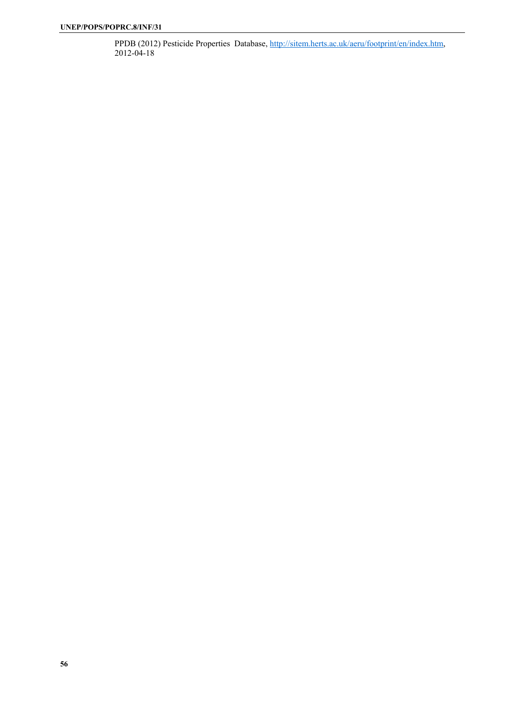PPDB (2012) Pesticide Properties Database, http://sitem.herts.ac.uk/aeru/footprint/en/index.htm, 2012-04-18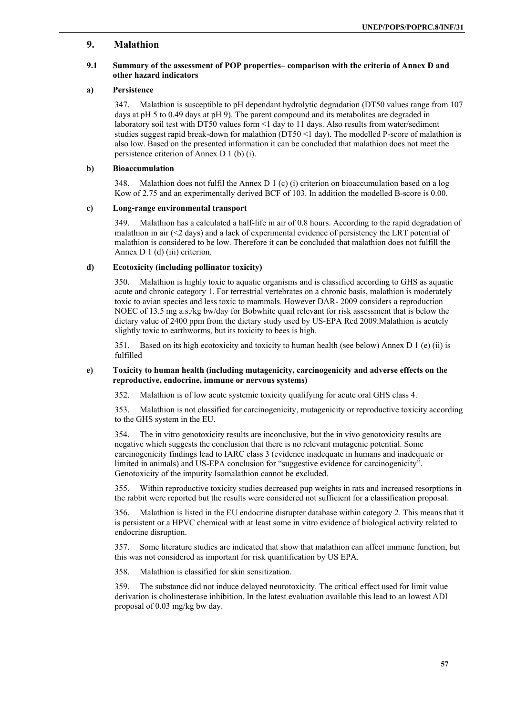# **9. Malathion**

### **9.1 Summary of the assessment of POP properties– comparison with the criteria of Annex D and other hazard indicators**

### **a) Persistence**

347. Malathion is susceptible to pH dependant hydrolytic degradation (DT50 values range from 107 days at pH 5 to 0.49 days at pH 9). The parent compound and its metabolites are degraded in laboratory soil test with DT50 values form <1 day to 11 days. Also results from water/sediment studies suggest rapid break-down for malathion ( $DT50 \leq 1$  day). The modelled P-score of malathion is also low. Based on the presented information it can be concluded that malathion does not meet the persistence criterion of Annex D 1 (b) (i).

#### **b) Bioaccumulation**

348. Malathion does not fulfil the Annex D 1 (c) (i) criterion on bioaccumulation based on a log Kow of 2.75 and an experimentally derived BCF of 103. In addition the modelled B-score is 0.00.

### **c) Long-range environmental transport**

349. Malathion has a calculated a half-life in air of 0.8 hours. According to the rapid degradation of malathion in air  $\ll$  days) and a lack of experimental evidence of persistency the LRT potential of malathion is considered to be low. Therefore it can be concluded that malathion does not fulfill the Annex D 1 (d) (iii) criterion.

#### **d) Ecotoxicity (including pollinator toxicity)**

350. Malathion is highly toxic to aquatic organisms and is classified according to GHS as aquatic acute and chronic category 1. For terrestrial vertebrates on a chronic basis, malathion is moderately toxic to avian species and less toxic to mammals. However DAR- 2009 considers a reproduction NOEC of 13.5 mg a.s./kg bw/day for Bobwhite quail relevant for risk assessment that is below the dietary value of 2400 ppm from the dietary study used by US-EPA Red 2009.Malathion is acutely slightly toxic to earthworms, but its toxicity to bees is high.

351. Based on its high ecotoxicity and toxicity to human health (see below) Annex D 1 (e) (ii) is fulfilled

#### **e) Toxicity to human health (including mutagenicity, carcinogenicity and adverse effects on the reproductive, endocrine, immune or nervous systems)**

352. Malathion is of low acute systemic toxicity qualifying for acute oral GHS class 4.

353. Malathion is not classified for carcinogenicity, mutagenicity or reproductive toxicity according to the GHS system in the EU.

354. The in vitro genotoxicity results are inconclusive, but the in vivo genotoxicity results are negative which suggests the conclusion that there is no relevant mutagenic potential. Some carcinogenicity findings lead to IARC class 3 (evidence inadequate in humans and inadequate or limited in animals) and US-EPA conclusion for "suggestive evidence for carcinogenicity". Genotoxicity of the impurity Isomalathion cannot be excluded.

355. Within reproductive toxicity studies decreased pup weights in rats and increased resorptions in the rabbit were reported but the results were considered not sufficient for a classification proposal.

356. Malathion is listed in the EU endocrine disrupter database within category 2. This means that it is persistent or a HPVC chemical with at least some in vitro evidence of biological activity related to endocrine disruption.

357. Some literature studies are indicated that show that malathion can affect immune function, but this was not considered as important for risk quantification by US EPA.

358. Malathion is classified for skin sensitization.

359. The substance did not induce delayed neurotoxicity. The critical effect used for limit value derivation is cholinesterase inhibition. In the latest evaluation available this lead to an lowest ADI proposal of 0.03 mg/kg bw day.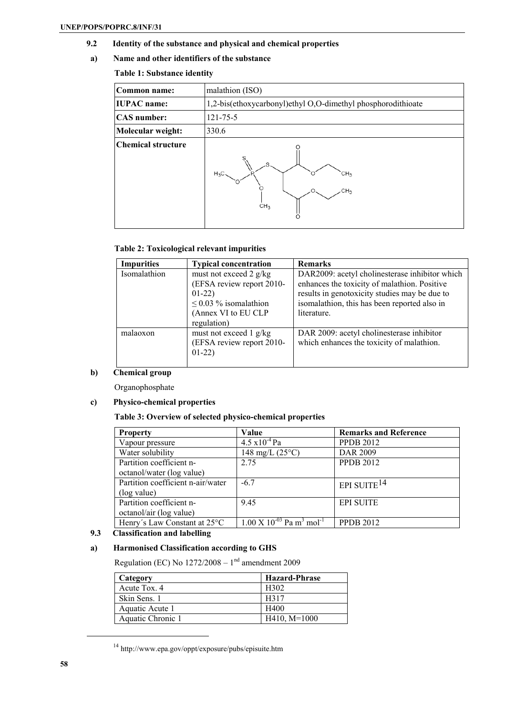- **9.2 Identity of the substance and physical and chemical properties**
- **a) Name and other identifiers of the substance**

# **Table 1: Substance identity**

| Common name:              | malathion (ISO)                                                      |  |  |  |
|---------------------------|----------------------------------------------------------------------|--|--|--|
| <b>IUPAC</b> name:        | 1,2-bis(ethoxycarbonyl)ethyl O,O-dimethyl phosphorodithioate         |  |  |  |
| <b>CAS</b> number:        | $121 - 75 - 5$                                                       |  |  |  |
| Molecular weight:         | 330.6                                                                |  |  |  |
| <b>Chemical structure</b> | e<br>$H_3C$<br>CH <sub>3</sub><br>CH <sub>3</sub><br>CH <sub>3</sub> |  |  |  |

# **Table 2: Toxicological relevant impurities**

| <b>Impurities</b> | <b>Typical concentration</b> | <b>Remarks</b>                                 |
|-------------------|------------------------------|------------------------------------------------|
| Isomalathion      | must not exceed 2 g/kg       | DAR2009: acetyl cholinesterase inhibitor which |
|                   | (EFSA review report 2010-    | enhances the toxicity of malathion. Positive   |
|                   | $01-22)$                     | results in genotoxicity studies may be due to  |
|                   | $\leq$ 0.03 % isomalathion   | isomalathion, this has been reported also in   |
|                   | (Annex VI to EU CLP          | literature.                                    |
|                   | regulation)                  |                                                |
| malaoxon          | must not exceed 1 g/kg       | DAR 2009: acetyl cholinesterase inhibitor      |
|                   | (EFSA review report 2010-    | which enhances the toxicity of malathion.      |
|                   | $01-22)$                     |                                                |
|                   |                              |                                                |

# **b) Chemical group**

Organophosphate

# **c) Physico-chemical properties**

# **Table 3: Overview of selected physico-chemical properties**

| <b>Property</b>                   | Value                                                                      | <b>Remarks and Reference</b> |
|-----------------------------------|----------------------------------------------------------------------------|------------------------------|
| Vapour pressure                   | $4.5 \times 10^{-4}$ Pa                                                    | <b>PPDB 2012</b>             |
| Water solubility                  | 148 mg/L $(25^{\circ}C)$                                                   | DAR 2009                     |
| Partition coefficient n-          | 2.75                                                                       | <b>PPDB 2012</b>             |
| octanol/water (log value)         |                                                                            |                              |
| Partition coefficient n-air/water | $-6.7$                                                                     | EPI SUITE <sup>14</sup>      |
| (log value)                       |                                                                            |                              |
| Partition coefficient n-          | 9.45                                                                       | <b>EPI SUITE</b>             |
| octanol/air (log value)           |                                                                            |                              |
| Henry's Law Constant at 25°C      | $\overline{1.00 \text{ X}}$ $10^{-03}$ Pa m <sup>3</sup> mol <sup>-1</sup> | <b>PPDB 2012</b>             |

# **9.3 Classification and labelling**

# **a) Harmonised Classification according to GHS**

Regulation (EC) No  $1272/2008 - 1<sup>nd</sup>$  amendment 2009

| Category          | <b>Hazard-Phrase</b> |
|-------------------|----------------------|
| Acute Tox. 4      | H302                 |
| Skin Sens. 1      | H317                 |
| Aquatic Acute 1   | H400                 |
| Aquatic Chronic 1 | $H410$ , $M=1000$    |

 $^{14}$ http://www.epa.gov/oppt/exposure/pubs/episuite.htm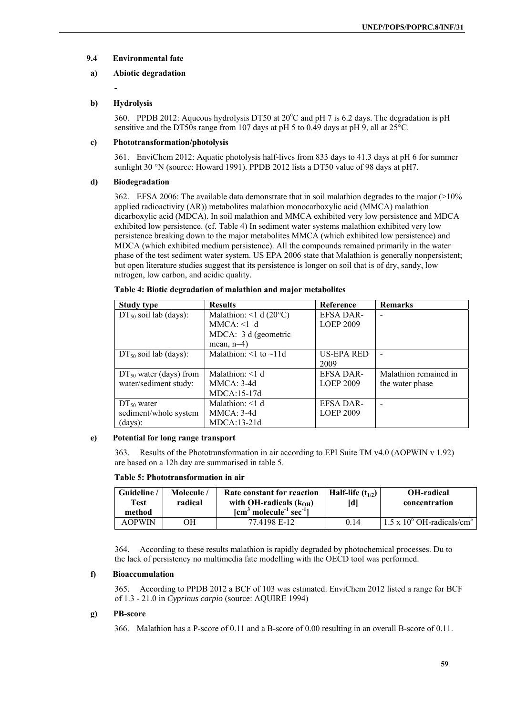# **9.4 Environmental fate**

# **a) Abiotic degradation**

**-** 

# **b) Hydrolysis**

360. PPDB 2012: Aqueous hydrolysis DT50 at 20°C and pH 7 is 6.2 days. The degradation is pH sensitive and the DT50s range from 107 days at pH 5 to 0.49 days at pH 9, all at 25°C.

# **c) Phototransformation/photolysis**

361. EnviChem 2012: Aquatic photolysis half-lives from 833 days to 41.3 days at pH 6 for summer sunlight 30 °N (source: Howard 1991). PPDB 2012 lists a DT50 value of 98 days at pH7.

# **d) Biodegradation**

362. EFSA 2006: The available data demonstrate that in soil malathion degrades to the major (>10% applied radioactivity (AR)) metabolites malathion monocarboxylic acid (MMCA) malathion dicarboxylic acid (MDCA). In soil malathion and MMCA exhibited very low persistence and MDCA exhibited low persistence. (cf. Table 4) In sediment water systems malathion exhibited very low persistence breaking down to the major metabolites MMCA (which exhibited low persistence) and MDCA (which exhibited medium persistence). All the compounds remained primarily in the water phase of the test sediment water system. US EPA 2006 state that Malathion is generally nonpersistent; but open literature studies suggest that its persistence is longer on soil that is of dry, sandy, low nitrogen, low carbon, and acidic quality.

| <b>Study type</b>           | <b>Results</b>                    | Reference         | <b>Remarks</b>           |
|-----------------------------|-----------------------------------|-------------------|--------------------------|
| $DT_{50}$ soil lab (days):  | Malathion: <1 d $(20^{\circ}C)$   | <b>EFSA DAR-</b>  |                          |
|                             | $MMCA: \leq 1$ d                  | <b>LOEP 2009</b>  |                          |
|                             | MDCA: 3 d (geometric              |                   |                          |
|                             | mean, $n=4$ )                     |                   |                          |
| $DT_{50}$ soil lab (days):  | Malathion: $\leq 1$ to $\sim 11d$ | <b>US-EPA RED</b> | $\overline{\phantom{0}}$ |
|                             |                                   | 2009              |                          |
| $DT_{50}$ water (days) from | Malathion: $<1$ d                 | <b>EFSA DAR-</b>  | Malathion remained in    |
| water/sediment study:       | $MMCA: 3-4d$                      | <b>LOEP 2009</b>  | the water phase          |
|                             | $MDCA:15-17d$                     |                   |                          |
| $DT_{50}$ water             | Malathion: $\leq 1$ d             | <b>EFSA DAR-</b>  |                          |
| sediment/whole system       | $MMCA: 3-4d$                      | <b>LOEP 2009</b>  |                          |
| (days):                     | $MDCA:13-21d$                     |                   |                          |

#### **Table 4: Biotic degradation of malathion and major metabolites**

# **e) Potential for long range transport**

363. Results of the Phototransformation in air according to EPI Suite TM v4.0 (AOPWIN v 1.92) are based on a 12h day are summarised in table 5.

# **Table 5: Phototransformation in air**

| Guideline<br>Test<br>method | Molecule /<br>radical | Rate constant for reaction<br>with OH-radicals $(kOH)$<br>$\lceil$ cm <sup>3</sup> molecule <sup>-1</sup> sec <sup>-1</sup> $\rceil$ | Half-life $(t_{1/2})$<br>ldl | <b>OH-radical</b><br>concentration              |
|-----------------------------|-----------------------|--------------------------------------------------------------------------------------------------------------------------------------|------------------------------|-------------------------------------------------|
| <b>AOPWIN</b>               | ЭH                    | 77.4198 E-12                                                                                                                         | 014                          | $1.5 \times 10^{6}$ OH-radicals/cm <sup>3</sup> |

364. According to these results malathion is rapidly degraded by photochemical processes. Du to the lack of persistency no multimedia fate modelling with the OECD tool was performed.

# **f) Bioaccumulation**

365. According to PPDB 2012 a BCF of 103 was estimated. EnviChem 2012 listed a range for BCF of 1.3 - 21.0 in *Cyprinus carpio* (source: AQUIRE 1994)

# **g) PB-score**

366. Malathion has a P-score of 0.11 and a B-score of 0.00 resulting in an overall B-score of 0.11.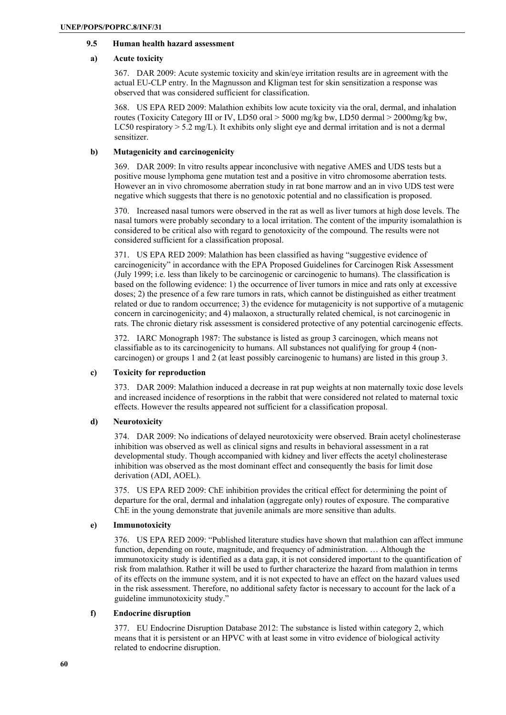# **9.5 Human health hazard assessment**

#### **a) Acute toxicity**

367. DAR 2009: Acute systemic toxicity and skin/eye irritation results are in agreement with the actual EU-CLP entry. In the Magnusson and Kligman test for skin sensitization a response was observed that was considered sufficient for classification.

368. US EPA RED 2009: Malathion exhibits low acute toxicity via the oral, dermal, and inhalation routes (Toxicity Category III or IV, LD50 oral > 5000 mg/kg bw, LD50 dermal > 2000mg/kg bw, LC50 respiratory  $> 5.2$  mg/L). It exhibits only slight eye and dermal irritation and is not a dermal sensitizer.

#### **b) Mutagenicity and carcinogenicity**

369. DAR 2009: In vitro results appear inconclusive with negative AMES and UDS tests but a positive mouse lymphoma gene mutation test and a positive in vitro chromosome aberration tests. However an in vivo chromosome aberration study in rat bone marrow and an in vivo UDS test were negative which suggests that there is no genotoxic potential and no classification is proposed.

370. Increased nasal tumors were observed in the rat as well as liver tumors at high dose levels. The nasal tumors were probably secondary to a local irritation. The content of the impurity isomalathion is considered to be critical also with regard to genotoxicity of the compound. The results were not considered sufficient for a classification proposal.

371. US EPA RED 2009: Malathion has been classified as having "suggestive evidence of carcinogenicity" in accordance with the EPA Proposed Guidelines for Carcinogen Risk Assessment (July 1999; i.e. less than likely to be carcinogenic or carcinogenic to humans). The classification is based on the following evidence: 1) the occurrence of liver tumors in mice and rats only at excessive doses; 2) the presence of a few rare tumors in rats, which cannot be distinguished as either treatment related or due to random occurrence; 3) the evidence for mutagenicity is not supportive of a mutagenic concern in carcinogenicity; and 4) malaoxon, a structurally related chemical, is not carcinogenic in rats. The chronic dietary risk assessment is considered protective of any potential carcinogenic effects.

372. IARC Monograph 1987: The substance is listed as group 3 carcinogen, which means not classifiable as to its carcinogenicity to humans. All substances not qualifying for group 4 (noncarcinogen) or groups 1 and 2 (at least possibly carcinogenic to humans) are listed in this group 3.

# **c) Toxicity for reproduction**

373. DAR 2009: Malathion induced a decrease in rat pup weights at non maternally toxic dose levels and increased incidence of resorptions in the rabbit that were considered not related to maternal toxic effects. However the results appeared not sufficient for a classification proposal.

# **d) Neurotoxicity**

374. DAR 2009: No indications of delayed neurotoxicity were observed. Brain acetyl cholinesterase inhibition was observed as well as clinical signs and results in behavioral assessment in a rat developmental study. Though accompanied with kidney and liver effects the acetyl cholinesterase inhibition was observed as the most dominant effect and consequently the basis for limit dose derivation (ADI, AOEL).

375. US EPA RED 2009: ChE inhibition provides the critical effect for determining the point of departure for the oral, dermal and inhalation (aggregate only) routes of exposure. The comparative ChE in the young demonstrate that juvenile animals are more sensitive than adults.

# **e) Immunotoxicity**

376. US EPA RED 2009: "Published literature studies have shown that malathion can affect immune function, depending on route, magnitude, and frequency of administration. … Although the immunotoxicity study is identified as a data gap, it is not considered important to the quantification of risk from malathion. Rather it will be used to further characterize the hazard from malathion in terms of its effects on the immune system, and it is not expected to have an effect on the hazard values used in the risk assessment. Therefore, no additional safety factor is necessary to account for the lack of a guideline immunotoxicity study."

#### **f) Endocrine disruption**

377. EU Endocrine Disruption Database 2012: The substance is listed within category 2, which means that it is persistent or an HPVC with at least some in vitro evidence of biological activity related to endocrine disruption.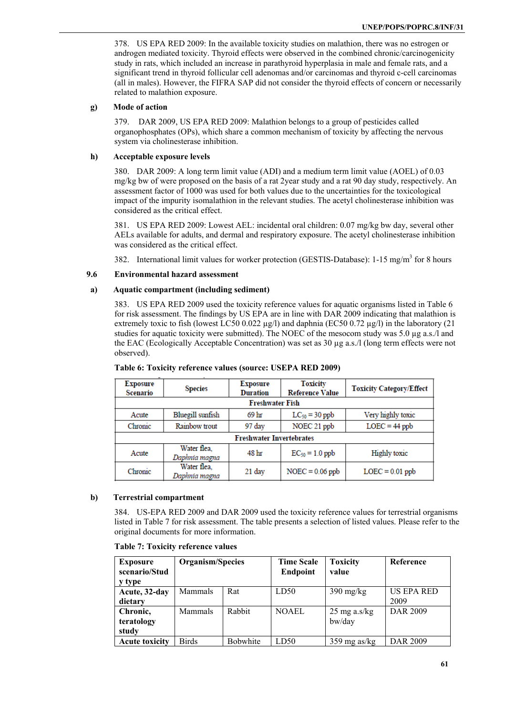378. US EPA RED 2009: In the available toxicity studies on malathion, there was no estrogen or androgen mediated toxicity. Thyroid effects were observed in the combined chronic/carcinogenicity study in rats, which included an increase in parathyroid hyperplasia in male and female rats, and a significant trend in thyroid follicular cell adenomas and/or carcinomas and thyroid c-cell carcinomas (all in males). However, the FIFRA SAP did not consider the thyroid effects of concern or necessarily related to malathion exposure.

# **g) Mode of action**

379. DAR 2009, US EPA RED 2009: Malathion belongs to a group of pesticides called organophosphates (OPs), which share a common mechanism of toxicity by affecting the nervous system via cholinesterase inhibition.

### **h) Acceptable exposure levels**

380. DAR 2009: A long term limit value (ADI) and a medium term limit value (AOEL) of 0.03 mg/kg bw of were proposed on the basis of a rat 2year study and a rat 90 day study, respectively. An assessment factor of 1000 was used for both values due to the uncertainties for the toxicological impact of the impurity isomalathion in the relevant studies. The acetyl cholinesterase inhibition was considered as the critical effect.

381. US EPA RED 2009: Lowest AEL: incidental oral children: 0.07 mg/kg bw day, several other AELs available for adults, and dermal and respiratory exposure. The acetyl cholinesterase inhibition was considered as the critical effect.

382. International limit values for worker protection (GESTIS-Database): 1-15 mg/m<sup>3</sup> for 8 hours

### **9.6 Environmental hazard assessment**

#### **a) Aquatic compartment (including sediment)**

383. US EPA RED 2009 used the toxicity reference values for aquatic organisms listed in Table 6 for risk assessment. The findings by US EPA are in line with DAR 2009 indicating that malathion is extremely toxic to fish (lowest LC50 0.022  $\mu$ g/l) and daphnia (EC50 0.72  $\mu$ g/l) in the laboratory (21 studies for aquatic toxicity were submitted). The NOEC of the mesocom study was 5.0 µg a.s./l and the EAC (Ecologically Acceptable Concentration) was set as  $30 \mu g$  a.s./l (long term effects were not observed).

| <b>Exposure</b><br>Scenario | <b>Species</b>                  | <b>Exposure</b><br><b>Duration</b> | <b>Toxicity</b><br><b>Reference Value</b> | <b>Toxicity Category/Effect</b> |  |  |
|-----------------------------|---------------------------------|------------------------------------|-------------------------------------------|---------------------------------|--|--|
|                             | <b>Freshwater Fish</b>          |                                    |                                           |                                 |  |  |
| Acute                       | Bluegill sunfish                | 69 hr                              | $LC_{50} = 30$ ppb                        | Very highly toxic               |  |  |
| Chronic                     | Rainbow trout                   | 97 day                             | NOEC 21 ppb                               | $LOEC = 44$ ppb                 |  |  |
|                             | <b>Freshwater Invertebrates</b> |                                    |                                           |                                 |  |  |
| Acute                       | Water flea,<br>Daphnia magna    | 48 hr                              | $EC_{50} = 1.0$ ppb                       | Highly toxic                    |  |  |
| Chronic                     | Water flea,<br>Daphnia magna    | $21$ day                           | $NOEC = 0.06$ ppb                         | $LOEC = 0.01$ ppb               |  |  |

#### **Table 6: Toxicity reference values (source: USEPA RED 2009)**

# **b) Terrestrial compartment**

384. US-EPA RED 2009 and DAR 2009 used the toxicity reference values for terrestrial organisms listed in Table 7 for risk assessment. The table presents a selection of listed values. Please refer to the original documents for more information.

| <b>Exposure</b><br>scenario/Stud<br>y type | Organism/Species |                 | <b>Time Scale</b><br><b>Endpoint</b> | <b>Toxicity</b><br>value | <b>Reference</b>          |
|--------------------------------------------|------------------|-----------------|--------------------------------------|--------------------------|---------------------------|
| Acute, 32-day<br>dietary                   | Mammals          | Rat             | LD50                                 | $390 \text{ mg/kg}$      | <b>US EPA RED</b><br>2009 |
| Chronic,                                   | <b>Mammals</b>   | Rabbit          | <b>NOAEL</b>                         | $25 \text{ mg a.s/kg}$   | DAR 2009                  |
| teratology<br>study                        |                  |                 |                                      | bw/day                   |                           |
| <b>Acute toxicity</b>                      | <b>Birds</b>     | <b>Bobwhite</b> | LD50                                 | $359 \text{ mg}$ as/kg   | DAR 2009                  |

#### **Table 7: Toxicity reference values**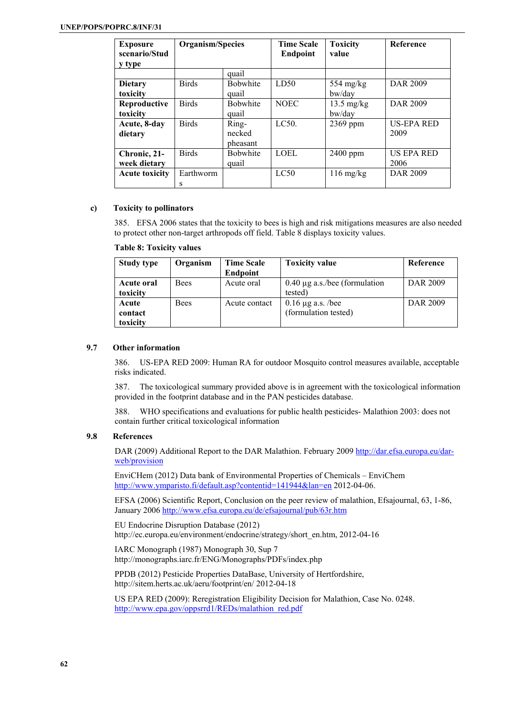| <b>Exposure</b><br>scenario/Stud<br>y type | Organism/Species |                             | <b>Time Scale</b><br><b>Endpoint</b> | <b>Toxicity</b><br>value       | Reference                 |
|--------------------------------------------|------------------|-----------------------------|--------------------------------------|--------------------------------|---------------------------|
|                                            |                  | quail                       |                                      |                                |                           |
| <b>Dietary</b><br>toxicity                 | <b>Birds</b>     | <b>Bobwhite</b><br>quail    | LD50                                 | 554 mg/ $kg$<br>bw/day         | DAR 2009                  |
| Reproductive<br>toxicity                   | <b>Birds</b>     | <b>Bobwhite</b><br>quail    | <b>NOEC</b>                          | $13.5 \text{ mg/kg}$<br>bw/day | DAR 2009                  |
| Acute, 8-day<br>dietary                    | <b>Birds</b>     | Ring-<br>necked<br>pheasant | LC50.                                | 2369 ppm                       | <b>US-EPA RED</b><br>2009 |
| Chronic, 21-<br>week dietary               | <b>Birds</b>     | <b>Bobwhite</b><br>quail    | LOEL                                 | $2400$ ppm                     | <b>US EPA RED</b><br>2006 |
| <b>Acute toxicity</b>                      | Earthworm<br>s   |                             | LC50                                 | $116 \text{ mg/kg}$            | <b>DAR 2009</b>           |

# **c) Toxicity to pollinators**

385. EFSA 2006 states that the toxicity to bees is high and risk mitigations measures are also needed to protect other non-target arthropods off field. Table 8 displays toxicity values.

| <b>Study type</b> | Organism    | <b>Time Scale</b> | <b>Toxicity value</b>              | Reference |
|-------------------|-------------|-------------------|------------------------------------|-----------|
|                   |             | <b>Endpoint</b>   |                                    |           |
| Acute oral        | <b>Bees</b> | Acute oral        | $0.40 \mu$ g a.s./bee (formulation | DAR 2009  |
| toxicity          |             |                   | tested)                            |           |
| Acute             | <b>Bees</b> | Acute contact     | $0.16 \mu$ g a.s. /bee             | DAR 2009  |
| contact           |             |                   | (formulation tested)               |           |
| toxicity          |             |                   |                                    |           |

#### **9.7 Other information**

386. US-EPA RED 2009: Human RA for outdoor Mosquito control measures available, acceptable risks indicated.

387. The toxicological summary provided above is in agreement with the toxicological information provided in the footprint database and in the PAN pesticides database.

388. WHO specifications and evaluations for public health pesticides- Malathion 2003: does not contain further critical toxicological information

### **9.8 References**

DAR (2009) Additional Report to the DAR Malathion. February 2009 http://dar.efsa.europa.eu/darweb/provision

EnviCHem (2012) Data bank of Environmental Properties of Chemicals – EnviChem http://www.ymparisto.fi/default.asp?contentid=141944&lan=en 2012-04-06.

EFSA (2006) Scientific Report, Conclusion on the peer review of malathion, Efsajournal, 63, 1-86, January 2006 http://www.efsa.europa.eu/de/efsajournal/pub/63r.htm

EU Endocrine Disruption Database (2012) http://ec.europa.eu/environment/endocrine/strategy/short\_en.htm, 2012-04-16

IARC Monograph (1987) Monograph 30, Sup 7 http://monographs.iarc.fr/ENG/Monographs/PDFs/index.php

PPDB (2012) Pesticide Properties DataBase, University of Hertfordshire, http://sitem.herts.ac.uk/aeru/footprint/en/ 2012-04-18

US EPA RED (2009): Reregistration Eligibility Decision for Malathion, Case No. 0248. http://www.epa.gov/oppsrrd1/REDs/malathion\_red.pdf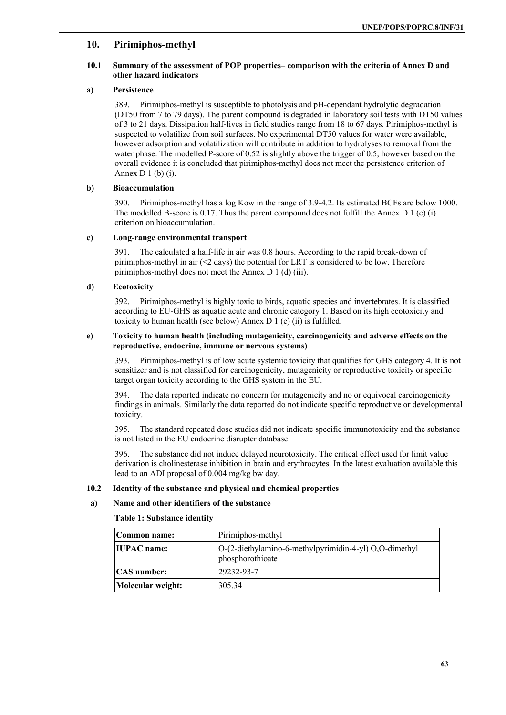# **10. Pirimiphos-methyl**

# **10.1 Summary of the assessment of POP properties– comparison with the criteria of Annex D and other hazard indicators**

# **a) Persistence**

389. Pirimiphos-methyl is susceptible to photolysis and pH-dependant hydrolytic degradation (DT50 from 7 to 79 days). The parent compound is degraded in laboratory soil tests with DT50 values of 3 to 21 days. Dissipation half-lives in field studies range from 18 to 67 days. Pirimiphos-methyl is suspected to volatilize from soil surfaces. No experimental DT50 values for water were available, however adsorption and volatilization will contribute in addition to hydrolyses to removal from the water phase. The modelled P-score of 0.52 is slightly above the trigger of 0.5, however based on the overall evidence it is concluded that pirimiphos-methyl does not meet the persistence criterion of Annex  $D_1(b)$  (i).

# **b) Bioaccumulation**

390. Pirimiphos-methyl has a log Kow in the range of 3.9-4.2. Its estimated BCFs are below 1000. The modelled B-score is 0.17. Thus the parent compound does not fulfill the Annex D 1 (c) (i) criterion on bioaccumulation.

# **c) Long-range environmental transport**

391. The calculated a half-life in air was 0.8 hours. According to the rapid break-down of pirimiphos-methyl in air  $( $2 \text{ days}$ ) the potential for LRT is considered to be low. Therefore$ pirimiphos-methyl does not meet the Annex D 1 (d) (iii).

# **d) Ecotoxicity**

392. Pirimiphos-methyl is highly toxic to birds, aquatic species and invertebrates. It is classified according to EU-GHS as aquatic acute and chronic category 1. Based on its high ecotoxicity and toxicity to human health (see below) Annex D 1 (e) (ii) is fulfilled.

### **e) Toxicity to human health (including mutagenicity, carcinogenicity and adverse effects on the reproductive, endocrine, immune or nervous systems)**

393. Pirimiphos-methyl is of low acute systemic toxicity that qualifies for GHS category 4. It is not sensitizer and is not classified for carcinogenicity, mutagenicity or reproductive toxicity or specific target organ toxicity according to the GHS system in the EU.

394. The data reported indicate no concern for mutagenicity and no or equivocal carcinogenicity findings in animals. Similarly the data reported do not indicate specific reproductive or developmental toxicity.

395. The standard repeated dose studies did not indicate specific immunotoxicity and the substance is not listed in the EU endocrine disrupter database

396. The substance did not induce delayed neurotoxicity. The critical effect used for limit value derivation is cholinesterase inhibition in brain and erythrocytes. In the latest evaluation available this lead to an ADI proposal of 0.004 mg/kg bw day.

# **10.2 Identity of the substance and physical and chemical properties**

# **a) Name and other identifiers of the substance**

**Table 1: Substance identity** 

| Common name:       | Pirimiphos-methyl                                                            |
|--------------------|------------------------------------------------------------------------------|
| <b>IUPAC</b> name: | $ O-(2-diethylamino-6-methylpyrimidin-4-yl)O,O-dimethyl$<br>phosphorothioate |
| <b>CAS</b> number: | $129232 - 93 - 7$                                                            |
| Molecular weight:  | 305.34                                                                       |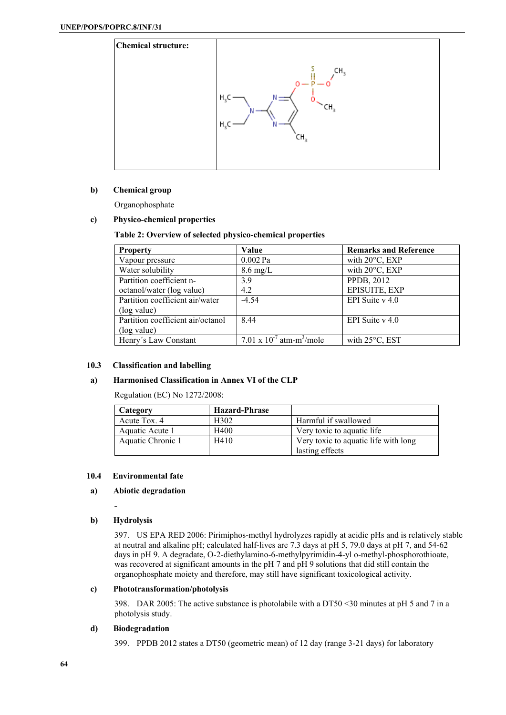

# **b) Chemical group**

Organophosphate

# **c) Physico-chemical properties**

#### **Table 2: Overview of selected physico-chemical properties**

| <b>Property</b>                   | Value                                     | <b>Remarks and Reference</b> |
|-----------------------------------|-------------------------------------------|------------------------------|
| Vapour pressure                   | $0.002$ Pa                                | with $20^{\circ}$ C, EXP     |
| Water solubility                  | $8.6 \text{ mg/L}$                        | with $20^{\circ}$ C, EXP     |
| Partition coefficient n-          | 3.9                                       | PPDB, 2012                   |
| octanol/water (log value)         | 4.2                                       | EPISUITE, EXP                |
| Partition coefficient air/water   | $-4.54$                                   | EPI Suite v 4.0              |
| (log value)                       |                                           |                              |
| Partition coefficient air/octanol | 8.44                                      | EPI Suite $v$ 4.0            |
| (log value)                       |                                           |                              |
| Henry's Law Constant              | 7.01 x $10^{-7}$ atm-m <sup>3</sup> /mole | with $25^{\circ}$ C, EST     |

#### **10.3 Classification and labelling**

# **a) Harmonised Classification in Annex VI of the CLP**

Regulation (EC) No 1272/2008:

| Category          | <b>Hazard-Phrase</b> |                                      |
|-------------------|----------------------|--------------------------------------|
| Acute Tox. 4      | H302                 | Harmful if swallowed                 |
| Aquatic Acute 1   | H400                 | Very toxic to aquatic life.          |
| Aquatic Chronic 1 | H410                 | Very toxic to aquatic life with long |
|                   |                      | lasting effects                      |

#### **10.4 Environmental fate**

### **a) Abiotic degradation**

**-** 

# **b) Hydrolysis**

397. US EPA RED 2006: Pirimiphos-methyl hydrolyzes rapidly at acidic pHs and is relatively stable at neutral and alkaline pH; calculated half-lives are 7.3 days at pH 5, 79.0 days at pH 7, and 54-62 days in pH 9. A degradate, O-2-diethylamino-6-methylpyrimidin-4-yl o-methyl-phosphorothioate, was recovered at significant amounts in the pH 7 and pH 9 solutions that did still contain the organophosphate moiety and therefore, may still have significant toxicological activity.

# **c) Phototransformation/photolysis**

398. DAR 2005: The active substance is photolabile with a DT50 <30 minutes at pH 5 and 7 in a photolysis study.

#### **d) Biodegradation**

399. PPDB 2012 states a DT50 (geometric mean) of 12 day (range 3-21 days) for laboratory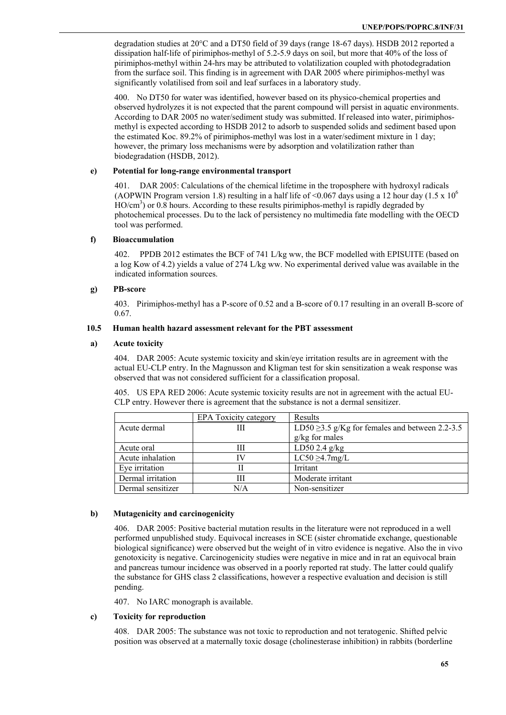degradation studies at 20°C and a DT50 field of 39 days (range 18-67 days). HSDB 2012 reported a dissipation half-life of pirimiphos-methyl of 5.2-5.9 days on soil, but more that 40% of the loss of pirimiphos-methyl within 24-hrs may be attributed to volatilization coupled with photodegradation from the surface soil. This finding is in agreement with DAR 2005 where pirimiphos-methyl was significantly volatilised from soil and leaf surfaces in a laboratory study.

400. No DT50 for water was identified, however based on its physico-chemical properties and observed hydrolyzes it is not expected that the parent compound will persist in aquatic environments. According to DAR 2005 no water/sediment study was submitted. If released into water, pirimiphosmethyl is expected according to HSDB 2012 to adsorb to suspended solids and sediment based upon the estimated Koc. 89.2% of pirimiphos-methyl was lost in a water/sediment mixture in 1 day; however, the primary loss mechanisms were by adsorption and volatilization rather than biodegradation (HSDB, 2012).

### **e) Potential for long-range environmental transport**

DAR 2005: Calculations of the chemical lifetime in the troposphere with hydroxyl radicals (AOPWIN Program version 1.8) resulting in a half life of <0.067 days using a 12 hour day (1.5 x 10<sup>6</sup>)  $HO/cm<sup>3</sup>$ ) or 0.8 hours. According to these results pirimiphos-methyl is rapidly degraded by photochemical processes. Du to the lack of persistency no multimedia fate modelling with the OECD tool was performed.

#### **f) Bioaccumulation**

402. PPDB 2012 estimates the BCF of 741 L/kg ww, the BCF modelled with EPISUITE (based on a log Kow of 4.2) yields a value of 274 L/kg ww. No experimental derived value was available in the indicated information sources.

#### **g) PB-score**

403. Pirimiphos-methyl has a P-score of 0.52 and a B-score of 0.17 resulting in an overall B-score of 0.67.

#### **10.5 Human health hazard assessment relevant for the PBT assessment**

#### **a) Acute toxicity**

404. DAR 2005: Acute systemic toxicity and skin/eye irritation results are in agreement with the actual EU-CLP entry. In the Magnusson and Kligman test for skin sensitization a weak response was observed that was not considered sufficient for a classification proposal.

405. US EPA RED 2006: Acute systemic toxicity results are not in agreement with the actual EU-CLP entry. However there is agreement that the substance is not a dermal sensitizer.

|                   | EPA Toxicity category | Results                                              |
|-------------------|-----------------------|------------------------------------------------------|
| Acute dermal      | Ш                     | LD50 $\geq$ 3.5 g/Kg for females and between 2.2-3.5 |
|                   |                       | $g/kg$ for males                                     |
| Acute oral        | Ш                     | LD502.4 g/kg                                         |
| Acute inhalation  | IV                    | $LC50 \geq 4.7$ mg/L                                 |
| Eye irritation    | Н                     | Irritant                                             |
| Dermal irritation | Ш                     | Moderate irritant                                    |
| Dermal sensitizer | N/A                   | Non-sensitizer                                       |

# **b) Mutagenicity and carcinogenicity**

406. DAR 2005: Positive bacterial mutation results in the literature were not reproduced in a well performed unpublished study. Equivocal increases in SCE (sister chromatide exchange, questionable biological significance) were observed but the weight of in vitro evidence is negative. Also the in vivo genotoxicity is negative. Carcinogenicity studies were negative in mice and in rat an equivocal brain and pancreas tumour incidence was observed in a poorly reported rat study. The latter could qualify the substance for GHS class 2 classifications, however a respective evaluation and decision is still pending.

407. No IARC monograph is available.

# **c) Toxicity for reproduction**

408. DAR 2005: The substance was not toxic to reproduction and not teratogenic. Shifted pelvic position was observed at a maternally toxic dosage (cholinesterase inhibition) in rabbits (borderline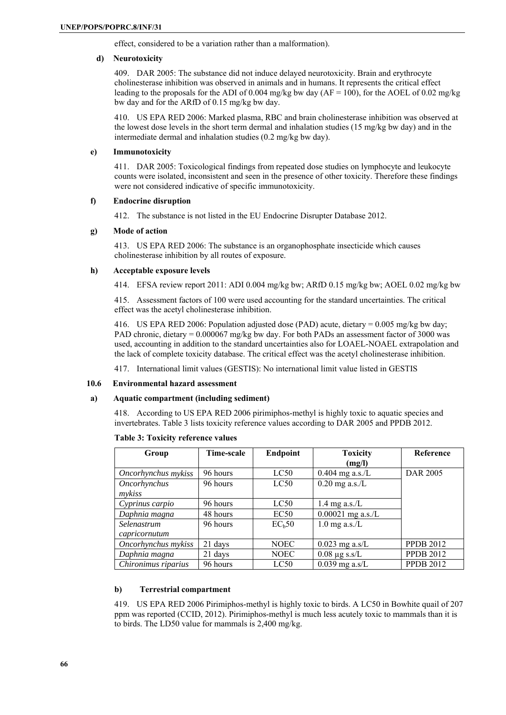effect, considered to be a variation rather than a malformation).

#### **d) Neurotoxicity**

409. DAR 2005: The substance did not induce delayed neurotoxicity. Brain and erythrocyte cholinesterase inhibition was observed in animals and in humans. It represents the critical effect leading to the proposals for the ADI of 0.004 mg/kg bw day ( $AF = 100$ ), for the AOEL of 0.02 mg/kg bw day and for the ARfD of 0.15 mg/kg bw day.

410. US EPA RED 2006: Marked plasma, RBC and brain cholinesterase inhibition was observed at the lowest dose levels in the short term dermal and inhalation studies (15 mg/kg bw day) and in the intermediate dermal and inhalation studies (0.2 mg/kg bw day).

#### **e) Immunotoxicity**

411. DAR 2005: Toxicological findings from repeated dose studies on lymphocyte and leukocyte counts were isolated, inconsistent and seen in the presence of other toxicity. Therefore these findings were not considered indicative of specific immunotoxicity.

#### **f) Endocrine disruption**

412. The substance is not listed in the EU Endocrine Disrupter Database 2012.

#### **g) Mode of action**

413. US EPA RED 2006: The substance is an organophosphate insecticide which causes cholinesterase inhibition by all routes of exposure.

#### **h) Acceptable exposure levels**

414. EFSA review report 2011: ADI 0.004 mg/kg bw; ARfD 0.15 mg/kg bw; AOEL 0.02 mg/kg bw

415. Assessment factors of 100 were used accounting for the standard uncertainties. The critical effect was the acetyl cholinesterase inhibition.

416. US EPA RED 2006: Population adjusted dose (PAD) acute, dietary = 0.005 mg/kg bw day; PAD chronic, dietary = 0.000067 mg/kg bw day. For both PADs an assessment factor of 3000 was used, accounting in addition to the standard uncertainties also for LOAEL-NOAEL extrapolation and the lack of complete toxicity database. The critical effect was the acetyl cholinesterase inhibition.

417. International limit values (GESTIS): No international limit value listed in GESTIS

# **10.6 Environmental hazard assessment**

# **a) Aquatic compartment (including sediment)**

418. According to US EPA RED 2006 pirimiphos-methyl is highly toxic to aquatic species and invertebrates. Table 3 lists toxicity reference values according to DAR 2005 and PPDB 2012.

| Group               | Time-scale | Endpoint           | <b>Toxicity</b>     | Reference        |
|---------------------|------------|--------------------|---------------------|------------------|
|                     |            |                    | (mg/l)              |                  |
| Oncorhynchus mykiss | 96 hours   | LC50               | $0.404$ mg a.s./L   | <b>DAR 2005</b>  |
| Oncorhynchus        | 96 hours   | LC50               | $0.20$ mg a.s./L    |                  |
| mykiss              |            |                    |                     |                  |
| Cyprinus carpio     | 96 hours   | LC50               | 1.4 mg a.s./L       |                  |
| Daphnia magna       | 48 hours   | EC50               | $0.00021$ mg a.s./L |                  |
| Selenastrum         | 96 hours   | EC <sub>h</sub> 50 | $1.0$ mg a.s./L     |                  |
| capricornutum       |            |                    |                     |                  |
| Oncorhynchus mykiss | 21 days    | <b>NOEC</b>        | $0.023$ mg a.s/L    | <b>PPDB 2012</b> |
| Daphnia magna       | 21 days    | <b>NOEC</b>        | $0.08 \mu$ g s.s/L  | <b>PPDB 2012</b> |
| Chironimus riparius | 96 hours   | LC50               | $0.039$ mg a.s/L    | <b>PPDB 2012</b> |

#### **Table 3: Toxicity reference values**

#### **b) Terrestrial compartment**

419. US EPA RED 2006 Pirimiphos-methyl is highly toxic to birds. A LC50 in Bowhite quail of 207 ppm was reported (CCID, 2012). Pirimiphos-methyl is much less acutely toxic to mammals than it is to birds. The LD50 value for mammals is 2,400 mg/kg.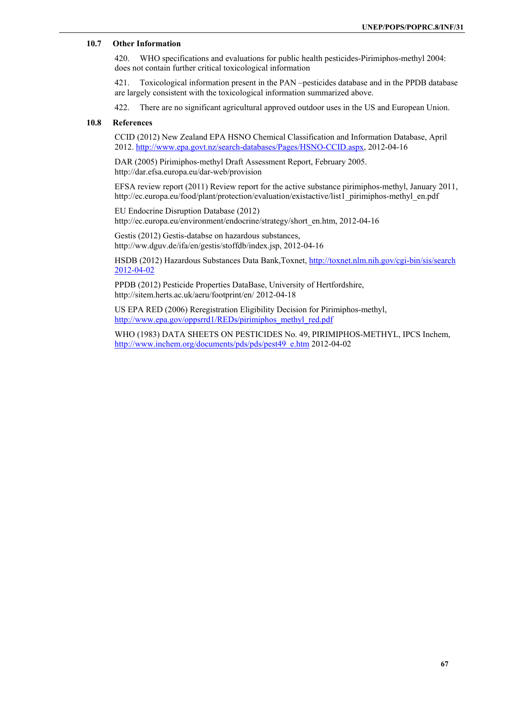# **10.7 Other Information**

420. WHO specifications and evaluations for public health pesticides-Pirimiphos-methyl 2004: does not contain further critical toxicological information

421. Toxicological information present in the PAN –pesticides database and in the PPDB database are largely consistent with the toxicological information summarized above.

422. There are no significant agricultural approved outdoor uses in the US and European Union.

### **10.8 References**

CCID (2012) New Zealand EPA HSNO Chemical Classification and Information Database, April 2012. http://www.epa.govt.nz/search-databases/Pages/HSNO-CCID.aspx, 2012-04-16

DAR (2005) Pirimiphos-methyl Draft Assessment Report, February 2005. http://dar.efsa.europa.eu/dar-web/provision

EFSA review report (2011) Review report for the active substance pirimiphos-methyl, January 2011, http://ec.europa.eu/food/plant/protection/evaluation/existactive/list1\_pirimiphos-methyl\_en.pdf

EU Endocrine Disruption Database (2012) http://ec.europa.eu/environment/endocrine/strategy/short\_en.htm, 2012-04-16

Gestis (2012) Gestis-databse on hazardous substances, http://ww.dguv.de/ifa/en/gestis/stoffdb/index.jsp, 2012-04-16

HSDB (2012) Hazardous Substances Data Bank,Toxnet, http://toxnet.nlm.nih.gov/cgi-bin/sis/search 2012-04-02

PPDB (2012) Pesticide Properties DataBase, University of Hertfordshire, http://sitem.herts.ac.uk/aeru/footprint/en/ 2012-04-18

US EPA RED (2006) Reregistration Eligibility Decision for Pirimiphos-methyl, http://www.epa.gov/oppsrrd1/REDs/pirimiphos\_methyl\_red.pdf

WHO (1983) DATA SHEETS ON PESTICIDES No. 49, PIRIMIPHOS-METHYL, IPCS Inchem, http://www.inchem.org/documents/pds/pds/pest49\_e.htm 2012-04-02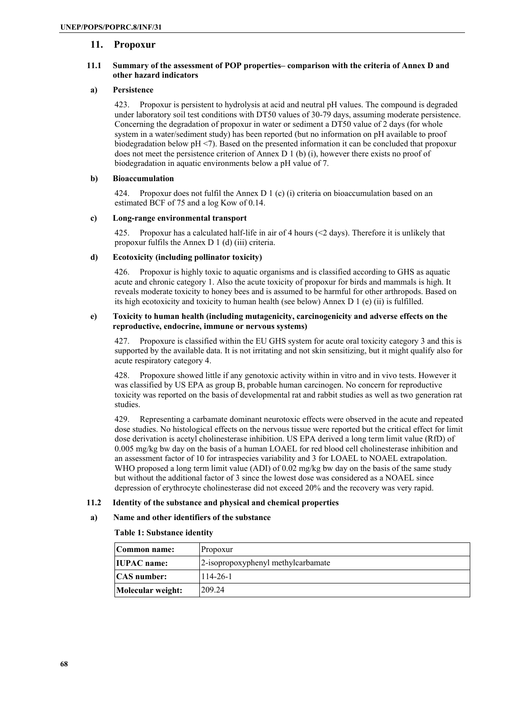# **11. Propoxur**

# **11.1 Summary of the assessment of POP properties– comparison with the criteria of Annex D and other hazard indicators**

# **a) Persistence**

423. Propoxur is persistent to hydrolysis at acid and neutral pH values. The compound is degraded under laboratory soil test conditions with DT50 values of 30-79 days, assuming moderate persistence. Concerning the degradation of propoxur in water or sediment a DT50 value of 2 days (for whole system in a water/sediment study) has been reported (but no information on pH available to proof biodegradation below pH <7). Based on the presented information it can be concluded that propoxur does not meet the persistence criterion of Annex D 1 (b) (i), however there exists no proof of biodegradation in aquatic environments below a pH value of 7.

#### **b) Bioaccumulation**

424. Propoxur does not fulfil the Annex D 1 (c) (i) criteria on bioaccumulation based on an estimated BCF of 75 and a log Kow of 0.14.

#### **c) Long-range environmental transport**

425. Propoxur has a calculated half-life in air of 4 hours (<2 days). Therefore it is unlikely that propoxur fulfils the Annex D 1 (d) (iii) criteria.

# **d) Ecotoxicity (including pollinator toxicity)**

426. Propoxur is highly toxic to aquatic organisms and is classified according to GHS as aquatic acute and chronic category 1. Also the acute toxicity of propoxur for birds and mammals is high. It reveals moderate toxicity to honey bees and is assumed to be harmful for other arthropods. Based on its high ecotoxicity and toxicity to human health (see below) Annex D 1 (e) (ii) is fulfilled.

#### **e) Toxicity to human health (including mutagenicity, carcinogenicity and adverse effects on the reproductive, endocrine, immune or nervous systems)**

Propoxure is classified within the EU GHS system for acute oral toxicity category 3 and this is supported by the available data. It is not irritating and not skin sensitizing, but it might qualify also for acute respiratory category 4.

428. Propoxure showed little if any genotoxic activity within in vitro and in vivo tests. However it was classified by US EPA as group B, probable human carcinogen. No concern for reproductive toxicity was reported on the basis of developmental rat and rabbit studies as well as two generation rat studies.

429. Representing a carbamate dominant neurotoxic effects were observed in the acute and repeated dose studies. No histological effects on the nervous tissue were reported but the critical effect for limit dose derivation is acetyl cholinesterase inhibition. US EPA derived a long term limit value (RfD) of 0.005 mg/kg bw day on the basis of a human LOAEL for red blood cell cholinesterase inhibition and an assessment factor of 10 for intraspecies variability and 3 for LOAEL to NOAEL extrapolation. WHO proposed a long term limit value (ADI) of 0.02 mg/kg bw day on the basis of the same study but without the additional factor of 3 since the lowest dose was considered as a NOAEL since depression of erythrocyte cholinesterase did not exceed 20% and the recovery was very rapid.

#### **11.2 Identity of the substance and physical and chemical properties**

#### **a) Name and other identifiers of the substance**

#### **Table 1: Substance identity**

| Common name:       | Propoxur                           |
|--------------------|------------------------------------|
| <b>IUPAC</b> name: | 2-isopropoxyphenyl methylcarbamate |
| <b>CAS</b> number: | $114 - 26 - 1$                     |
| Molecular weight:  | 209 24                             |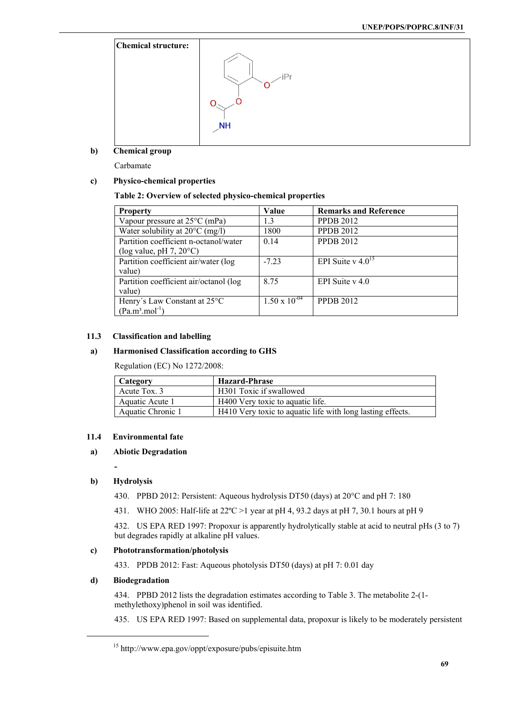

**b) Chemical group** 

Carbamate

# **c) Physico-chemical properties**

# **Table 2: Overview of selected physico-chemical properties**

| <b>Property</b>                           | Value                  | <b>Remarks and Reference</b> |
|-------------------------------------------|------------------------|------------------------------|
| Vapour pressure at $25^{\circ}$ C (mPa)   | 1.3                    | <b>PPDB 2012</b>             |
| Water solubility at $20^{\circ}$ C (mg/l) | 1800                   | <b>PPDB 2012</b>             |
| Partition coefficient n-octanol/water     | 0.14                   | <b>PPDB 2012</b>             |
| (log value, pH $7, 20^{\circ}$ C)         |                        |                              |
| Partition coefficient air/water (log      | $-7.23$                | EPI Suite v $4.0^{15}$       |
| value)                                    |                        |                              |
| Partition coefficient air/octanol (log    | 8.75                   | EPI Suite $v$ 4.0            |
| value)                                    |                        |                              |
| Henry's Law Constant at 25°C              | $1.50 \times 10^{-04}$ | <b>PPDB 2012</b>             |
| $(Pa.m3.mol-1)$                           |                        |                              |

#### **11.3 Classification and labelling**

# **a) Harmonised Classification according to GHS**

Regulation (EC) No 1272/2008:

| <b>Category</b>   | <b>Hazard-Phrase</b>                                       |
|-------------------|------------------------------------------------------------|
| Acute Tox. 3      | H301 Toxic if swallowed                                    |
| Aquatic Acute 1   | H400 Very toxic to aquatic life.                           |
| Aquatic Chronic 1 | H410 Very toxic to aquatic life with long lasting effects. |

# **11.4 Environmental fate**

# **a) Abiotic Degradation**

**-** 

# **b) Hydrolysis**

430. PPBD 2012: Persistent: Aqueous hydrolysis DT50 (days) at 20°C and pH 7: 180

431. WHO 2005: Half-life at 22ºC >1 year at pH 4, 93.2 days at pH 7, 30.1 hours at pH 9

432. US EPA RED 1997: Propoxur is apparently hydrolytically stable at acid to neutral pHs (3 to 7) but degrades rapidly at alkaline pH values.

# **c) Phototransformation/photolysis**

433. PPDB 2012: Fast: Aqueous photolysis DT50 (days) at pH 7: 0.01 day

### **d) Biodegradation**

434. PPBD 2012 lists the degradation estimates according to Table 3. The metabolite 2-(1 methylethoxy)phenol in soil was identified.

435. US EPA RED 1997: Based on supplemental data, propoxur is likely to be moderately persistent

<sup>15</sup> http://www.epa.gov/oppt/exposure/pubs/episuite.htm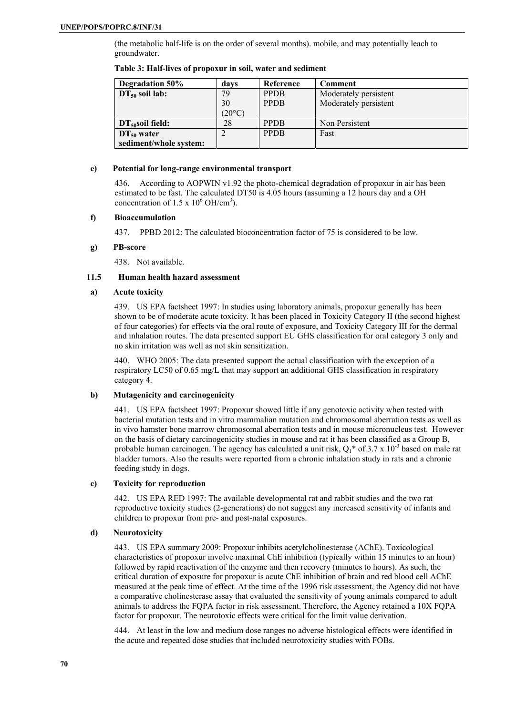(the metabolic half-life is on the order of several months). mobile, and may potentially leach to groundwater.

| Degradation 50%        | davs            | Reference   | Comment               |
|------------------------|-----------------|-------------|-----------------------|
| $DT_{50}$ soil lab:    | 79              | <b>PPDB</b> | Moderately persistent |
|                        | 30              | <b>PPDB</b> | Moderately persistent |
|                        | $(20^{\circ}C)$ |             |                       |
| $DT_{50}$ soil field:  | 28              | <b>PPDB</b> | Non Persistent        |
| $DT_{50}$ water        |                 | <b>PPDB</b> | Fast                  |
| sediment/whole system: |                 |             |                       |

#### **Table 3: Half-lives of propoxur in soil, water and sediment**

# **e) Potential for long-range environmental transport**

436. According to AOPWIN v1.92 the photo-chemical degradation of propoxur in air has been estimated to be fast. The calculated DT50 is 4.05 hours (assuming a 12 hours day and a OH concentration of  $1.5 \times 10^6$  OH/cm<sup>3</sup>).

# **f) Bioaccumulation**

437. PPBD 2012: The calculated bioconcentration factor of 75 is considered to be low.

#### **g) PB-score**

438. Not available.

# **11.5 Human health hazard assessment**

#### **a) Acute toxicity**

439. US EPA factsheet 1997: In studies using laboratory animals, propoxur generally has been shown to be of moderate acute toxicity. It has been placed in Toxicity Category II (the second highest of four categories) for effects via the oral route of exposure, and Toxicity Category III for the dermal and inhalation routes. The data presented support EU GHS classification for oral category 3 only and no skin irritation was well as not skin sensitization.

440. WHO 2005: The data presented support the actual classification with the exception of a respiratory LC50 of 0.65 mg/L that may support an additional GHS classification in respiratory category 4.

# **b) Mutagenicity and carcinogenicity**

441. US EPA factsheet 1997: Propoxur showed little if any genotoxic activity when tested with bacterial mutation tests and in vitro mammalian mutation and chromosomal aberration tests as well as in vivo hamster bone marrow chromosomal aberration tests and in mouse micronucleus test. However on the basis of dietary carcinogenicity studies in mouse and rat it has been classified as a Group B, probable human carcinogen. The agency has calculated a unit risk,  $Q_1^*$  of 3.7 x 10<sup>-3</sup> based on male rat bladder tumors. Also the results were reported from a chronic inhalation study in rats and a chronic feeding study in dogs.

#### **c) Toxicity for reproduction**

442. US EPA RED 1997: The available developmental rat and rabbit studies and the two rat reproductive toxicity studies (2-generations) do not suggest any increased sensitivity of infants and children to propoxur from pre- and post-natal exposures.

# **d) Neurotoxicity**

443. US EPA summary 2009: Propoxur inhibits acetylcholinesterase (AChE). Toxicological characteristics of propoxur involve maximal ChE inhibition (typically within 15 minutes to an hour) followed by rapid reactivation of the enzyme and then recovery (minutes to hours). As such, the critical duration of exposure for propoxur is acute ChE inhibition of brain and red blood cell AChE measured at the peak time of effect. At the time of the 1996 risk assessment, the Agency did not have a comparative cholinesterase assay that evaluated the sensitivity of young animals compared to adult animals to address the FQPA factor in risk assessment. Therefore, the Agency retained a 10X FQPA factor for propoxur. The neurotoxic effects were critical for the limit value derivation.

444. At least in the low and medium dose ranges no adverse histological effects were identified in the acute and repeated dose studies that included neurotoxicity studies with FOBs.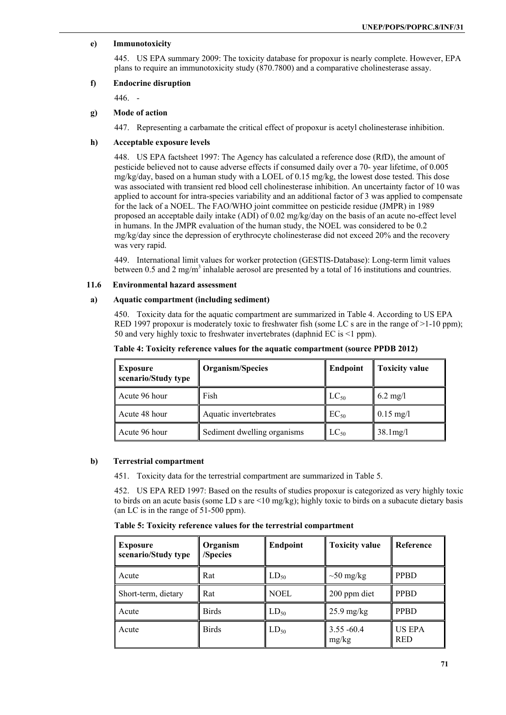# **e) Immunotoxicity**

445. US EPA summary 2009: The toxicity database for propoxur is nearly complete. However, EPA plans to require an immunotoxicity study (870.7800) and a comparative cholinesterase assay.

### **f) Endocrine disruption**

446. -

# **g) Mode of action**

447. Representing a carbamate the critical effect of propoxur is acetyl cholinesterase inhibition.

# **h) Acceptable exposure levels**

448. US EPA factsheet 1997: The Agency has calculated a reference dose (RfD), the amount of pesticide believed not to cause adverse effects if consumed daily over a 70- year lifetime, of 0.005 mg/kg/day, based on a human study with a LOEL of 0.15 mg/kg, the lowest dose tested. This dose was associated with transient red blood cell cholinesterase inhibition. An uncertainty factor of 10 was applied to account for intra-species variability and an additional factor of 3 was applied to compensate for the lack of a NOEL. The FAO/WHO joint committee on pesticide residue (JMPR) in 1989 proposed an acceptable daily intake (ADI) of 0.02 mg/kg/day on the basis of an acute no-effect level in humans. In the JMPR evaluation of the human study, the NOEL was considered to be 0.2 mg/kg/day since the depression of erythrocyte cholinesterase did not exceed 20% and the recovery was very rapid.

449. International limit values for worker protection (GESTIS-Database): Long-term limit values between 0.5 and 2 mg/m<sup>3</sup> inhalable aerosol are presented by a total of 16 institutions and countries.

### **11.6 Environmental hazard assessment**

#### **a) Aquatic compartment (including sediment)**

450. Toxicity data for the aquatic compartment are summarized in Table 4. According to US EPA RED 1997 propoxur is moderately toxic to freshwater fish (some LC s are in the range of  $>1$ -10 ppm); 50 and very highly toxic to freshwater invertebrates (daphnid EC is <1 ppm).

| <b>Exposure</b><br>scenario/Study type | Organism/Species            | <b>Endpoint</b> | <b>Toxicity value</b>  |  |
|----------------------------------------|-----------------------------|-----------------|------------------------|--|
| Acute 96 hour                          | Fish                        | $LC_{50}$       | $6.2 \text{ mg}/1$     |  |
| Acute 48 hour                          | Aquatic invertebrates       | $EC_{50}$       | $0.15 \text{ mg/l}$    |  |
| Acute 96 hour                          | Sediment dwelling organisms | $LC_{50}$       | $38.1 \,\mathrm{mg}/1$ |  |

#### **Table 4: Toxicity reference values for the aquatic compartment (source PPDB 2012)**

# **b) Terrestrial compartment**

451. Toxicity data for the terrestrial compartment are summarized in Table 5.

452. US EPA RED 1997: Based on the results of studies propoxur is categorized as very highly toxic to birds on an acute basis (some LD s are <10 mg/kg); highly toxic to birds on a subacute dietary basis (an LC is in the range of 51-500 ppm).

**Table 5: Toxicity reference values for the terrestrial compartment** 

| <b>Exposure</b><br>scenario/Study type | Organism<br>/Species | <b>Endpoint</b> | <b>Toxicity value</b>  | Reference            |
|----------------------------------------|----------------------|-----------------|------------------------|----------------------|
| Acute                                  | Rat                  | $LD_{50}$       | $\sim 50$ mg/kg        | <b>PPBD</b>          |
| Short-term, dietary                    | Rat                  | NOEL            | 200 ppm diet           | <b>PPBD</b>          |
| Acute                                  | <b>Birds</b>         | $LD_{50}$       | $25.9$ mg/kg           | <b>PPBD</b>          |
| Acute                                  | <b>Birds</b>         | $LD_{50}$       | $3.55 - 60.4$<br>mg/kg | US EPA<br><b>RED</b> |